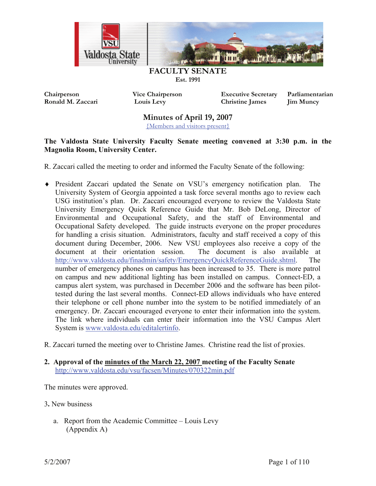

**Chairperson Vice Chairperson Executive Secretary Parliamentarian Ronald M. Zaccari Louis Levy Christine James Jim Muncy** 

**Minutes of April 19, 2007** 

{Members and visitors present}

#### **The Valdosta State University Faculty Senate meeting convened at 3:30 p.m. in the Magnolia Room, University Center.**

- R. Zaccari called the meeting to order and informed the Faculty Senate of the following:
- President Zaccari updated the Senate on VSU's emergency notification plan. The i University System of Georgia appointed a task force several months ago to review each USG institution's plan. Dr. Zaccari encouraged everyone to review the Valdosta State University Emergency Quick Reference Guide that Mr. Bob DeLong, Director of Environmental and Occupational Safety, and the staff of Environmental and Occupational Safety developed. The guide instructs everyone on the proper procedures for handling a crisis situation. Administrators, faculty and staff received a copy of this document during December, 2006. New VSU employees also receive a copy of the document at their orientation session. The document is also available at http://www.valdosta.edu/finadmin/safety/EmergencyQuickReferenceGuide.shtml. The number of emergency phones on campus has been increased to 35. There is more patrol on campus and new additional lighting has been installed on campus. Connect-ED, a campus alert system, was purchased in December 2006 and the software has been pilottested during the last several months. Connect-ED allows individuals who have entered their telephone or cell phone number into the system to be notified immediately of an emergency. Dr. Zaccari encouraged everyone to enter their information into the system. The link where individuals can enter their information into the VSU Campus Alert System is www.valdosta.edu/editalertinfo.
- R. Zaccari turned the meeting over to Christine James. Christine read the list of proxies.

### **2. Approval of the minutes of the March 22, 2007 meeting of the Faculty Senate**  http://www.valdosta.edu/vsu/facsen/Minutes/070322min.pdf

The minutes were approved.

- 3**.** New business
	- a. Report from the Academic Committee Louis Levy (Appendix A)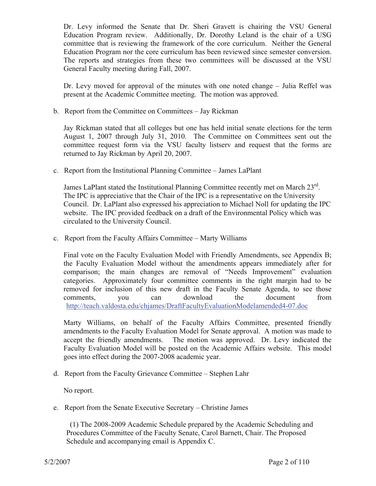Dr. Levy informed the Senate that Dr. Sheri Gravett is chairing the VSU General Education Program review. Additionally, Dr. Dorothy Leland is the chair of a USG committee that is reviewing the framework of the core curriculum. Neither the General Education Program nor the core curriculum has been reviewed since semester conversion. The reports and strategies from these two committees will be discussed at the VSU General Faculty meeting during Fall, 2007.

Dr. Levy moved for approval of the minutes with one noted change – Julia Reffel was present at the Academic Committee meeting. The motion was approved.

b. Report from the Committee on Committees – Jay Rickman

Jay Rickman stated that all colleges but one has held initial senate elections for the term August 1, 2007 through July 31, 2010. The Committee on Committees sent out the committee request form via the VSU faculty listserv and request that the forms are returned to Jay Rickman by April 20, 2007.

c. Report from the Institutional Planning Committee – James LaPlant

James LaPlant stated the Institutional Planning Committee recently met on March  $23^{\text{rd}}$ . The IPC is appreciative that the Chair of the IPC is a representative on the University Council. Dr. LaPlant also expressed his appreciation to Michael Noll for updating the IPC website. The IPC provided feedback on a draft of the Environmental Policy which was circulated to the University Council.

c. Report from the Faculty Affairs Committee – Marty Williams

Final vote on the Faculty Evaluation Model with Friendly Amendments, see Appendix B; the Faculty Evaluation Model without the amendments appears immediately after for comparison; the main changes are removal of "Needs Improvement" evaluation categories. Approximately four committee comments in the right margin had to be removed for inclusion of this new draft in the Faculty Senate Agenda, to see those comments, you can download the document from http://teach.valdosta.edu/chjames/DraftFacultyEvaluationModelamended4-07.doc

Marty Williams, on behalf of the Faculty Affairs Committee, presented friendly amendments to the Faculty Evaluation Model for Senate approval. A motion was made to accept the friendly amendments. The motion was approved. Dr. Levy indicated the Faculty Evaluation Model will be posted on the Academic Affairs website. This model goes into effect during the 2007-2008 academic year.

d. Report from the Faculty Grievance Committee – Stephen Lahr

No report.

e. Report from the Senate Executive Secretary – Christine James

 (1) The 2008-2009 Academic Schedule prepared by the Academic Scheduling and Procedures Committee of the Faculty Senate, Carol Barnett, Chair. The Proposed Schedule and accompanying email is Appendix C.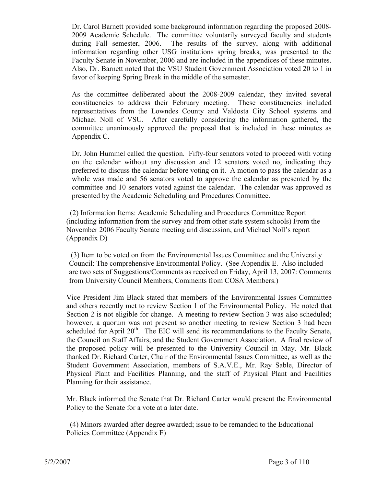Dr. Carol Barnett provided some background information regarding the proposed 2008- 2009 Academic Schedule. The committee voluntarily surveyed faculty and students during Fall semester, 2006. The results of the survey, along with additional information regarding other USG institutions spring breaks, was presented to the Faculty Senate in November, 2006 and are included in the appendices of these minutes. Also, Dr. Barnett noted that the VSU Student Government Association voted 20 to 1 in favor of keeping Spring Break in the middle of the semester.

As the committee deliberated about the 2008-2009 calendar, they invited several constituencies to address their February meeting. These constituencies included representatives from the Lowndes County and Valdosta City School systems and Michael Noll of VSU. After carefully considering the information gathered, the committee unanimously approved the proposal that is included in these minutes as Appendix C.

Dr. John Hummel called the question. Fifty-four senators voted to proceed with voting on the calendar without any discussion and 12 senators voted no, indicating they preferred to discuss the calendar before voting on it. A motion to pass the calendar as a whole was made and 56 senators voted to approve the calendar as presented by the committee and 10 senators voted against the calendar. The calendar was approved as presented by the Academic Scheduling and Procedures Committee.

 (2) Information Items: Academic Scheduling and Procedures Committee Report (including information from the survey and from other state system schools) From the November 2006 Faculty Senate meeting and discussion, and Michael Noll's report (Appendix D)

 (3) Item to be voted on from the Environmental Issues Committee and the University Council: The comprehensive Environmental Policy. (See Appendix E. Also included are two sets of Suggestions/Comments as received on Friday, April 13, 2007: Comments from University Council Members, Comments from COSA Members.)

Vice President Jim Black stated that members of the Environmental Issues Committee and others recently met to review Section 1 of the Environmental Policy. He noted that Section 2 is not eligible for change. A meeting to review Section 3 was also scheduled; however, a quorum was not present so another meeting to review Section 3 had been scheduled for April  $20<sup>th</sup>$ . The EIC will send its recommendations to the Faculty Senate, the Council on Staff Affairs, and the Student Government Association. A final review of the proposed policy will be presented to the University Council in May. Mr. Black thanked Dr. Richard Carter, Chair of the Environmental Issues Committee, as well as the Student Government Association, members of S.A.V.E., Mr. Ray Sable, Director of Physical Plant and Facilities Planning, and the staff of Physical Plant and Facilities Planning for their assistance.

Mr. Black informed the Senate that Dr. Richard Carter would present the Environmental Policy to the Senate for a vote at a later date.

 (4) Minors awarded after degree awarded; issue to be remanded to the Educational Policies Committee (Appendix F)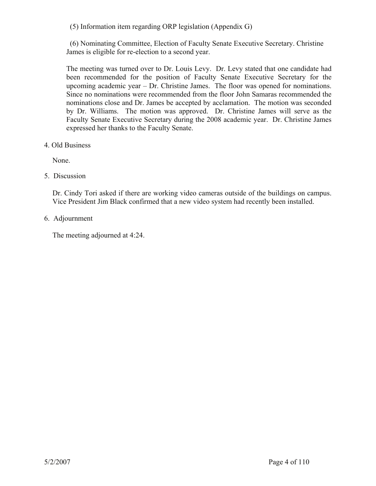(5) Information item regarding ORP legislation (Appendix G)

 (6) Nominating Committee, Election of Faculty Senate Executive Secretary. Christine James is eligible for re-election to a second year.

The meeting was turned over to Dr. Louis Levy. Dr. Levy stated that one candidate had been recommended for the position of Faculty Senate Executive Secretary for the upcoming academic year – Dr. Christine James. The floor was opened for nominations. Since no nominations were recommended from the floor John Samaras recommended the nominations close and Dr. James be accepted by acclamation. The motion was seconded by Dr. Williams. The motion was approved. Dr. Christine James will serve as the Faculty Senate Executive Secretary during the 2008 academic year. Dr. Christine James expressed her thanks to the Faculty Senate.

4. Old Business

None.

5. Discussion

Dr. Cindy Tori asked if there are working video cameras outside of the buildings on campus. Vice President Jim Black confirmed that a new video system had recently been installed.

6. Adjournment

The meeting adjourned at 4:24.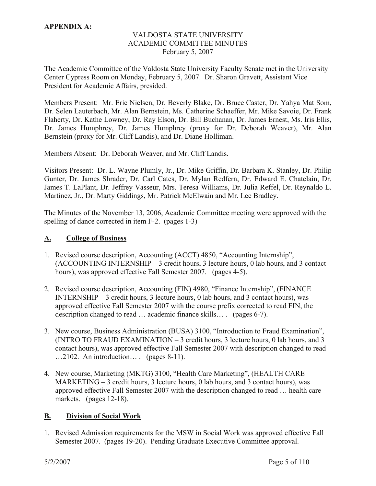#### **APPENDIX A:**

#### VALDOSTA STATE UNIVERSITY ACADEMIC COMMITTEE MINUTES February 5, 2007

The Academic Committee of the Valdosta State University Faculty Senate met in the University Center Cypress Room on Monday, February 5, 2007. Dr. Sharon Gravett, Assistant Vice President for Academic Affairs, presided.

Members Present: Mr. Eric Nielsen, Dr. Beverly Blake, Dr. Bruce Caster, Dr. Yahya Mat Som, Dr. Selen Lauterbach, Mr. Alan Bernstein, Ms. Catherine Schaeffer, Mr. Mike Savoie, Dr. Frank Flaherty, Dr. Kathe Lowney, Dr. Ray Elson, Dr. Bill Buchanan, Dr. James Ernest, Ms. Iris Ellis, Dr. James Humphrey, Dr. James Humphrey (proxy for Dr. Deborah Weaver), Mr. Alan Bernstein (proxy for Mr. Cliff Landis), and Dr. Diane Holliman.

Members Absent: Dr. Deborah Weaver, and Mr. Cliff Landis.

Visitors Present: Dr. L. Wayne Plumly, Jr., Dr. Mike Griffin, Dr. Barbara K. Stanley, Dr. Philip Gunter, Dr. James Shrader, Dr. Carl Cates, Dr. Mylan Redfern, Dr. Edward E. Chatelain, Dr. James T. LaPlant, Dr. Jeffrey Vasseur, Mrs. Teresa Williams, Dr. Julia Reffel, Dr. Reynaldo L. Martinez, Jr., Dr. Marty Giddings, Mr. Patrick McElwain and Mr. Lee Bradley.

The Minutes of the November 13, 2006, Academic Committee meeting were approved with the spelling of dance corrected in item F-2. (pages 1-3)

#### **A. College of Business**

- 1. Revised course description, Accounting (ACCT) 4850, "Accounting Internship", (ACCOUNTING INTERNSHIP – 3 credit hours, 3 lecture hours, 0 lab hours, and 3 contact hours), was approved effective Fall Semester 2007. (pages 4-5).
- 2. Revised course description, Accounting (FIN) 4980, "Finance Internship", (FINANCE INTERNSHIP – 3 credit hours, 3 lecture hours, 0 lab hours, and 3 contact hours), was approved effective Fall Semester 2007 with the course prefix corrected to read FIN, the description changed to read … academic finance skills… . (pages 6-7).
- 3. New course, Business Administration (BUSA) 3100, "Introduction to Fraud Examination", (INTRO TO FRAUD EXAMINATION – 3 credit hours, 3 lecture hours, 0 lab hours, and 3 contact hours), was approved effective Fall Semester 2007 with description changed to read …2102. An introduction… . (pages 8-11).
- 4. New course, Marketing (MKTG) 3100, "Health Care Marketing", (HEALTH CARE MARKETING – 3 credit hours, 3 lecture hours, 0 lab hours, and 3 contact hours), was approved effective Fall Semester 2007 with the description changed to read … health care markets. (pages 12-18).

#### **B. Division of Social Work**

1. Revised Admission requirements for the MSW in Social Work was approved effective Fall Semester 2007. (pages 19-20). Pending Graduate Executive Committee approval.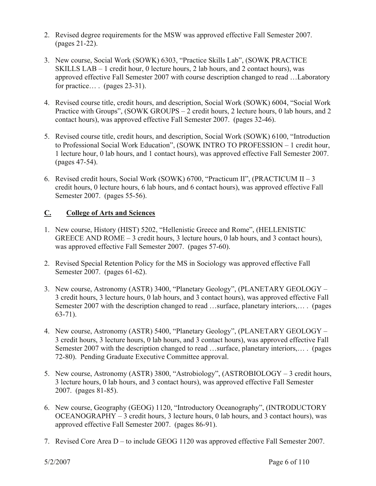- 2. Revised degree requirements for the MSW was approved effective Fall Semester 2007. (pages 21-22).
- 3. New course, Social Work (SOWK) 6303, "Practice Skills Lab", (SOWK PRACTICE SKILLS LAB – 1 credit hour, 0 lecture hours, 2 lab hours, and 2 contact hours), was approved effective Fall Semester 2007 with course description changed to read …Laboratory for practice… . (pages 23-31).
- 4. Revised course title, credit hours, and description, Social Work (SOWK) 6004, "Social Work Practice with Groups", (SOWK GROUPS – 2 credit hours, 2 lecture hours, 0 lab hours, and 2 contact hours), was approved effective Fall Semester 2007. (pages 32-46).
- 5. Revised course title, credit hours, and description, Social Work (SOWK) 6100, "Introduction to Professional Social Work Education", (SOWK INTRO TO PROFESSION – 1 credit hour, 1 lecture hour, 0 lab hours, and 1 contact hours), was approved effective Fall Semester 2007. (pages 47-54).
- 6. Revised credit hours, Social Work (SOWK) 6700, "Practicum II", (PRACTICUM II 3 credit hours, 0 lecture hours, 6 lab hours, and 6 contact hours), was approved effective Fall Semester 2007. (pages 55-56).

### **C. College of Arts and Sciences**

- 1. New course, History (HIST) 5202, "Hellenistic Greece and Rome", (HELLENISTIC GREECE AND ROME – 3 credit hours, 3 lecture hours, 0 lab hours, and 3 contact hours), was approved effective Fall Semester 2007. (pages 57-60).
- 2. Revised Special Retention Policy for the MS in Sociology was approved effective Fall Semester 2007. (pages 61-62).
- 3. New course, Astronomy (ASTR) 3400, "Planetary Geology", (PLANETARY GEOLOGY 3 credit hours, 3 lecture hours, 0 lab hours, and 3 contact hours), was approved effective Fall Semester 2007 with the description changed to read …surface, planetary interiors,… . (pages 63-71).
- 4. New course, Astronomy (ASTR) 5400, "Planetary Geology", (PLANETARY GEOLOGY 3 credit hours, 3 lecture hours, 0 lab hours, and 3 contact hours), was approved effective Fall Semester 2007 with the description changed to read …surface, planetary interiors,… . (pages 72-80). Pending Graduate Executive Committee approval.
- 5. New course, Astronomy (ASTR) 3800, "Astrobiology", (ASTROBIOLOGY 3 credit hours, 3 lecture hours, 0 lab hours, and 3 contact hours), was approved effective Fall Semester 2007. (pages 81-85).
- 6. New course, Geography (GEOG) 1120, "Introductory Oceanography", (INTRODUCTORY OCEANOGRAPHY – 3 credit hours, 3 lecture hours, 0 lab hours, and 3 contact hours), was approved effective Fall Semester 2007. (pages 86-91).
- 7. Revised Core Area D to include GEOG 1120 was approved effective Fall Semester 2007.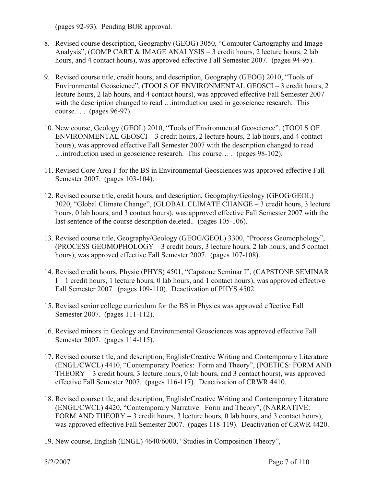(pages 92-93). Pending BOR approval.

- 8. Revised course description, Geography (GEOG) 3050, "Computer Cartography and Image Analysis", (COMP CART & IMAGE ANALYSIS – 3 credit hours, 2 lecture hours, 2 lab hours, and 4 contact hours), was approved effective Fall Semester 2007. (pages 94-95).
- 9. Revised course title, credit hours, and description, Geography (GEOG) 2010, "Tools of Environmental Geoscience", (TOOLS OF ENVIRONMENTAL GEOSCI – 3 credit hours, 2 lecture hours, 2 lab hours, and 4 contact hours), was approved effective Fall Semester 2007 with the description changed to read ... introduction used in geoscience research. This course… . (pages 96-97).
- 10. New course, Geology (GEOL) 2010, "Tools of Environmental Geoscience", (TOOLS OF ENVIRONMENTAL GEOSCI – 3 credit hours, 2 lecture hours, 2 lab hours, and 4 contact hours), was approved effective Fall Semester 2007 with the description changed to read …introduction used in geoscience research. This course… . (pages 98-102).
- 11. Revised Core Area F for the BS in Environmental Geosciences was approved effective Fall Semester 2007. (pages 103-104).
- 12. Revised course title, credit hours, and description, Geography/Geology (GEOG/GEOL) 3020, "Global Climate Change", (GLOBAL CLIMATE CHANGE – 3 credit hours, 3 lecture hours, 0 lab hours, and 3 contact hours), was approved effective Fall Semester 2007 with the last sentence of the course description deleted.. (pages 105-106).
- 13. Revised course title, Geography/Geology (GEOG/GEOL) 3300, "Process Geomophology", (PROCESS GEOMOPHOLOGY – 3 credit hours, 3 lecture hours, 2 lab hours, and 5 contact hours), was approved effective Fall Semester 2007. (pages 107-108).
- 14. Revised credit hours, Physic (PHYS) 4501, "Capstone Seminar I", (CAPSTONE SEMINAR I – 1 credit hours, 1 lecture hours, 0 lab hours, and 1 contact hours), was approved effective Fall Semester 2007. (pages 109-110). Deactivation of PHYS 4502.
- 15. Revised senior college curriculum for the BS in Physics was approved effective Fall Semester 2007. (pages 111-112).
- 16. Revised minors in Geology and Environmental Geosciences was approved effective Fall Semester 2007. (pages 114-115).
- 17. Revised course title, and description, English/Creative Writing and Contemporary Literature (ENGL/CWCL) 4410, "Contemporary Poetics: Form and Theory", (POETICS: FORM AND THEORY – 3 credit hours, 3 lecture hours, 0 lab hours, and 3 contact hours), was approved effective Fall Semester 2007. (pages 116-117). Deactivation of CRWR 4410.
- 18. Revised course title, and description, English/Creative Writing and Contemporary Literature (ENGL/CWCL) 4420, "Contemporary Narrative: Form and Theory", (NARRATIVE: FORM AND THEORY – 3 credit hours, 3 lecture hours, 0 lab hours, and 3 contact hours), was approved effective Fall Semester 2007. (pages 118-119). Deactivation of CRWR 4420.
- 19. New course, English (ENGL) 4640/6000, "Studies in Composition Theory",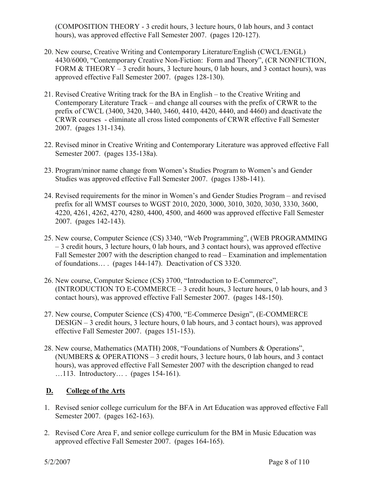(COMPOSITION THEORY - 3 credit hours, 3 lecture hours, 0 lab hours, and 3 contact hours), was approved effective Fall Semester 2007. (pages 120-127).

- 20. New course, Creative Writing and Contemporary Literature/English (CWCL/ENGL) 4430/6000, "Contemporary Creative Non-Fiction: Form and Theory", (CR NONFICTION, FORM & THEORY – 3 credit hours, 3 lecture hours, 0 lab hours, and 3 contact hours), was approved effective Fall Semester 2007. (pages 128-130).
- 21. Revised Creative Writing track for the BA in English to the Creative Writing and Contemporary Literature Track – and change all courses with the prefix of CRWR to the prefix of CWCL (3400, 3420, 3440, 3460, 4410, 4420, 4440, and 4460) and deactivate the CRWR courses - eliminate all cross listed components of CRWR effective Fall Semester 2007. (pages 131-134).
- 22. Revised minor in Creative Writing and Contemporary Literature was approved effective Fall Semester 2007. (pages 135-138a).
- 23. Program/minor name change from Women's Studies Program to Women's and Gender Studies was approved effective Fall Semester 2007. (pages 138b-141).
- 24. Revised requirements for the minor in Women's and Gender Studies Program and revised prefix for all WMST courses to WGST 2010, 2020, 3000, 3010, 3020, 3030, 3330, 3600, 4220, 4261, 4262, 4270, 4280, 4400, 4500, and 4600 was approved effective Fall Semester 2007. (pages 142-143).
- 25. New course, Computer Science (CS) 3340, "Web Programming", (WEB PROGRAMMING – 3 credit hours, 3 lecture hours, 0 lab hours, and 3 contact hours), was approved effective Fall Semester 2007 with the description changed to read – Examination and implementation of foundations… . (pages 144-147). Deactivation of CS 3320.
- 26. New course, Computer Science (CS) 3700, "Introduction to E-Commerce", (INTRODUCTION TO E-COMMERCE  $-3$  credit hours, 3 lecture hours, 0 lab hours, and 3 contact hours), was approved effective Fall Semester 2007. (pages 148-150).
- 27. New course, Computer Science (CS) 4700, "E-Commerce Design", (E-COMMERCE DESIGN – 3 credit hours, 3 lecture hours, 0 lab hours, and 3 contact hours), was approved effective Fall Semester 2007. (pages 151-153).
- 28. New course, Mathematics (MATH) 2008, "Foundations of Numbers & Operations", (NUMBERS & OPERATIONS – 3 credit hours, 3 lecture hours, 0 lab hours, and 3 contact hours), was approved effective Fall Semester 2007 with the description changed to read …113. Introductory… . (pages 154-161).

## **D. College of the Arts**

- 1. Revised senior college curriculum for the BFA in Art Education was approved effective Fall Semester 2007. (pages 162-163).
- 2. Revised Core Area F, and senior college curriculum for the BM in Music Education was approved effective Fall Semester 2007. (pages 164-165).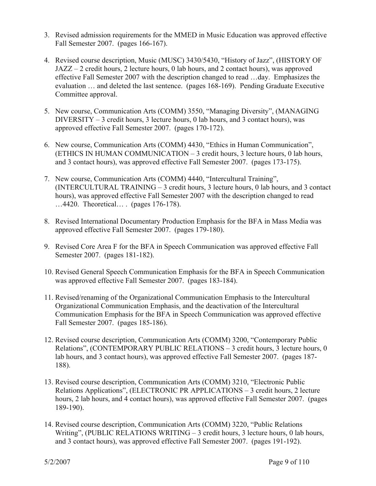- 3. Revised admission requirements for the MMED in Music Education was approved effective Fall Semester 2007. (pages 166-167).
- 4. Revised course description, Music (MUSC) 3430/5430, "History of Jazz", (HISTORY OF JAZZ – 2 credit hours, 2 lecture hours, 0 lab hours, and 2 contact hours), was approved effective Fall Semester 2007 with the description changed to read …day. Emphasizes the evaluation … and deleted the last sentence. (pages 168-169). Pending Graduate Executive Committee approval.
- 5. New course, Communication Arts (COMM) 3550, "Managing Diversity", (MANAGING DIVERSITY – 3 credit hours, 3 lecture hours, 0 lab hours, and 3 contact hours), was approved effective Fall Semester 2007. (pages 170-172).
- 6. New course, Communication Arts (COMM) 4430, "Ethics in Human Communication", (ETHICS IN HUMAN COMMUNICATION – 3 credit hours, 3 lecture hours, 0 lab hours, and 3 contact hours), was approved effective Fall Semester 2007. (pages 173-175).
- 7. New course, Communication Arts (COMM) 4440, "Intercultural Training", (INTERCULTURAL TRAINING – 3 credit hours, 3 lecture hours, 0 lab hours, and 3 contact hours), was approved effective Fall Semester 2007 with the description changed to read …4420. Theoretical… . (pages 176-178).
- 8. Revised International Documentary Production Emphasis for the BFA in Mass Media was approved effective Fall Semester 2007. (pages 179-180).
- 9. Revised Core Area F for the BFA in Speech Communication was approved effective Fall Semester 2007. (pages 181-182).
- 10. Revised General Speech Communication Emphasis for the BFA in Speech Communication was approved effective Fall Semester 2007. (pages 183-184).
- 11. Revised/renaming of the Organizational Communication Emphasis to the Intercultural Organizational Communication Emphasis, and the deactivation of the Intercultural Communication Emphasis for the BFA in Speech Communication was approved effective Fall Semester 2007. (pages 185-186).
- 12. Revised course description, Communication Arts (COMM) 3200, "Contemporary Public Relations", (CONTEMPORARY PUBLIC RELATIONS – 3 credit hours, 3 lecture hours, 0 lab hours, and 3 contact hours), was approved effective Fall Semester 2007. (pages 187- 188).
- 13. Revised course description, Communication Arts (COMM) 3210, "Electronic Public Relations Applications", (ELECTRONIC PR APPLICATIONS – 3 credit hours, 2 lecture hours, 2 lab hours, and 4 contact hours), was approved effective Fall Semester 2007. (pages 189-190).
- 14. Revised course description, Communication Arts (COMM) 3220, "Public Relations Writing", (PUBLIC RELATIONS WRITING  $-3$  credit hours, 3 lecture hours, 0 lab hours, and 3 contact hours), was approved effective Fall Semester 2007. (pages 191-192).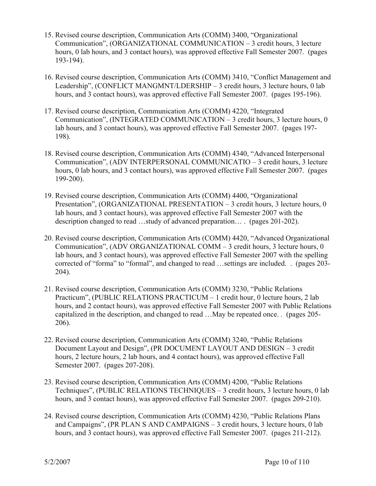- 15. Revised course description, Communication Arts (COMM) 3400, "Organizational Communication", (ORGANIZATIONAL COMMUNICATION – 3 credit hours, 3 lecture hours, 0 lab hours, and 3 contact hours), was approved effective Fall Semester 2007. (pages 193-194).
- 16. Revised course description, Communication Arts (COMM) 3410, "Conflict Management and Leadership", (CONFLICT MANGMNT/LDERSHIP – 3 credit hours, 3 lecture hours, 0 lab hours, and 3 contact hours), was approved effective Fall Semester 2007. (pages 195-196).
- 17. Revised course description, Communication Arts (COMM) 4220, "Integrated Communication", (INTEGRATED COMMUNICATION – 3 credit hours, 3 lecture hours, 0 lab hours, and 3 contact hours), was approved effective Fall Semester 2007. (pages 197- 198).
- 18. Revised course description, Communication Arts (COMM) 4340, "Advanced Interpersonal Communication", (ADV INTERPERSONAL COMMUNICATIO – 3 credit hours, 3 lecture hours, 0 lab hours, and 3 contact hours), was approved effective Fall Semester 2007. (pages 199-200).
- 19. Revised course description, Communication Arts (COMM) 4400, "Organizational Presentation", (ORGANIZATIONAL PRESENTATION – 3 credit hours, 3 lecture hours, 0 lab hours, and 3 contact hours), was approved effective Fall Semester 2007 with the description changed to read …study of advanced preparation… . (pages 201-202).
- 20. Revised course description, Communication Arts (COMM) 4420, "Advanced Organizational Communication", (ADV ORGANIZATIONAL COMM – 3 credit hours, 3 lecture hours, 0 lab hours, and 3 contact hours), was approved effective Fall Semester 2007 with the spelling corrected of "forma" to "formal", and changed to read …settings are included. . (pages 203- 204).
- 21. Revised course description, Communication Arts (COMM) 3230, "Public Relations Practicum", (PUBLIC RELATIONS PRACTICUM – 1 credit hour, 0 lecture hours, 2 lab hours, and 2 contact hours), was approved effective Fall Semester 2007 with Public Relations capitalized in the description, and changed to read …May be repeated once. . (pages 205- 206).
- 22. Revised course description, Communication Arts (COMM) 3240, "Public Relations Document Layout and Design", (PR DOCUMENT LAYOUT AND DESIGN – 3 credit hours, 2 lecture hours, 2 lab hours, and 4 contact hours), was approved effective Fall Semester 2007. (pages 207-208).
- 23. Revised course description, Communication Arts (COMM) 4200, "Public Relations Techniques", (PUBLIC RELATIONS TECHNIQUES – 3 credit hours, 3 lecture hours, 0 lab hours, and 3 contact hours), was approved effective Fall Semester 2007. (pages 209-210).
- 24. Revised course description, Communication Arts (COMM) 4230, "Public Relations Plans and Campaigns", (PR PLAN S AND CAMPAIGNS – 3 credit hours, 3 lecture hours, 0 lab hours, and 3 contact hours), was approved effective Fall Semester 2007. (pages 211-212).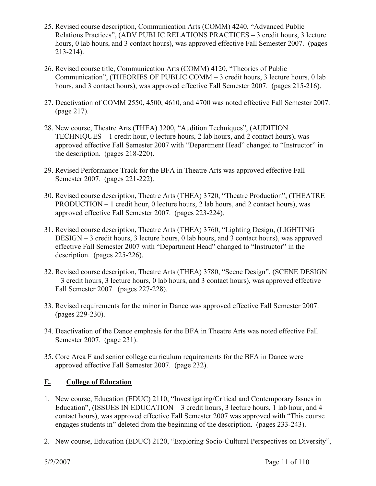- 25. Revised course description, Communication Arts (COMM) 4240, "Advanced Public Relations Practices", (ADV PUBLIC RELATIONS PRACTICES – 3 credit hours, 3 lecture hours, 0 lab hours, and 3 contact hours), was approved effective Fall Semester 2007. (pages 213-214).
- 26. Revised course title, Communication Arts (COMM) 4120, "Theories of Public Communication", (THEORIES OF PUBLIC COMM – 3 credit hours, 3 lecture hours, 0 lab hours, and 3 contact hours), was approved effective Fall Semester 2007. (pages 215-216).
- 27. Deactivation of COMM 2550, 4500, 4610, and 4700 was noted effective Fall Semester 2007. (page 217).
- 28. New course, Theatre Arts (THEA) 3200, "Audition Techniques", (AUDITION TECHNIQUES – 1 credit hour, 0 lecture hours, 2 lab hours, and 2 contact hours), was approved effective Fall Semester 2007 with "Department Head" changed to "Instructor" in the description. (pages 218-220).
- 29. Revised Performance Track for the BFA in Theatre Arts was approved effective Fall Semester 2007. (pages 221-222).
- 30. Revised course description, Theatre Arts (THEA) 3720, "Theatre Production", (THEATRE PRODUCTION – 1 credit hour, 0 lecture hours, 2 lab hours, and 2 contact hours), was approved effective Fall Semester 2007. (pages 223-224).
- 31. Revised course description, Theatre Arts (THEA) 3760, "Lighting Design, (LIGHTING DESIGN – 3 credit hours, 3 lecture hours, 0 lab hours, and 3 contact hours), was approved effective Fall Semester 2007 with "Department Head" changed to "Instructor" in the description. (pages 225-226).
- 32. Revised course description, Theatre Arts (THEA) 3780, "Scene Design", (SCENE DESIGN – 3 credit hours, 3 lecture hours, 0 lab hours, and 3 contact hours), was approved effective Fall Semester 2007. (pages 227-228).
- 33. Revised requirements for the minor in Dance was approved effective Fall Semester 2007. (pages 229-230).
- 34. Deactivation of the Dance emphasis for the BFA in Theatre Arts was noted effective Fall Semester 2007. (page 231).
- 35. Core Area F and senior college curriculum requirements for the BFA in Dance were approved effective Fall Semester 2007. (page 232).

## **E. College of Education**

- 1. New course, Education (EDUC) 2110, "Investigating/Critical and Contemporary Issues in Education", (ISSUES IN EDUCATION – 3 credit hours, 3 lecture hours, 1 lab hour, and 4 contact hours), was approved effective Fall Semester 2007 was approved with "This course engages students in" deleted from the beginning of the description. (pages 233-243).
- 2. New course, Education (EDUC) 2120, "Exploring Socio-Cultural Perspectives on Diversity",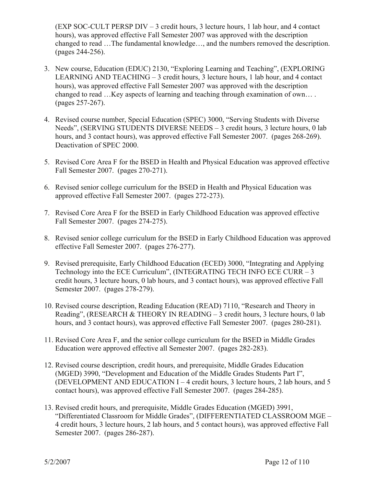(EXP SOC-CULT PERSP DIV – 3 credit hours, 3 lecture hours, 1 lab hour, and 4 contact hours), was approved effective Fall Semester 2007 was approved with the description changed to read …The fundamental knowledge…, and the numbers removed the description. (pages 244-256).

- 3. New course, Education (EDUC) 2130, "Exploring Learning and Teaching", (EXPLORING LEARNING AND TEACHING – 3 credit hours, 3 lecture hours, 1 lab hour, and 4 contact hours), was approved effective Fall Semester 2007 was approved with the description changed to read …Key aspects of learning and teaching through examination of own… . (pages 257-267).
- 4. Revised course number, Special Education (SPEC) 3000, "Serving Students with Diverse Needs", (SERVING STUDENTS DIVERSE NEEDS – 3 credit hours, 3 lecture hours, 0 lab hours, and 3 contact hours), was approved effective Fall Semester 2007. (pages 268-269). Deactivation of SPEC 2000.
- 5. Revised Core Area F for the BSED in Health and Physical Education was approved effective Fall Semester 2007. (pages 270-271).
- 6. Revised senior college curriculum for the BSED in Health and Physical Education was approved effective Fall Semester 2007. (pages 272-273).
- 7. Revised Core Area F for the BSED in Early Childhood Education was approved effective Fall Semester 2007. (pages 274-275).
- 8. Revised senior college curriculum for the BSED in Early Childhood Education was approved effective Fall Semester 2007. (pages 276-277).
- 9. Revised prerequisite, Early Childhood Education (ECED) 3000, "Integrating and Applying Technology into the ECE Curriculum", (INTEGRATING TECH INFO ECE CURR – 3 credit hours, 3 lecture hours, 0 lab hours, and 3 contact hours), was approved effective Fall Semester 2007. (pages 278-279).
- 10. Revised course description, Reading Education (READ) 7110, "Research and Theory in Reading", (RESEARCH & THEORY IN READING – 3 credit hours, 3 lecture hours, 0 lab hours, and 3 contact hours), was approved effective Fall Semester 2007. (pages 280-281).
- 11. Revised Core Area F, and the senior college curriculum for the BSED in Middle Grades Education were approved effective all Semester 2007. (pages 282-283).
- 12. Revised course description, credit hours, and prerequisite, Middle Grades Education (MGED) 3990, "Development and Education of the Middle Grades Students Part I", (DEVELOPMENT AND EDUCATION I – 4 credit hours, 3 lecture hours, 2 lab hours, and 5 contact hours), was approved effective Fall Semester 2007. (pages 284-285).
- 13. Revised credit hours, and prerequisite, Middle Grades Education (MGED) 3991, "Differentiated Classroom for Middle Grades", (DIFFERENTIATED CLASSROOM MGE – 4 credit hours, 3 lecture hours, 2 lab hours, and 5 contact hours), was approved effective Fall Semester 2007. (pages 286-287).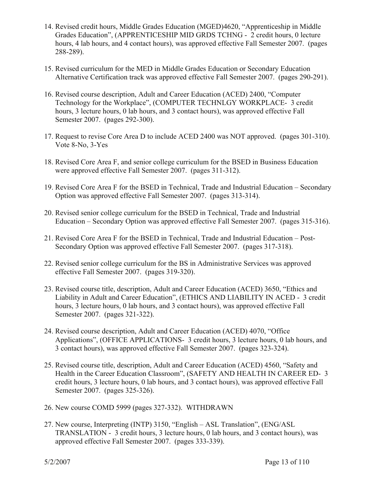- 14. Revised credit hours, Middle Grades Education (MGED)4620, "Apprenticeship in Middle Grades Education", (APPRENTICESHIP MID GRDS TCHNG - 2 credit hours, 0 lecture hours, 4 lab hours, and 4 contact hours), was approved effective Fall Semester 2007. (pages 288-289).
- 15. Revised curriculum for the MED in Middle Grades Education or Secondary Education Alternative Certification track was approved effective Fall Semester 2007. (pages 290-291).
- 16. Revised course description, Adult and Career Education (ACED) 2400, "Computer Technology for the Workplace", (COMPUTER TECHNLGY WORKPLACE- 3 credit hours, 3 lecture hours, 0 lab hours, and 3 contact hours), was approved effective Fall Semester 2007. (pages 292-300).
- 17. Request to revise Core Area D to include ACED 2400 was NOT approved. (pages 301-310). Vote 8-No, 3-Yes
- 18. Revised Core Area F, and senior college curriculum for the BSED in Business Education were approved effective Fall Semester 2007. (pages 311-312).
- 19. Revised Core Area F for the BSED in Technical, Trade and Industrial Education Secondary Option was approved effective Fall Semester 2007. (pages 313-314).
- 20. Revised senior college curriculum for the BSED in Technical, Trade and Industrial Education – Secondary Option was approved effective Fall Semester 2007. (pages 315-316).
- 21. Revised Core Area F for the BSED in Technical, Trade and Industrial Education Post-Secondary Option was approved effective Fall Semester 2007. (pages 317-318).
- 22. Revised senior college curriculum for the BS in Administrative Services was approved effective Fall Semester 2007. (pages 319-320).
- 23. Revised course title, description, Adult and Career Education (ACED) 3650, "Ethics and Liability in Adult and Career Education", (ETHICS AND LIABILITY IN ACED - 3 credit hours, 3 lecture hours, 0 lab hours, and 3 contact hours), was approved effective Fall Semester 2007. (pages 321-322).
- 24. Revised course description, Adult and Career Education (ACED) 4070, "Office Applications", (OFFICE APPLICATIONS- 3 credit hours, 3 lecture hours, 0 lab hours, and 3 contact hours), was approved effective Fall Semester 2007. (pages 323-324).
- 25. Revised course title, description, Adult and Career Education (ACED) 4560, "Safety and Health in the Career Education Classroom", (SAFETY AND HEALTH IN CAREER ED- 3 credit hours, 3 lecture hours, 0 lab hours, and 3 contact hours), was approved effective Fall Semester 2007. (pages 325-326).
- 26. New course COMD 5999 (pages 327-332). WITHDRAWN
- 27. New course, Interpreting (INTP) 3150, "English ASL Translation", (ENG/ASL TRANSLATION - 3 credit hours, 3 lecture hours, 0 lab hours, and 3 contact hours), was approved effective Fall Semester 2007. (pages 333-339).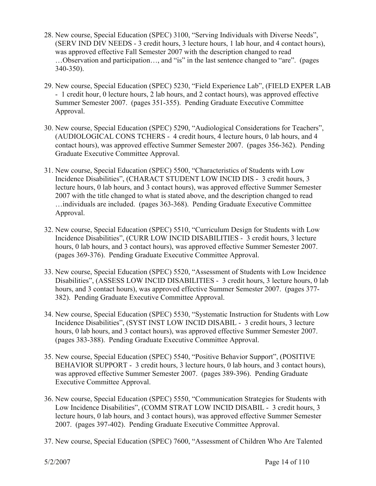- 28. New course, Special Education (SPEC) 3100, "Serving Individuals with Diverse Needs", (SERV IND DIV NEEDS - 3 credit hours, 3 lecture hours, 1 lab hour, and 4 contact hours), was approved effective Fall Semester 2007 with the description changed to read …Observation and participation…, and "is" in the last sentence changed to "are". (pages 340-350).
- 29. New course, Special Education (SPEC) 5230, "Field Experience Lab", (FIELD EXPER LAB - 1 credit hour, 0 lecture hours, 2 lab hours, and 2 contact hours), was approved effective Summer Semester 2007. (pages 351-355). Pending Graduate Executive Committee Approval.
- 30. New course, Special Education (SPEC) 5290, "Audiological Considerations for Teachers", (AUDIOLOGICAL CONS TCHERS - 4 credit hours, 4 lecture hours, 0 lab hours, and 4 contact hours), was approved effective Summer Semester 2007. (pages 356-362). Pending Graduate Executive Committee Approval.
- 31. New course, Special Education (SPEC) 5500, "Characteristics of Students with Low Incidence Disabilities", (CHARACT STUDENT LOW INCID DIS - 3 credit hours, 3 lecture hours, 0 lab hours, and 3 contact hours), was approved effective Summer Semester 2007 with the title changed to what is stated above, and the description changed to read …individuals are included. (pages 363-368). Pending Graduate Executive Committee Approval.
- 32. New course, Special Education (SPEC) 5510, "Curriculum Design for Students with Low Incidence Disabilities", (CURR LOW INCID DISABILITIES - 3 credit hours, 3 lecture hours, 0 lab hours, and 3 contact hours), was approved effective Summer Semester 2007. (pages 369-376). Pending Graduate Executive Committee Approval.
- 33. New course, Special Education (SPEC) 5520, "Assessment of Students with Low Incidence Disabilities", (ASSESS LOW INCID DISABILITIES - 3 credit hours, 3 lecture hours, 0 lab hours, and 3 contact hours), was approved effective Summer Semester 2007. (pages 377- 382). Pending Graduate Executive Committee Approval.
- 34. New course, Special Education (SPEC) 5530, "Systematic Instruction for Students with Low Incidence Disabilities", (SYST INST LOW INCID DISABIL - 3 credit hours, 3 lecture hours, 0 lab hours, and 3 contact hours), was approved effective Summer Semester 2007. (pages 383-388). Pending Graduate Executive Committee Approval.
- 35. New course, Special Education (SPEC) 5540, "Positive Behavior Support", (POSITIVE BEHAVIOR SUPPORT - 3 credit hours, 3 lecture hours, 0 lab hours, and 3 contact hours), was approved effective Summer Semester 2007. (pages 389-396). Pending Graduate Executive Committee Approval.
- 36. New course, Special Education (SPEC) 5550, "Communication Strategies for Students with Low Incidence Disabilities", (COMM STRAT LOW INCID DISABIL - 3 credit hours, 3 lecture hours, 0 lab hours, and 3 contact hours), was approved effective Summer Semester 2007. (pages 397-402). Pending Graduate Executive Committee Approval.
- 37. New course, Special Education (SPEC) 7600, "Assessment of Children Who Are Talented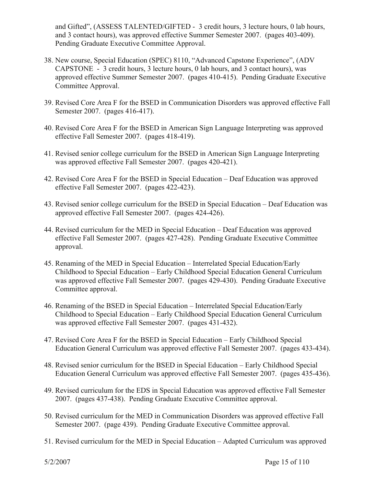and Gifted", (ASSESS TALENTED/GIFTED - 3 credit hours, 3 lecture hours, 0 lab hours, and 3 contact hours), was approved effective Summer Semester 2007. (pages 403-409). Pending Graduate Executive Committee Approval.

- 38. New course, Special Education (SPEC) 8110, "Advanced Capstone Experience", (ADV CAPSTONE - 3 credit hours, 3 lecture hours, 0 lab hours, and 3 contact hours), was approved effective Summer Semester 2007. (pages 410-415). Pending Graduate Executive Committee Approval.
- 39. Revised Core Area F for the BSED in Communication Disorders was approved effective Fall Semester 2007. (pages 416-417).
- 40. Revised Core Area F for the BSED in American Sign Language Interpreting was approved effective Fall Semester 2007. (pages 418-419).
- 41. Revised senior college curriculum for the BSED in American Sign Language Interpreting was approved effective Fall Semester 2007. (pages 420-421).
- 42. Revised Core Area F for the BSED in Special Education Deaf Education was approved effective Fall Semester 2007. (pages 422-423).
- 43. Revised senior college curriculum for the BSED in Special Education Deaf Education was approved effective Fall Semester 2007. (pages 424-426).
- 44. Revised curriculum for the MED in Special Education Deaf Education was approved effective Fall Semester 2007. (pages 427-428). Pending Graduate Executive Committee approval.
- 45. Renaming of the MED in Special Education Interrelated Special Education/Early Childhood to Special Education – Early Childhood Special Education General Curriculum was approved effective Fall Semester 2007. (pages 429-430). Pending Graduate Executive Committee approval.
- 46. Renaming of the BSED in Special Education Interrelated Special Education/Early Childhood to Special Education – Early Childhood Special Education General Curriculum was approved effective Fall Semester 2007. (pages 431-432).
- 47. Revised Core Area F for the BSED in Special Education Early Childhood Special Education General Curriculum was approved effective Fall Semester 2007. (pages 433-434).
- 48. Revised senior curriculum for the BSED in Special Education Early Childhood Special Education General Curriculum was approved effective Fall Semester 2007. (pages 435-436).
- 49. Revised curriculum for the EDS in Special Education was approved effective Fall Semester 2007. (pages 437-438). Pending Graduate Executive Committee approval.
- 50. Revised curriculum for the MED in Communication Disorders was approved effective Fall Semester 2007. (page 439). Pending Graduate Executive Committee approval.
- 51. Revised curriculum for the MED in Special Education Adapted Curriculum was approved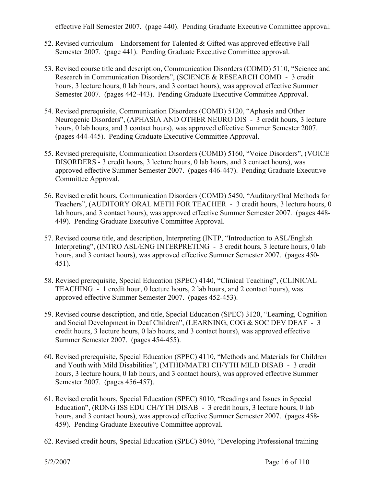effective Fall Semester 2007. (page 440). Pending Graduate Executive Committee approval.

- 52. Revised curriculum Endorsement for Talented & Gifted was approved effective Fall Semester 2007. (page 441). Pending Graduate Executive Committee approval.
- 53. Revised course title and description, Communication Disorders (COMD) 5110, "Science and Research in Communication Disorders", (SCIENCE & RESEARCH COMD - 3 credit hours, 3 lecture hours, 0 lab hours, and 3 contact hours), was approved effective Summer Semester 2007. (pages 442-443). Pending Graduate Executive Committee Approval.
- 54. Revised prerequisite, Communication Disorders (COMD) 5120, "Aphasia and Other Neurogenic Disorders", (APHASIA AND OTHER NEURO DIS - 3 credit hours, 3 lecture hours, 0 lab hours, and 3 contact hours), was approved effective Summer Semester 2007. (pages 444-445). Pending Graduate Executive Committee Approval.
- 55. Revised prerequisite, Communication Disorders (COMD) 5160, "Voice Disorders", (VOICE DISORDERS - 3 credit hours, 3 lecture hours, 0 lab hours, and 3 contact hours), was approved effective Summer Semester 2007. (pages 446-447). Pending Graduate Executive Committee Approval.
- 56. Revised credit hours, Communication Disorders (COMD) 5450, "Auditory/Oral Methods for Teachers", (AUDITORY ORAL METH FOR TEACHER - 3 credit hours, 3 lecture hours, 0 lab hours, and 3 contact hours), was approved effective Summer Semester 2007. (pages 448- 449). Pending Graduate Executive Committee Approval.
- 57. Revised course title, and description, Interpreting (INTP, "Introduction to ASL/English Interpreting", (INTRO ASL/ENG INTERPRETING - 3 credit hours, 3 lecture hours, 0 lab hours, and 3 contact hours), was approved effective Summer Semester 2007. (pages 450- 451).
- 58. Revised prerequisite, Special Education (SPEC) 4140, "Clinical Teaching", (CLINICAL TEACHING - 1 credit hour, 0 lecture hours, 2 lab hours, and 2 contact hours), was approved effective Summer Semester 2007. (pages 452-453).
- 59. Revised course description, and title, Special Education (SPEC) 3120, "Learning, Cognition and Social Development in Deaf Children", (LEARNING, COG & SOC DEV DEAF - 3 credit hours, 3 lecture hours, 0 lab hours, and 3 contact hours), was approved effective Summer Semester 2007. (pages 454-455).
- 60. Revised prerequisite, Special Education (SPEC) 4110, "Methods and Materials for Children and Youth with Mild Disabilities", (MTHD/MATRI CH/YTH MILD DISAB - 3 credit hours, 3 lecture hours, 0 lab hours, and 3 contact hours), was approved effective Summer Semester 2007. (pages 456-457).
- 61. Revised credit hours, Special Education (SPEC) 8010, "Readings and Issues in Special Education", (RDNG ISS EDU CH/YTH DISAB - 3 credit hours, 3 lecture hours, 0 lab hours, and 3 contact hours), was approved effective Summer Semester 2007. (pages 458- 459). Pending Graduate Executive Committee approval.
- 62. Revised credit hours, Special Education (SPEC) 8040, "Developing Professional training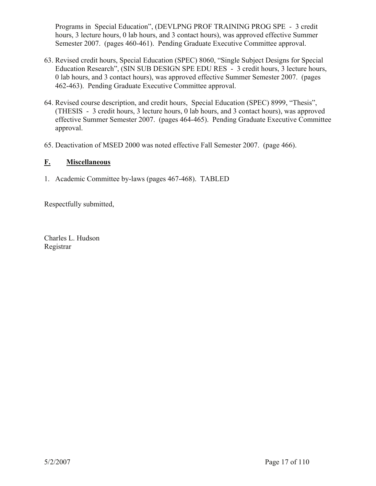Programs in Special Education", (DEVLPNG PROF TRAINING PROG SPE - 3 credit hours, 3 lecture hours, 0 lab hours, and 3 contact hours), was approved effective Summer Semester 2007. (pages 460-461). Pending Graduate Executive Committee approval.

- 63. Revised credit hours, Special Education (SPEC) 8060, "Single Subject Designs for Special Education Research", (SIN SUB DESIGN SPE EDU RES - 3 credit hours, 3 lecture hours, 0 lab hours, and 3 contact hours), was approved effective Summer Semester 2007. (pages 462-463). Pending Graduate Executive Committee approval.
- 64. Revised course description, and credit hours, Special Education (SPEC) 8999, "Thesis", (THESIS - 3 credit hours, 3 lecture hours, 0 lab hours, and 3 contact hours), was approved effective Summer Semester 2007. (pages 464-465). Pending Graduate Executive Committee approval.
- 65. Deactivation of MSED 2000 was noted effective Fall Semester 2007. (page 466).

## **F. Miscellaneous**

1. Academic Committee by-laws (pages 467-468). TABLED

Respectfully submitted,

Charles L. Hudson Registrar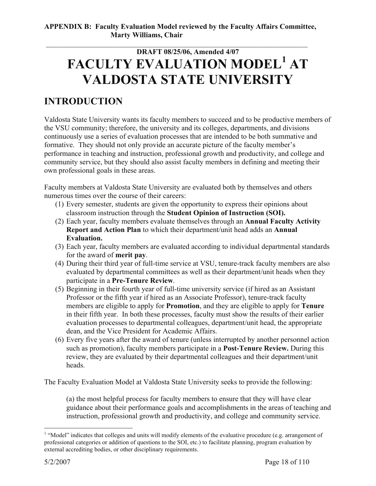# \_\_\_\_\_\_\_\_\_\_\_\_\_\_\_\_\_\_\_\_\_\_\_\_\_\_\_\_\_\_\_\_\_\_\_\_\_\_\_\_\_\_\_\_\_\_\_\_\_\_\_\_\_\_\_\_\_\_\_\_\_\_\_\_\_\_\_\_\_\_\_ **DRAFT 08/25/06, Amended 4/07 FACULTY EVALUATION MODEL<sup>1</sup> AT VALDOSTA STATE UNIVERSITY**

# **INTRODUCTION**

Valdosta State University wants its faculty members to succeed and to be productive members of the VSU community; therefore, the university and its colleges, departments, and divisions continuously use a series of evaluation processes that are intended to be both summative and formative. They should not only provide an accurate picture of the faculty member's performance in teaching and instruction, professional growth and productivity, and college and community service, but they should also assist faculty members in defining and meeting their own professional goals in these areas.

Faculty members at Valdosta State University are evaluated both by themselves and others numerous times over the course of their careers:

- (1) Every semester, students are given the opportunity to express their opinions about classroom instruction through the **Student Opinion of Instruction (SOI).**
- (2) Each year, faculty members evaluate themselves through an **Annual Faculty Activity Report and Action Plan** to which their department/unit head adds an **Annual Evaluation.**
- (3) Each year, faculty members are evaluated according to individual departmental standards for the award of **merit pay**.
- (4) During their third year of full-time service at VSU, tenure-track faculty members are also evaluated by departmental committees as well as their department/unit heads when they participate in a **Pre-Tenure Review**.
- (5) Beginning in their fourth year of full-time university service (if hired as an Assistant Professor or the fifth year if hired as an Associate Professor), tenure-track faculty members are eligible to apply for **Promotion**, and they are eligible to apply for **Tenure** in their fifth year. In both these processes, faculty must show the results of their earlier evaluation processes to departmental colleagues, department/unit head, the appropriate dean, and the Vice President for Academic Affairs.
- (6) Every five years after the award of tenure (unless interrupted by another personnel action such as promotion), faculty members participate in a **Post-Tenure Review.** During this review, they are evaluated by their departmental colleagues and their department/unit heads.

The Faculty Evaluation Model at Valdosta State University seeks to provide the following:

(a) the most helpful process for faculty members to ensure that they will have clear guidance about their performance goals and accomplishments in the areas of teaching and instruction, professional growth and productivity, and college and community service.

<sup>1</sup> <sup>1</sup> "Model" indicates that colleges and units will modify elements of the evaluative procedure (e.g. arrangement of professional categories or addition of questions to the SOI, etc.) to facilitate planning, program evaluation by external accrediting bodies, or other disciplinary requirements.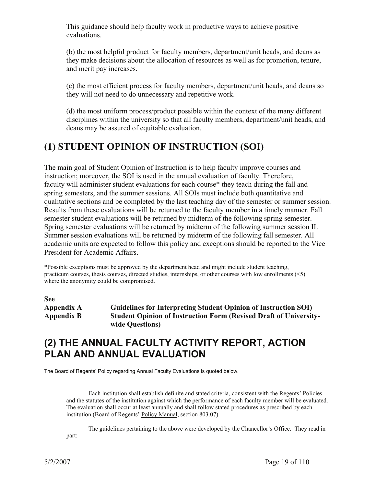This guidance should help faculty work in productive ways to achieve positive evaluations.

(b) the most helpful product for faculty members, department/unit heads, and deans as they make decisions about the allocation of resources as well as for promotion, tenure, and merit pay increases.

(c) the most efficient process for faculty members, department/unit heads, and deans so they will not need to do unnecessary and repetitive work.

(d) the most uniform process/product possible within the context of the many different disciplines within the university so that all faculty members, department/unit heads, and deans may be assured of equitable evaluation.

# **(1) STUDENT OPINION OF INSTRUCTION (SOI)**

The main goal of Student Opinion of Instruction is to help faculty improve courses and instruction; moreover, the SOI is used in the annual evaluation of faculty. Therefore, faculty will administer student evaluations for each course\* they teach during the fall and spring semesters, and the summer sessions. All SOIs must include both quantitative and qualitative sections and be completed by the last teaching day of the semester or summer session. Results from these evaluations will be returned to the faculty member in a timely manner. Fall semester student evaluations will be returned by midterm of the following spring semester. Spring semester evaluations will be returned by midterm of the following summer session II. Summer session evaluations will be returned by midterm of the following fall semester. All academic units are expected to follow this policy and exceptions should be reported to the Vice President for Academic Affairs.

\*Possible exceptions must be approved by the department head and might include student teaching, practicum courses, thesis courses, directed studies, internships, or other courses with low enrollments (<5) where the anonymity could be compromised.

**See** 

**Appendix A Guidelines for Interpreting Student Opinion of Instruction SOI) Appendix B Student Opinion of Instruction Form (Revised Draft of Universitywide Questions)** 

# **(2) THE ANNUAL FACULTY ACTIVITY REPORT, ACTION PLAN AND ANNUAL EVALUATION**

The Board of Regents' Policy regarding Annual Faculty Evaluations is quoted below.

 Each institution shall establish definite and stated criteria, consistent with the Regents' Policies and the statutes of the institution against which the performance of each faculty member will be evaluated. The evaluation shall occur at least annually and shall follow stated procedures as prescribed by each institution (Board of Regents' Policy Manual, section 803.07).

 The guidelines pertaining to the above were developed by the Chancellor's Office. They read in part: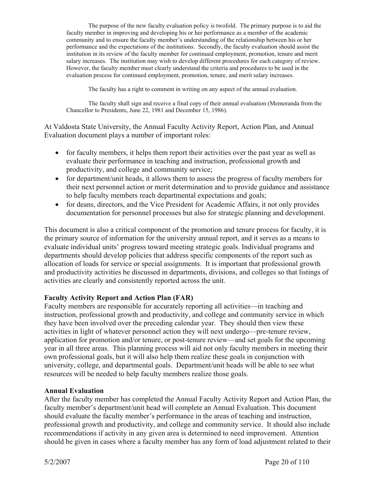The purpose of the new faculty evaluation policy is twofold. The primary purpose is to aid the faculty member in improving and developing his or her performance as a member of the academic community and to ensure the faculty member's understanding of the relationship between his or her performance and the expectations of the institutions. Secondly, the faculty evaluation should assist the institution in its review of the faculty member for continued employment, promotion, tenure and merit salary increases. The institution may wish to develop different procedures for each category of review. However, the faculty member must clearly understand the criteria and procedures to be used in the evaluation process for continued employment, promotion, tenure, and merit salary increases.

The faculty has a right to comment in writing on any aspect of the annual evaluation.

 The faculty shall sign and receive a final copy of their annual evaluation (Memoranda from the Chancellor to Presidents, June 22, 1981 and December 15, 1986).

At Valdosta State University, the Annual Faculty Activity Report, Action Plan, and Annual Evaluation document plays a number of important roles:

- $\bullet$  for faculty members, it helps them report their activities over the past year as well as evaluate their performance in teaching and instruction, professional growth and productivity, and college and community service;
- for department/unit heads, it allows them to assess the progress of faculty members for their next personnel action or merit determination and to provide guidance and assistance to help faculty members reach departmental expectations and goals;
- for deans, directors, and the Vice President for Academic Affairs, it not only provides documentation for personnel processes but also for strategic planning and development.

This document is also a critical component of the promotion and tenure process for faculty, it is the primary source of information for the university annual report, and it serves as a means to evaluate individual units' progress toward meeting strategic goals. Individual programs and departments should develop policies that address specific components of the report such as allocation of loads for service or special assignments. It is important that professional growth and productivity activities be discussed in departments, divisions, and colleges so that listings of activities are clearly and consistently reported across the unit.

#### **Faculty Activity Report and Action Plan (FAR)**

Faculty members are responsible for accurately reporting all activities—in teaching and instruction, professional growth and productivity, and college and community service in which they have been involved over the preceding calendar year. They should then view these activities in light of whatever personnel action they will next undergo—pre-tenure review, application for promotion and/or tenure, or post-tenure review—and set goals for the upcoming year in all three areas. This planning process will aid not only faculty members in meeting their own professional goals, but it will also help them realize these goals in conjunction with university, college, and departmental goals. Department/unit heads will be able to see what resources will be needed to help faculty members realize those goals.

#### **Annual Evaluation**

After the faculty member has completed the Annual Faculty Activity Report and Action Plan, the faculty member's department/unit head will complete an Annual Evaluation. This document should evaluate the faculty member's performance in the areas of teaching and instruction, professional growth and productivity, and college and community service. It should also include recommendations if activity in any given area is determined to need improvement. Attention should be given in cases where a faculty member has any form of load adjustment related to their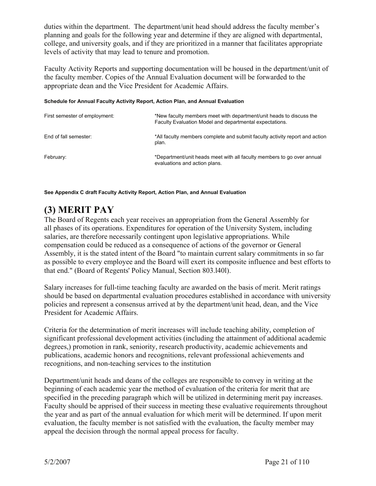duties within the department. The department/unit head should address the faculty member's planning and goals for the following year and determine if they are aligned with departmental, college, and university goals, and if they are prioritized in a manner that facilitates appropriate levels of activity that may lead to tenure and promotion.

Faculty Activity Reports and supporting documentation will be housed in the department/unit of the faculty member. Copies of the Annual Evaluation document will be forwarded to the appropriate dean and the Vice President for Academic Affairs.

#### **Schedule for Annual Faculty Activity Report, Action Plan, and Annual Evaluation**

| First semester of employment: | *New faculty members meet with department/unit heads to discuss the<br>Faculty Evaluation Model and departmental expectations. |
|-------------------------------|--------------------------------------------------------------------------------------------------------------------------------|
| End of fall semester:         | *All faculty members complete and submit faculty activity report and action<br>plan.                                           |
| February:                     | *Department/unit heads meet with all faculty members to go over annual<br>evaluations and action plans.                        |

**See Appendix C draft Faculty Activity Report, Action Plan, and Annual Evaluation** 

# **(3) MERIT PAY**

The Board of Regents each year receives an appropriation from the General Assembly for all phases of its operations. Expenditures for operation of the University System, including salaries, are therefore necessarily contingent upon legislative appropriations. While compensation could be reduced as a consequence of actions of the governor or General Assembly, it is the stated intent of the Board "to maintain current salary commitments in so far as possible to every employee and the Board will exert its composite influence and best efforts to that end." (Board of Regents' Policy Manual, Section 803.l40l).

Salary increases for full-time teaching faculty are awarded on the basis of merit. Merit ratings should be based on departmental evaluation procedures established in accordance with university policies and represent a consensus arrived at by the department/unit head, dean, and the Vice President for Academic Affairs.

Criteria for the determination of merit increases will include teaching ability, completion of significant professional development activities (including the attainment of additional academic degrees,) promotion in rank, seniority, research productivity, academic achievements and publications, academic honors and recognitions, relevant professional achievements and recognitions, and non-teaching services to the institution

Department/unit heads and deans of the colleges are responsible to convey in writing at the beginning of each academic year the method of evaluation of the criteria for merit that are specified in the preceding paragraph which will be utilized in determining merit pay increases. Faculty should be apprised of their success in meeting these evaluative requirements throughout the year and as part of the annual evaluation for which merit will be determined. If upon merit evaluation, the faculty member is not satisfied with the evaluation, the faculty member may appeal the decision through the normal appeal process for faculty.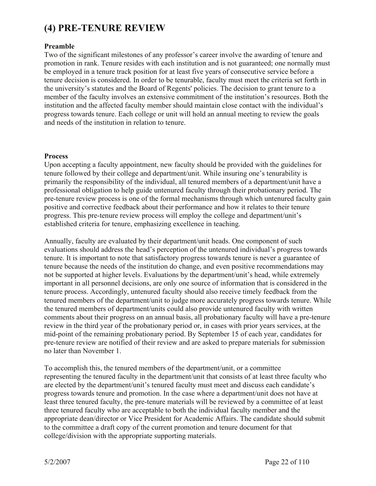# **(4) PRE-TENURE REVIEW**

#### **Preamble**

Two of the significant milestones of any professor's career involve the awarding of tenure and promotion in rank. Tenure resides with each institution and is not guaranteed; one normally must be employed in a tenure track position for at least five years of consecutive service before a tenure decision is considered. In order to be tenurable, faculty must meet the criteria set forth in the university's statutes and the Board of Regents' policies. The decision to grant tenure to a member of the faculty involves an extensive commitment of the institution's resources. Both the institution and the affected faculty member should maintain close contact with the individual's progress towards tenure. Each college or unit will hold an annual meeting to review the goals and needs of the institution in relation to tenure.

#### **Process**

Upon accepting a faculty appointment, new faculty should be provided with the guidelines for tenure followed by their college and department/unit. While insuring one's tenurability is primarily the responsibility of the individual, all tenured members of a department/unit have a professional obligation to help guide untenured faculty through their probationary period. The pre-tenure review process is one of the formal mechanisms through which untenured faculty gain positive and corrective feedback about their performance and how it relates to their tenure progress. This pre-tenure review process will employ the college and department/unit's established criteria for tenure, emphasizing excellence in teaching.

Annually, faculty are evaluated by their department/unit heads. One component of such evaluations should address the head's perception of the untenured individual's progress towards tenure. It is important to note that satisfactory progress towards tenure is never a guarantee of tenure because the needs of the institution do change, and even positive recommendations may not be supported at higher levels. Evaluations by the department/unit's head, while extremely important in all personnel decisions, are only one source of information that is considered in the tenure process. Accordingly, untenured faculty should also receive timely feedback from the tenured members of the department/unit to judge more accurately progress towards tenure. While the tenured members of department/units could also provide untenured faculty with written comments about their progress on an annual basis, all probationary faculty will have a pre-tenure review in the third year of the probationary period or, in cases with prior years services, at the mid-point of the remaining probationary period. By September 15 of each year, candidates for pre-tenure review are notified of their review and are asked to prepare materials for submission no later than November 1.

To accomplish this, the tenured members of the department/unit, or a committee representing the tenured faculty in the department/unit that consists of at least three faculty who are elected by the department/unit's tenured faculty must meet and discuss each candidate's progress towards tenure and promotion. In the case where a department/unit does not have at least three tenured faculty, the pre-tenure materials will be reviewed by a committee of at least three tenured faculty who are acceptable to both the individual faculty member and the appropriate dean/director or Vice President for Academic Affairs. The candidate should submit to the committee a draft copy of the current promotion and tenure document for that college/division with the appropriate supporting materials.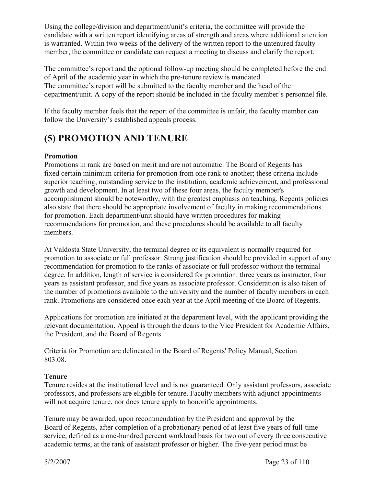Using the college/division and department/unit's criteria, the committee will provide the candidate with a written report identifying areas of strength and areas where additional attention is warranted. Within two weeks of the delivery of the written report to the untenured faculty member, the committee or candidate can request a meeting to discuss and clarify the report.

The committee's report and the optional follow-up meeting should be completed before the end of April of the academic year in which the pre-tenure review is mandated. The committee's report will be submitted to the faculty member and the head of the department/unit. A copy of the report should be included in the faculty member's personnel file.

If the faculty member feels that the report of the committee is unfair, the faculty member can follow the University's established appeals process.

# **(5) PROMOTION AND TENURE**

## **Promotion**

Promotions in rank are based on merit and are not automatic. The Board of Regents has fixed certain minimum criteria for promotion from one rank to another; these criteria include superior teaching, outstanding service to the institution, academic achievement, and professional growth and development. In at least two of these four areas, the faculty member's accomplishment should be noteworthy, with the greatest emphasis on teaching. Regents policies also state that there should be appropriate involvement of faculty in making recommendations for promotion. Each department/unit should have written procedures for making recommendations for promotion, and these procedures should be available to all faculty members.

At Valdosta State University, the terminal degree or its equivalent is normally required for promotion to associate or full professor. Strong justification should be provided in support of any recommendation for promotion to the ranks of associate or full professor without the terminal degree. In addition, length of service is considered for promotion: three years as instructor, four years as assistant professor, and five years as associate professor. Consideration is also taken of the number of promotions available to the university and the number of faculty members in each rank. Promotions are considered once each year at the April meeting of the Board of Regents.

Applications for promotion are initiated at the department level, with the applicant providing the relevant documentation. Appeal is through the deans to the Vice President for Academic Affairs, the President, and the Board of Regents.

Criteria for Promotion are delineated in the Board of Regents' Policy Manual, Section 803.08.

## **Tenure**

Tenure resides at the institutional level and is not guaranteed. Only assistant professors, associate professors, and professors are eligible for tenure. Faculty members with adjunct appointments will not acquire tenure, nor does tenure apply to honorific appointments.

Tenure may be awarded, upon recommendation by the President and approval by the Board of Regents, after completion of a probationary period of at least five years of full-time service, defined as a one-hundred percent workload basis for two out of every three consecutive academic terms, at the rank of assistant professor or higher. The five-year period must be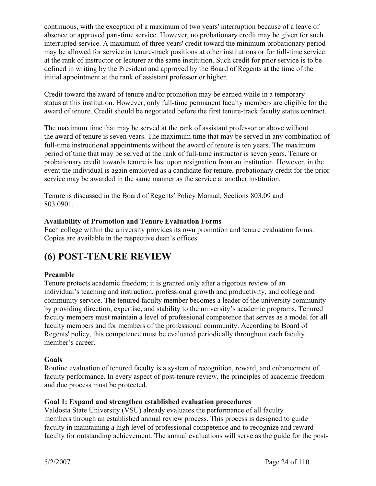continuous, with the exception of a maximum of two years' interruption because of a leave of absence or approved part-time service. However, no probationary credit may be given for such interrupted service. A maximum of three years' credit toward the minimum probationary period may be allowed for service in tenure-track positions at other institutions or for full-time service at the rank of instructor or lecturer at the same institution. Such credit for prior service is to be defined in writing by the President and approved by the Board of Regents at the time of the initial appointment at the rank of assistant professor or higher.

Credit toward the award of tenure and/or promotion may be earned while in a temporary status at this institution. However, only full-time permanent faculty members are eligible for the award of tenure. Credit should be negotiated before the first tenure-track faculty status contract.

The maximum time that may be served at the rank of assistant professor or above without the award of tenure is seven years. The maximum time that may be served in any combination of full-time instructional appointments without the award of tenure is ten years. The maximum period of time that may be served at the rank of full-time instructor is seven years. Tenure or probationary credit towards tenure is lost upon resignation from an institution. However, in the event the individual is again employed as a candidate for tenure, probationary credit for the prior service may be awarded in the same manner as the service at another institution.

Tenure is discussed in the Board of Regents' Policy Manual, Sections 803.09 and 803.0901.

### **Availability of Promotion and Tenure Evaluation Forms**

Each college within the university provides its own promotion and tenure evaluation forms. Copies are available in the respective dean's offices.

# **(6) POST-TENURE REVIEW**

#### **Preamble**

Tenure protects academic freedom; it is granted only after a rigorous review of an individual's teaching and instruction, professional growth and productivity, and college and community service. The tenured faculty member becomes a leader of the university community by providing direction, expertise, and stability to the university's academic programs. Tenured faculty members must maintain a level of professional competence that serves as a model for all faculty members and for members of the professional community. According to Board of Regents' policy, this competence must be evaluated periodically throughout each faculty member's career.

#### **Goals**

Routine evaluation of tenured faculty is a system of recognition, reward, and enhancement of faculty performance. In every aspect of post-tenure review, the principles of academic freedom and due process must be protected.

#### **Goal 1: Expand and strengthen established evaluation procedures**

Valdosta State University (VSU) already evaluates the performance of all faculty members through an established annual review process. This process is designed to guide faculty in maintaining a high level of professional competence and to recognize and reward faculty for outstanding achievement. The annual evaluations will serve as the guide for the post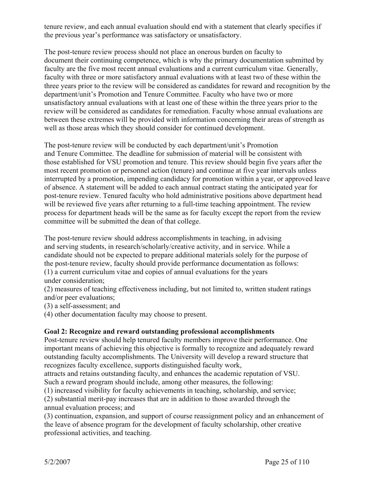tenure review, and each annual evaluation should end with a statement that clearly specifies if the previous year's performance was satisfactory or unsatisfactory.

The post-tenure review process should not place an onerous burden on faculty to document their continuing competence, which is why the primary documentation submitted by faculty are the five most recent annual evaluations and a current curriculum vitae. Generally, faculty with three or more satisfactory annual evaluations with at least two of these within the three years prior to the review will be considered as candidates for reward and recognition by the department/unit's Promotion and Tenure Committee. Faculty who have two or more unsatisfactory annual evaluations with at least one of these within the three years prior to the review will be considered as candidates for remediation. Faculty whose annual evaluations are between these extremes will be provided with information concerning their areas of strength as well as those areas which they should consider for continued development.

The post-tenure review will be conducted by each department/unit's Promotion and Tenure Committee. The deadline for submission of material will be consistent with those established for VSU promotion and tenure. This review should begin five years after the most recent promotion or personnel action (tenure) and continue at five year intervals unless interrupted by a promotion, impending candidacy for promotion within a year, or approved leave of absence. A statement will be added to each annual contract stating the anticipated year for post-tenure review. Tenured faculty who hold administrative positions above department head will be reviewed five years after returning to a full-time teaching appointment. The review process for department heads will be the same as for faculty except the report from the review committee will be submitted the dean of that college.

The post-tenure review should address accomplishments in teaching, in advising and serving students, in research/scholarly/creative activity, and in service. While a candidate should not be expected to prepare additional materials solely for the purpose of the post-tenure review, faculty should provide performance documentation as follows: (1) a current curriculum vitae and copies of annual evaluations for the years under consideration;

(2) measures of teaching effectiveness including, but not limited to, written student ratings and/or peer evaluations;

(3) a self-assessment; and

(4) other documentation faculty may choose to present.

#### **Goal 2: Recognize and reward outstanding professional accomplishments**

Post-tenure review should help tenured faculty members improve their performance. One important means of achieving this objective is formally to recognize and adequately reward outstanding faculty accomplishments. The University will develop a reward structure that recognizes faculty excellence, supports distinguished faculty work,

attracts and retains outstanding faculty, and enhances the academic reputation of VSU. Such a reward program should include, among other measures, the following:

(1) increased visibility for faculty achievements in teaching, scholarship, and service;

(2) substantial merit-pay increases that are in addition to those awarded through the annual evaluation process; and

(3) continuation, expansion, and support of course reassignment policy and an enhancement of the leave of absence program for the development of faculty scholarship, other creative professional activities, and teaching.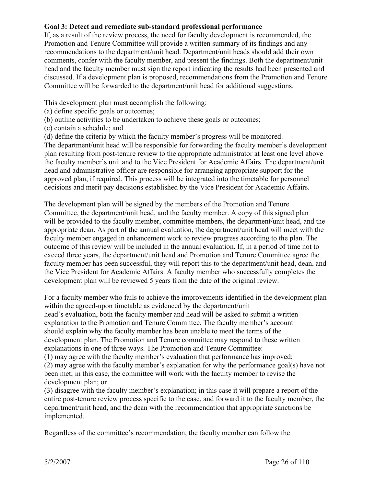#### **Goal 3: Detect and remediate sub-standard professional performance**

If, as a result of the review process, the need for faculty development is recommended, the Promotion and Tenure Committee will provide a written summary of its findings and any recommendations to the department/unit head. Department/unit heads should add their own comments, confer with the faculty member, and present the findings. Both the department/unit head and the faculty member must sign the report indicating the results had been presented and discussed. If a development plan is proposed, recommendations from the Promotion and Tenure Committee will be forwarded to the department/unit head for additional suggestions.

This development plan must accomplish the following:

- (a) define specific goals or outcomes;
- (b) outline activities to be undertaken to achieve these goals or outcomes;
- (c) contain a schedule; and
- (d) define the criteria by which the faculty member's progress will be monitored.

The department/unit head will be responsible for forwarding the faculty member's development plan resulting from post-tenure review to the appropriate administrator at least one level above the faculty member's unit and to the Vice President for Academic Affairs. The department/unit head and administrative officer are responsible for arranging appropriate support for the approved plan, if required. This process will be integrated into the timetable for personnel decisions and merit pay decisions established by the Vice President for Academic Affairs.

The development plan will be signed by the members of the Promotion and Tenure Committee, the department/unit head, and the faculty member. A copy of this signed plan will be provided to the faculty member, committee members, the department/unit head, and the appropriate dean. As part of the annual evaluation, the department/unit head will meet with the faculty member engaged in enhancement work to review progress according to the plan. The outcome of this review will be included in the annual evaluation. If, in a period of time not to exceed three years, the department/unit head and Promotion and Tenure Committee agree the faculty member has been successful, they will report this to the department/unit head, dean, and the Vice President for Academic Affairs. A faculty member who successfully completes the development plan will be reviewed 5 years from the date of the original review.

For a faculty member who fails to achieve the improvements identified in the development plan within the agreed-upon timetable as evidenced by the department/unit head's evaluation, both the faculty member and head will be asked to submit a written explanation to the Promotion and Tenure Committee. The faculty member's account should explain why the faculty member has been unable to meet the terms of the development plan. The Promotion and Tenure committee may respond to these written explanations in one of three ways. The Promotion and Tenure Committee: (1) may agree with the faculty member's evaluation that performance has improved;

(2) may agree with the faculty member's explanation for why the performance goal(s) have not been met; in this case, the committee will work with the faculty member to revise the development plan; or

(3) disagree with the faculty member's explanation; in this case it will prepare a report of the entire post-tenure review process specific to the case, and forward it to the faculty member, the department/unit head, and the dean with the recommendation that appropriate sanctions be implemented.

Regardless of the committee's recommendation, the faculty member can follow the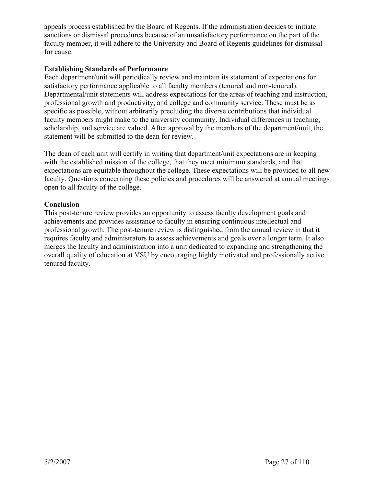appeals process established by the Board of Regents. If the administration decides to initiate sanctions or dismissal procedures because of an unsatisfactory performance on the part of the faculty member, it will adhere to the University and Board of Regents guidelines for dismissal for cause.

#### **Establishing Standards of Performance**

Each department/unit will periodically review and maintain its statement of expectations for satisfactory performance applicable to all faculty members (tenured and non-tenured). Departmental/unit statements will address expectations for the areas of teaching and instruction, professional growth and productivity, and college and community service. These must be as specific as possible, without arbitrarily precluding the diverse contributions that individual faculty members might make to the university community. Individual differences in teaching, scholarship, and service are valued. After approval by the members of the department/unit, the statement will be submitted to the dean for review.

The dean of each unit will certify in writing that department/unit expectations are in keeping with the established mission of the college, that they meet minimum standards, and that expectations are equitable throughout the college. These expectations will be provided to all new faculty. Questions concerning these policies and procedures will be answered at annual meetings open to all faculty of the college.

#### **Conclusion**

This post-tenure review provides an opportunity to assess faculty development goals and achievements and provides assistance to faculty in ensuring continuous intellectual and professional growth. The post-tenure review is distinguished from the annual review in that it requires faculty and administrators to assess achievements and goals over a longer term. It also merges the faculty and administration into a unit dedicated to expanding and strengthening the overall quality of education at VSU by encouraging highly motivated and professionally active tenured faculty.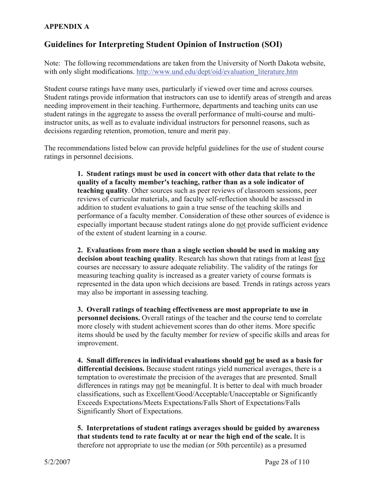## **APPENDIX A**

# **Guidelines for Interpreting Student Opinion of Instruction (SOI)**

Note: The following recommendations are taken from the University of North Dakota website, with only slight modifications. http://www.und.edu/dept/oid/evaluation\_literature.htm

Student course ratings have many uses, particularly if viewed over time and across courses. Student ratings provide information that instructors can use to identify areas of strength and areas needing improvement in their teaching. Furthermore, departments and teaching units can use student ratings in the aggregate to assess the overall performance of multi-course and multiinstructor units, as well as to evaluate individual instructors for personnel reasons, such as decisions regarding retention, promotion, tenure and merit pay.

The recommendations listed below can provide helpful guidelines for the use of student course ratings in personnel decisions.

> **1. Student ratings must be used in concert with other data that relate to the quality of a faculty member's teaching, rather than as a sole indicator of teaching quality**. Other sources such as peer reviews of classroom sessions, peer reviews of curricular materials, and faculty self-reflection should be assessed in addition to student evaluations to gain a true sense of the teaching skills and performance of a faculty member. Consideration of these other sources of evidence is especially important because student ratings alone do not provide sufficient evidence of the extent of student learning in a course.

> **2. Evaluations from more than a single section should be used in making any decision about teaching quality**. Research has shown that ratings from at least five courses are necessary to assure adequate reliability. The validity of the ratings for measuring teaching quality is increased as a greater variety of course formats is represented in the data upon which decisions are based. Trends in ratings across years may also be important in assessing teaching.

> **3. Overall ratings of teaching effectiveness are most appropriate to use in personnel decisions.** Overall ratings of the teacher and the course tend to correlate more closely with student achievement scores than do other items. More specific items should be used by the faculty member for review of specific skills and areas for improvement.

**4. Small differences in individual evaluations should not be used as a basis for differential decisions.** Because student ratings yield numerical averages, there is a temptation to overestimate the precision of the averages that are presented. Small differences in ratings may not be meaningful. It is better to deal with much broader classifications, such as Excellent/Good/Acceptable/Unacceptable or Significantly Exceeds Expectations/Meets Expectations/Falls Short of Expectations/Falls Significantly Short of Expectations.

**5. Interpretations of student ratings averages should be guided by awareness that students tend to rate faculty at or near the high end of the scale.** It is therefore not appropriate to use the median (or 50th percentile) as a presumed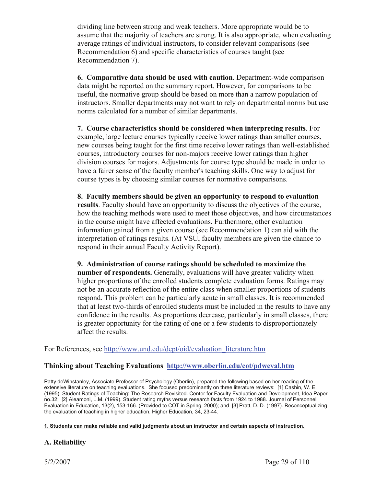dividing line between strong and weak teachers. More appropriate would be to assume that the majority of teachers are strong. It is also appropriate, when evaluating average ratings of individual instructors, to consider relevant comparisons (see Recommendation 6) and specific characteristics of courses taught (see Recommendation 7).

**6. Comparative data should be used with caution**. Department-wide comparison data might be reported on the summary report. However, for comparisons to be useful, the normative group should be based on more than a narrow population of instructors. Smaller departments may not want to rely on departmental norms but use norms calculated for a number of similar departments.

**7. Course characteristics should be considered when interpreting results**. For example, large lecture courses typically receive lower ratings than smaller courses, new courses being taught for the first time receive lower ratings than well-established courses, introductory courses for non-majors receive lower ratings than higher division courses for majors. Adjustments for course type should be made in order to have a fairer sense of the faculty member's teaching skills. One way to adjust for course types is by choosing similar courses for normative comparisons.

**8. Faculty members should be given an opportunity to respond to evaluation results**. Faculty should have an opportunity to discuss the objectives of the course, how the teaching methods were used to meet those objectives, and how circumstances in the course might have affected evaluations. Furthermore, other evaluation information gained from a given course (see Recommendation 1) can aid with the interpretation of ratings results. (At VSU, faculty members are given the chance to respond in their annual Faculty Activity Report).

**9. Administration of course ratings should be scheduled to maximize the number of respondents.** Generally, evaluations will have greater validity when higher proportions of the enrolled students complete evaluation forms. Ratings may not be an accurate reflection of the entire class when smaller proportions of students respond. This problem can be particularly acute in small classes. It is recommended that at least two-thirds of enrolled students must be included in the results to have any confidence in the results. As proportions decrease, particularly in small classes, there is greater opportunity for the rating of one or a few students to disproportionately affect the results.

For References, see http://www.und.edu/dept/oid/evaluation\_literature.htm

## **Thinking about Teaching Evaluations http://www.oberlin.edu/cot/pdweval.htm**

Patty deWinstanley, Associate Professor of Psychology (Oberlin), prepared the following based on her reading of the extensive literature on teaching evaluations. She focused predominantly on three literature reviews: [1] Cashin, W. E. (1995). Student Ratings of Teaching: The Research Revisited. Center for Faculty Evaluation and Development, Idea Paper no.32; [2] Aleamoni, L.M. (1999). Student rating myths versus research facts from 1924 to 1988. Journal of Personnel Evaluation in Education, 13(2), 153-166. (Provided to COT in Spring, 2000); and [3] Pratt, D. D. (1997). Reconceptualizing the evaluation of teaching in higher education. Higher Education, 34, 23-44.

#### **1. Students can make reliable and valid judgments about an instructor and certain aspects of instruction.**

#### **A. Reliability**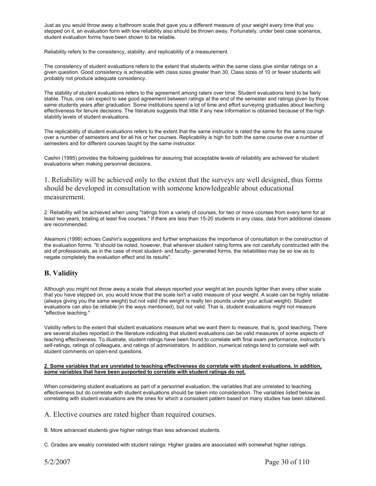Just as you would throw away a bathroom scale that gave you a different measure of your weight every time that you stepped on it, an evaluation form with low reliability also should be thrown away. Fortunately, under best case scenarios, student evaluation forms have been shown to be reliable.

Reliability refers to the consistency, stability, and replicability of a measurement.

The consistency of student evaluations refers to the extent that students within the same class give similar ratings on a given question. Good consistency is achievable with class sizes greater than 30. Class sizes of 10 or fewer students will probably not produce adequate consistency.

The stability of student evaluations refers to the agreement among raters over time. Student evaluations tend to be fairly stable. Thus, one can expect to see good agreement between ratings at the end of the semester and ratings given by those same students years after graduation. Some institutions spend a lot of time and effort surveying graduates about teaching effectiveness for tenure decisions. The literature suggests that little if any new information is obtained because of the high stability levels of student evaluations.

The replicability of student evaluations refers to the extent that the same instructor is rated the same for the same course over a number of semesters and for all his or her courses. Replicability is high for both the same course over a number of semesters and for different courses taught by the same instructor.

Cashin (1995) provides the following guidelines for assuring that acceptable levels of reliability are achieved for student evaluations when making personnel decisions.

1. Reliability will be achieved only to the extent that the surveys are well designed, thus forms should be developed in consultation with someone knowledgeable about educational measurement.

2. Reliability will be achieved when using "ratings from a variety of courses, for two or more courses from every term for at least two years, totaling at least five courses." If there are less than 15-20 students in any class, data from additional classes are recommended.

Aleamoni (1999) echoes Cashin's suggestions and further emphasizes the importance of consultation in the construction of the evaluation forms: "It should be noted, however, that wherever student rating forms are not carefully constructed with the aid of professionals, as in the case of most student- and faculty- generated forms, the reliabilities may be so low as to negate completely the evaluation effect and its results".

#### **B. Validity**

Although you might not throw away a scale that always reported your weight at ten pounds lighter than every other scale that you have stepped on, you would know that the scale isn't a valid measure of your weight. A scale can be highly reliable (always giving you the same weight) but not valid (the weight is really ten pounds under your actual weight). Student evaluations can also be reliable (in the ways mentioned), but not valid. That is, student evaluations might not measure "effective teaching."

Validity refers to the extent that student evaluations measure what we want them to measure, that is, good teaching. There are several studies reported in the literature indicating that student evaluations can be valid measures of some aspects of teaching effectiveness. To illustrate, student ratings have been found to correlate with final exam performance, instructor's self-ratings, ratings of colleagues, and ratings of administrators. In addition, numerical ratings tend to correlate well with student comments on open-end questions.

#### **2. Some variables that are unrelated to teaching effectiveness do correlate with student evaluations. In addition, some variables that have been purported to correlate with student ratings do not.**

When considering student evaluations as part of a personnel evaluation, the variables that are unrelated to teaching effectiveness but do correlate with student evaluations should be taken into consideration. The variables listed below as correlating with student evaluations are the ones for which a consistent pattern based on many studies has been obtained.

A. Elective courses are rated higher than required courses.

B. More advanced students give higher ratings than less advanced students.

C. Grades are weakly correlated with student ratings: Higher grades are associated with somewhat higher ratings.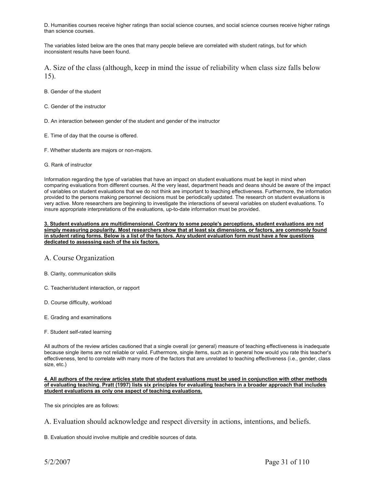D. Humanities courses receive higher ratings than social science courses, and social science courses receive higher ratings than science courses.

The variables listed below are the ones that many people believe are correlated with student ratings, but for which inconsistent results have been found.

A. Size of the class (although, keep in mind the issue of reliability when class size falls below 15).

- B. Gender of the student
- C. Gender of the instructor
- D. An interaction between gender of the student and gender of the instructor
- E. Time of day that the course is offered.
- F. Whether students are majors or non-majors.
- G. Rank of instructor

Information regarding the type of variables that have an impact on student evaluations must be kept in mind when comparing evaluations from different courses. At the very least, department heads and deans should be aware of the impact of variables on student evaluations that we do not think are important to teaching effectiveness. Furthermore, the information provided to the persons making personnel decisions must be periodically updated. The research on student evaluations is very active. More researchers are beginning to investigate the interactions of several variables on student evaluations. To insure appropriate interpretations of the evaluations, up-to-date information must be provided.

#### **3. Student evaluations are multidimensional. Contrary to some people's perceptions, student evaluations are not simply measuring popularity. Most researchers show that at least six dimensions, or factors, are commonly found in student rating forms. Below is a list of the factors. Any student evaluation form must have a few questions dedicated to assessing each of the six factors.**

#### A. Course Organization

- B. Clarity, communication skills
- C. Teacher/student interaction, or rapport
- D. Course difficulty, workload
- E. Grading and examinations
- F. Student self-rated learning

All authors of the review articles cautioned that a single overall (or general) measure of teaching effectiveness is inadequate because single items are not reliable or valid. Futhermore, single items, such as in general how would you rate this teacher's effectiveness, tend to correlate with many more of the factors that are unrelated to teaching effectiveness (i.e., gender, class size, etc.)

**4. All authors of the review articles state that student evaluations must be used in conjunction with other methods of evaluating teaching. Pratt (1997) lists six principles for evaluating teachers in a broader approach that includes student evaluations as only one aspect of teaching evaluations.**

The six principles are as follows:

B. Evaluation should involve multiple and credible sources of data.

A. Evaluation should acknowledge and respect diversity in actions, intentions, and beliefs.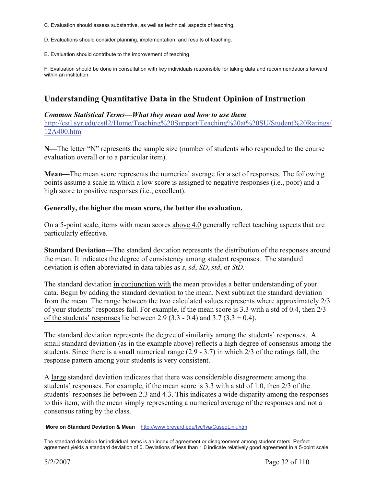- C. Evaluation should assess substantive, as well as technical, aspects of teaching.
- D. Evaluations should consider planning, implementation, and results of teaching.
- E. Evaluation should contribute to the improvement of teaching.

F. Evaluation should be done in consultation with key individuals responsible for taking data and recommendations forward within an institution.

# **Understanding Quantitative Data in the Student Opinion of Instruction**

#### *Common Statistical Terms—What they mean and how to use them*

http://cstl.syr.edu/cstl2/Home/Teaching%20Support/Teaching%20at%20SU/Student%20Ratings/ 12A400.htm

**N—**The letter "N" represents the sample size (number of students who responded to the course evaluation overall or to a particular item).

**Mean—**The mean score represents the numerical average for a set of responses. The following points assume a scale in which a low score is assigned to negative responses (i.e., poor) and a high score to positive responses (i.e., excellent).

#### **Generally, the higher the mean score, the better the evaluation.**

On a 5-point scale, items with mean scores above 4.0 generally reflect teaching aspects that are particularly effective.

**Standard Deviation—**The standard deviation represents the distribution of the responses around the mean. It indicates the degree of consistency among student responses. The standard deviation is often abbreviated in data tables as *s*, *sd*, *SD*, *std*, or *StD*.

The standard deviation in conjunction with the mean provides a better understanding of your data. Begin by adding the standard deviation to the mean. Next subtract the standard deviation from the mean. The range between the two calculated values represents where approximately 2/3 of your students' responses fall. For example, if the mean score is 3.3 with a std of 0.4, then 2/3 of the students' responses lie between 2.9 (3.3 - 0.4) and 3.7 (3.3 + 0.4).

The standard deviation represents the degree of similarity among the students' responses. A small standard deviation (as in the example above) reflects a high degree of consensus among the students. Since there is a small numerical range (2.9 - 3.7) in which 2/3 of the ratings fall, the response pattern among your students is very consistent.

A large standard deviation indicates that there was considerable disagreement among the students' responses. For example, if the mean score is 3.3 with a std of 1.0, then 2/3 of the students' responses lie between 2.3 and 4.3. This indicates a wide disparity among the responses to this item, with the mean simply representing a numerical average of the responses and not a consensus rating by the class.

#### **More on Standard Deviation & Mean** http://www.brevard.edu/fyc/fya/CuseoLink.htm

The standard deviation for individual items is an index of agreement or disagreement among student raters. Perfect agreement yields a standard deviation of 0. Deviations of less than 1.0 indicate relatively good agreement in a 5-point scale.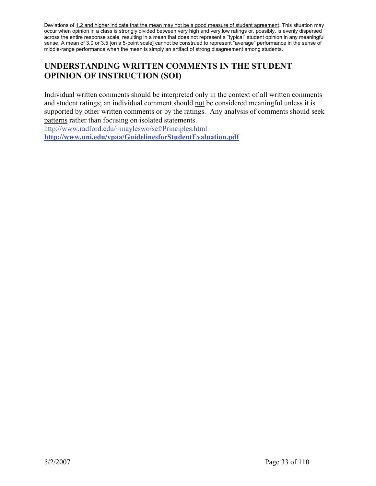Deviations of 1.2 and higher indicate that the mean may not be a good measure of student agreement. This situation may occur when opinion in a class is strongly divided between very high and very low ratings or, possibly, is evenly dispersed across the entire response scale, resulting in a mean that does not represent a "typical" student opinion in any meaningful sense. A mean of 3.0 or 3.5 [on a 5-point scale] cannot be construed to represent "average" performance in the sense of middle-range performance when the mean is simply an artifact of strong disagreement among students.

# **UNDERSTANDING WRITTEN COMMENTS IN THE STUDENT OPINION OF INSTRUCTION (SOI)**

Individual written comments should be interpreted only in the context of all written comments and student ratings; an individual comment should not be considered meaningful unless it is supported by other written comments or by the ratings. Any analysis of comments should seek patterns rather than focusing on isolated statements.

http://www.radford.edu/~mayleswo/sef/Principles.html

**http://www.uni.edu/vpaa/GuidelinesforStudentEvaluation.pdf**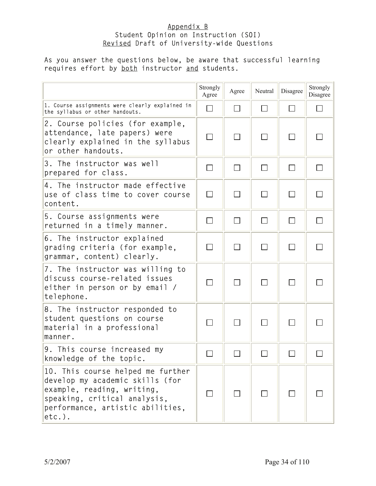#### Appendix B Student Opinion on Instruction (SOI) Revised Draft of University-wide Questions

#### As you answer the questions below, be aware that successful learning requires effort by **both** instructor and students.

|                                                                                                                                                                                     | Strongly<br>Agree | Agree                       | Neutral | Disagree | Strongly<br>Disagree |
|-------------------------------------------------------------------------------------------------------------------------------------------------------------------------------------|-------------------|-----------------------------|---------|----------|----------------------|
| 1. Course assignments were clearly explained in<br>the syllabus or other handouts.                                                                                                  | $\Box$            | $\Box$                      |         | $\Box$   |                      |
| 2. Course policies (for example,<br>attendance, late papers) were<br>clearly explained in the syllabus<br>or other handouts.                                                        | $\Box$            | $\mathcal{L}_{\mathcal{A}}$ | $\Box$  | $\Box$   |                      |
| 3. The instructor was well<br>prepared for class.                                                                                                                                   |                   | $\sim$                      |         |          |                      |
| 4. The instructor made effective<br>use of class time to cover course<br>content.                                                                                                   | $\Box$            | П                           | $\Box$  | П        |                      |
| 5. Course assignments were<br>returned in a timely manner.                                                                                                                          | П                 | $\Box$                      | $\Box$  | $\Box$   |                      |
| 6. The instructor explained<br>grading criteria (for example,<br>grammar, content) clearly.                                                                                         | П                 | $\Box$                      | $\Box$  | $\Box$   |                      |
| 7. The instructor was willing to<br>discuss course-related issues<br>either in person or by email /<br>telephone.                                                                   | $\Box$            | $\Box$                      |         |          |                      |
| 8. The instructor responded to<br>student questions on course<br>material in a professional<br>manner.                                                                              |                   |                             |         |          |                      |
| 9. This course increased my<br>knowledge of the topic.                                                                                                                              |                   |                             |         |          |                      |
| 10. This course helped me further<br>develop my academic skills (for<br>example, reading, writing,<br>speaking, critical analysis,<br>performance, artistic abilities,<br>$etc.$ ). |                   |                             |         |          |                      |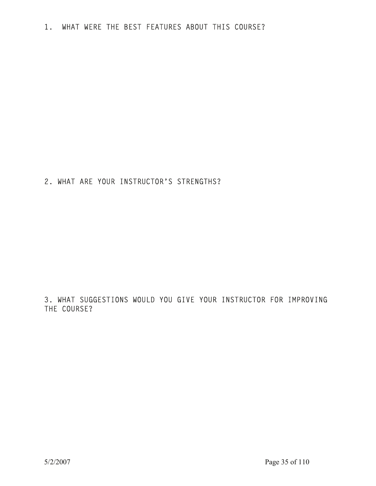2. WHAT ARE YOUR INSTRUCTOR'S STRENGTHS?

3. WHAT SUGGESTIONS WOULD YOU GIVE YOUR INSTRUCTOR FOR IMPROVING THE COURSE?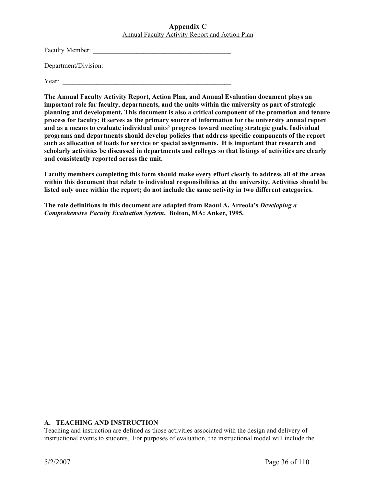#### **Appendix C**  Annual Faculty Activity Report and Action Plan

Faculty Member: \_\_\_\_\_\_\_\_\_\_\_\_\_\_\_\_\_\_\_\_\_\_\_\_\_\_\_\_\_\_\_\_\_\_\_\_\_\_\_\_\_

Department/Division:

Year:

**The Annual Faculty Activity Report, Action Plan, and Annual Evaluation document plays an important role for faculty, departments, and the units within the university as part of strategic planning and development. This document is also a critical component of the promotion and tenure process for faculty; it serves as the primary source of information for the university annual report and as a means to evaluate individual units' progress toward meeting strategic goals. Individual programs and departments should develop policies that address specific components of the report such as allocation of loads for service or special assignments. It is important that research and scholarly activities be discussed in departments and colleges so that listings of activities are clearly and consistently reported across the unit.** 

**Faculty members completing this form should make every effort clearly to address all of the areas within this document that relate to individual responsibilities at the university. Activities should be listed only once within the report; do not include the same activity in two different categories.** 

**The role definitions in this document are adapted from Raoul A. Arreola's** *Developing a Comprehensive Faculty Evaluation System***. Bolton, MA: Anker, 1995.** 

#### **A. TEACHING AND INSTRUCTION**

Teaching and instruction are defined as those activities associated with the design and delivery of instructional events to students. For purposes of evaluation, the instructional model will include the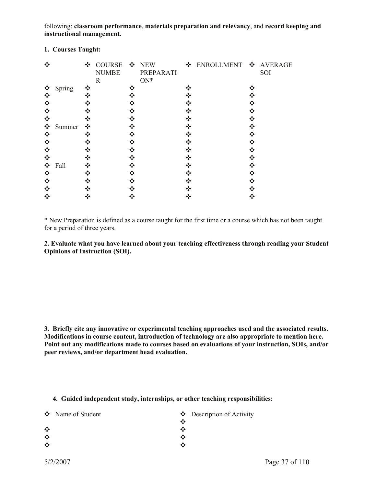following: **classroom performance**, **materials preparation and relevancy**, and **record keeping and instructional management.** 

| ❖ |        |   | ❖ COURSE ❖ NEW<br><b>NUMBE</b><br>$\mathbf R$ |   | PREPARATI<br>$ON*$ | ❖ ENROLLMENT ❖ AVERAGE | SOI |
|---|--------|---|-----------------------------------------------|---|--------------------|------------------------|-----|
| ❖ | Spring |   |                                               | ❖ |                    |                        |     |
| ❖ |        |   |                                               |   |                    |                        |     |
| ❖ |        |   |                                               |   |                    |                        |     |
| ❖ |        |   |                                               |   |                    |                        |     |
| ❖ |        |   |                                               |   |                    |                        |     |
| ❖ | Summer | ❖ |                                               |   |                    |                        |     |
| ❖ |        |   |                                               |   |                    |                        |     |
| ❖ |        |   |                                               |   |                    |                        |     |
| ❖ |        |   |                                               |   |                    |                        |     |
| ❖ |        |   |                                               |   |                    |                        |     |
| ❖ | Fall   |   |                                               |   |                    |                        |     |
| ❖ |        |   |                                               |   |                    |                        |     |
| ❖ |        |   |                                               |   |                    |                        |     |
| ❖ |        |   |                                               |   |                    |                        |     |
|   |        |   |                                               |   |                    |                        |     |

# **1. Courses Taught:**

\* New Preparation is defined as a course taught for the first time or a course which has not been taught for a period of three years.

**2. Evaluate what you have learned about your teaching effectiveness through reading your Student Opinions of Instruction (SOI).** 

**3. Briefly cite any innovative or experimental teaching approaches used and the associated results. Modifications in course content, introduction of technology are also appropriate to mention here. Point out any modifications made to courses based on evaluations of your instruction, SOIs, and/or peer reviews, and/or department head evaluation.** 

# **4. Guided independent study, internships, or other teaching responsibilities:**

|         | ❖ Name of Student |     | $\bullet$ Description of Activity |
|---------|-------------------|-----|-----------------------------------|
|         |                   |     |                                   |
| $\cdot$ |                   |     |                                   |
| $\cdot$ |                   | ∙.∙ |                                   |
| $\cdot$ |                   |     |                                   |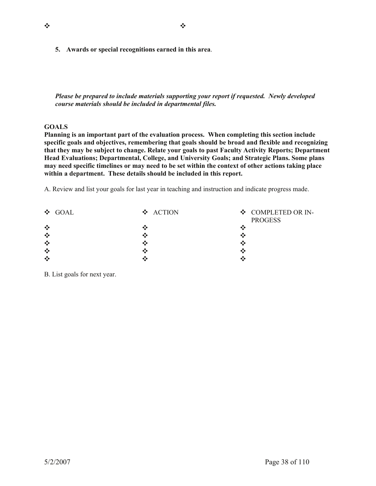**5. Awards or special recognitions earned in this area**.

*Please be prepared to include materials supporting your report if requested. Newly developed course materials should be included in departmental files.* 

# **GOALS**

**Planning is an important part of the evaluation process. When completing this section include specific goals and objectives, remembering that goals should be broad and flexible and recognizing that they may be subject to change. Relate your goals to past Faculty Activity Reports; Department Head Evaluations; Departmental, College, and University Goals; and Strategic Plans. Some plans may need specific timelines or may need to be set within the context of other actions taking place within a department. These details should be included in this report.** 

A. Review and list your goals for last year in teaching and instruction and indicate progress made.

| $\div$ GOAL | ❖ ACTION | ❖ COMPLETED OR IN-<br><b>PROGESS</b> |
|-------------|----------|--------------------------------------|
| ❖           |          | ×                                    |
| ❖           |          |                                      |
| ❖           |          |                                      |
| $\cdot$     |          |                                      |
| ❖           |          | ۰۰                                   |

B. List goals for next year.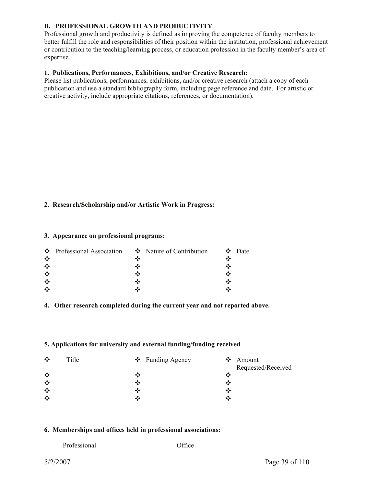# **B. PROFESSIONAL GROWTH AND PRODUCTIVITY**

Professional growth and productivity is defined as improving the competence of faculty members to better fulfill the role and responsibilities of their position within the institution, professional achievement or contribution to the teaching/learning process, or education profession in the faculty member's area of expertise.

# **1. Publications, Performances, Exhibitions, and/or Creative Research:**

Please list publications, performances, exhibitions, and/or creative research (attach a copy of each publication and use a standard bibliography form, including page reference and date. For artistic or creative activity, include appropriate citations, references, or documentation).

# **2. Research/Scholarship and/or Artistic Work in Progress:**

#### **3. Appearance on professional programs:**

|         | $\bullet$ Professional Association $\bullet$ Nature of Contribution | $\mathbf{\hat{\cdot}}$ Date |
|---------|---------------------------------------------------------------------|-----------------------------|
| $\cdot$ |                                                                     |                             |
| $\cdot$ |                                                                     |                             |
| $\cdot$ |                                                                     |                             |
| $\cdot$ |                                                                     |                             |
| $\cdot$ |                                                                     |                             |

# **4. Other research completed during the current year and not reported above.**

# **5. Applications for university and external funding/funding received**

| $\cdot$<br>Title<br>$\div$ Funding Agency | $\bullet$ Amount   |
|-------------------------------------------|--------------------|
|                                           | Requested/Received |
| ❖<br>∙:∙                                  |                    |
| $\cdot$<br>∙:∙                            |                    |
| $\frac{1}{2}$<br>•;∙                      | ∗;∙                |
| ❖<br>∙ĭ∙                                  | ◆:◆                |

# **6. Memberships and offices held in professional associations:**

| Professional |  |  |
|--------------|--|--|
|              |  |  |

Office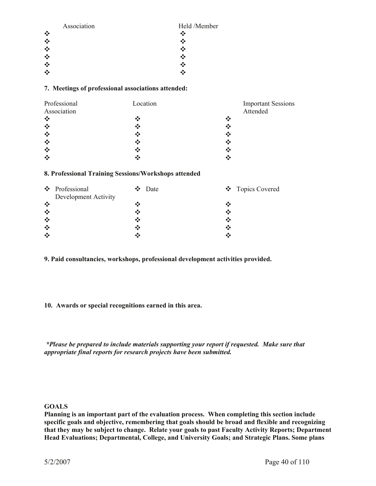| Association    | Held /Member |
|----------------|--------------|
| $\ddot{\cdot}$ | ∗∑∙          |
| ❖              |              |
|                |              |
| $\ddot{\cdot}$ |              |
| ❖              | ∙:∙          |
|                |              |

# **7. Meetings of professional associations attended:**

| Professional                          | Location | <b>Important Sessions</b> |
|---------------------------------------|----------|---------------------------|
| Association                           |          | Attended                  |
| $\cdot$ :                             | ❖        | ❖                         |
| $\bullet^*_{\bullet}\bullet$          | ❖        | ❖                         |
| $\bullet^{\bullet}_{\bullet} \bullet$ | ❖        | ❖                         |
| $\ddot{\cdot}$                        | ❖        | ❖                         |
| $\cdot$                               | ❖        | ❖                         |
| $\cdot$                               |          | ∙∑                        |

#### **8. Professional Training Sessions/Workshops attended**

|         | ❖ Professional       |     | $\div$ Date |    | ❖ Topics Covered |
|---------|----------------------|-----|-------------|----|------------------|
|         | Development Activity |     |             |    |                  |
| $\cdot$ |                      |     |             |    |                  |
| ❖       |                      |     |             | ∙∑ |                  |
| $\cdot$ |                      | ∙ĭ∙ |             | ×  |                  |
| ❖       |                      |     |             | ∙₹ |                  |
| ❖       |                      |     |             |    |                  |

**9. Paid consultancies, workshops, professional development activities provided.** 

# **10. Awards or special recognitions earned in this area.**

 *\*Please be prepared to include materials supporting your report if requested. Make sure that appropriate final reports for research projects have been submitted.* 

# **GOALS**

**Planning is an important part of the evaluation process. When completing this section include specific goals and objective, remembering that goals should be broad and flexible and recognizing that they may be subject to change. Relate your goals to past Faculty Activity Reports; Department Head Evaluations; Departmental, College, and University Goals; and Strategic Plans. Some plans**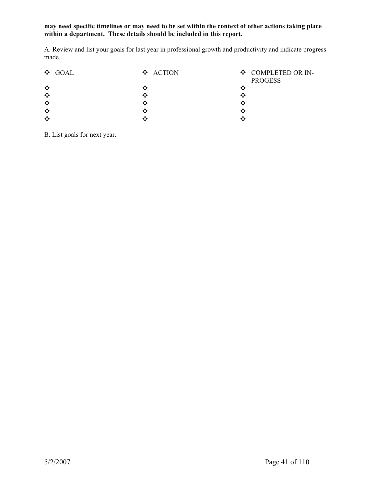# **may need specific timelines or may need to be set within the context of other actions taking place within a department. These details should be included in this report.**

A. Review and list your goals for last year in professional growth and productivity and indicate progress made.

| ❖ GOAL | ❖ ACTION | ❖ COMPLETED OR IN-<br><b>PROGESS</b> |
|--------|----------|--------------------------------------|
| ❖      |          |                                      |
| ❖      |          |                                      |
| ❖      |          |                                      |
| ❖      |          |                                      |
| ❖      |          |                                      |

B. List goals for next year.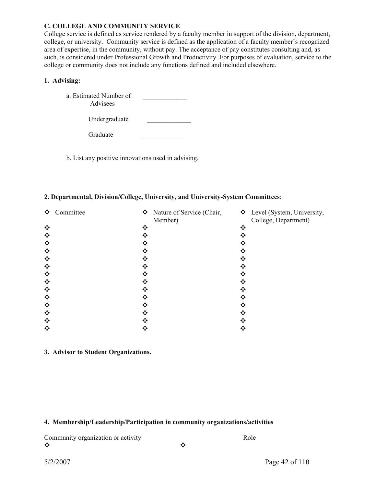#### **C. COLLEGE AND COMMUNITY SERVICE**

Graduate

College service is defined as service rendered by a faculty member in support of the division, department, college, or university. Community service is defined as the application of a faculty member's recognized area of expertise, in the community, without pay. The acceptance of pay constitutes consulting and, as such, is considered under Professional Growth and Productivity. For purposes of evaluation, service to the college or community does not include any functions defined and included elsewhere.

# **1. Advising:**

| a. Estimated Number of<br>Advisees |  |
|------------------------------------|--|
| Undergraduate                      |  |

b. List any positive innovations used in advising.

#### **2. Departmental, Division/College, University, and University-System Committees**:

| ❖ | Committee |   | $\mathbf{\hat{\cdot}}$ Nature of Service (Chair,<br>Member) | ❖ Level (System, University,<br>College, Department) |
|---|-----------|---|-------------------------------------------------------------|------------------------------------------------------|
| ❖ |           | ❖ | ❖                                                           |                                                      |
| ❖ |           |   | ∙?∙                                                         |                                                      |
| ❖ |           |   |                                                             |                                                      |
| ❖ |           |   |                                                             |                                                      |
| ❖ |           |   |                                                             |                                                      |
| ❖ |           |   |                                                             |                                                      |
| ❖ |           |   |                                                             |                                                      |
| ❖ |           |   |                                                             |                                                      |
| ❖ |           |   |                                                             |                                                      |
| ❖ |           |   |                                                             |                                                      |
| ❖ |           |   |                                                             |                                                      |
| ❖ |           |   |                                                             |                                                      |
| ❖ |           |   |                                                             |                                                      |
| ❖ |           |   |                                                             |                                                      |

# **3. Advisor to Student Organizations.**

# **4. Membership/Leadership/Participation in community organizations/activities**

Community organization or activity Role

Y Y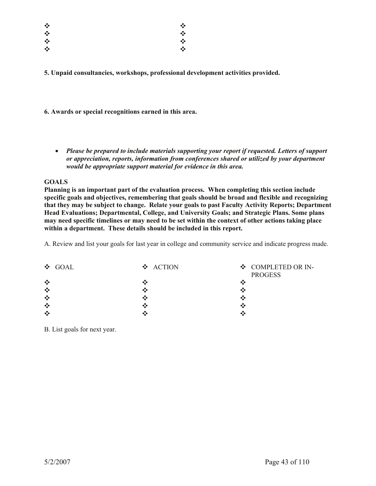| ❖ | ❖ |
|---|---|
| ❖ | ❖ |
| ❖ | ❖ |
| ❖ | ❖ |

**5. Unpaid consultancies, workshops, professional development activities provided.** 

**6. Awards or special recognitions earned in this area.** 

x *Please be prepared to include materials supporting your report if requested. Letters of support or appreciation, reports, information from conferences shared or utilized by your department would be appropriate support material for evidence in this area.* 

# **GOALS**

**Planning is an important part of the evaluation process. When completing this section include specific goals and objectives, remembering that goals should be broad and flexible and recognizing that they may be subject to change. Relate your goals to past Faculty Activity Reports; Department Head Evaluations; Departmental, College, and University Goals; and Strategic Plans. Some plans may need specific timelines or may need to be set within the context of other actions taking place within a department. These details should be included in this report.** 

A. Review and list your goals for last year in college and community service and indicate progress made.

| $\div$ GOAL | ❖ ACTION | ❖ COMPLETED OR IN-<br><b>PROGESS</b> |
|-------------|----------|--------------------------------------|
| ❖           |          | ∙∴                                   |
| ❖           |          | ۰×                                   |
| $\cdot$     |          | ∙:                                   |
| $\cdot$     |          | ∙∴                                   |
| ❖           |          | ۰×                                   |

B. List goals for next year.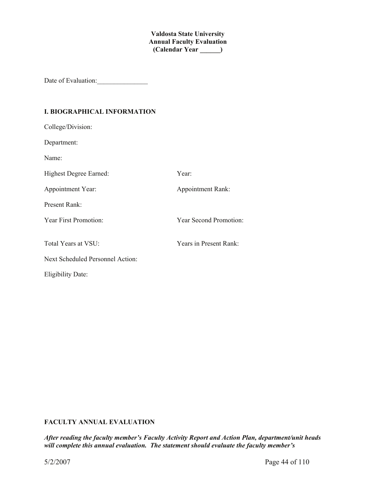**Valdosta State University Annual Faculty Evaluation (Calendar Year \_\_\_\_\_\_)**

Date of Evaluation:\_\_\_\_\_\_\_\_\_\_\_\_\_\_\_

# **I. BIOGRAPHICAL INFORMATION**

| College/Division:                |                          |
|----------------------------------|--------------------------|
| Department:                      |                          |
| Name:                            |                          |
| Highest Degree Earned:           | Year:                    |
| Appointment Year:                | <b>Appointment Rank:</b> |
| <b>Present Rank:</b>             |                          |
| Year First Promotion:            | Year Second Promotion:   |
|                                  |                          |
| Total Years at VSU:              | Years in Present Rank:   |
| Next Scheduled Personnel Action: |                          |
| <b>Eligibility Date:</b>         |                          |

# **FACULTY ANNUAL EVALUATION**

*After reading the faculty member's Faculty Activity Report and Action Plan, department/unit heads will complete this annual evaluation. The statement should evaluate the faculty member's*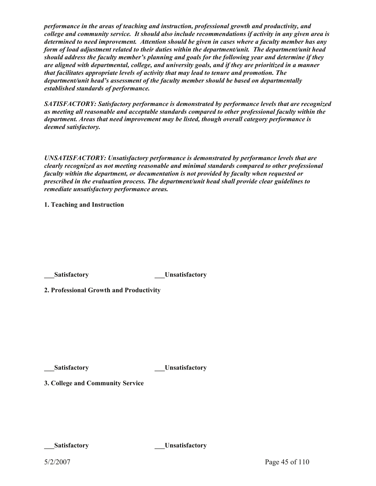*performance in the areas of teaching and instruction, professional growth and productivity, and college and community service. It should also include recommendations if activity in any given area is determined to need improvement. Attention should be given in cases where a faculty member has any form of load adjustment related to their duties within the department/unit. The department/unit head should address the faculty member's planning and goals for the following year and determine if they are aligned with departmental, college, and university goals, and if they are prioritized in a manner that facilitates appropriate levels of activity that may lead to tenure and promotion. The department/unit head's assessment of the faculty member should be based on departmentally established standards of performance.* 

*SATISFACTORY: Satisfactory performance is demonstrated by performance levels that are recognized as meeting all reasonable and acceptable standards compared to other professional faculty within the department. Areas that need improvement may be listed, though overall category performance is deemed satisfactory.* 

*UNSATISFACTORY: Unsatisfactory performance is demonstrated by performance levels that are clearly recognized as not meeting reasonable and minimal standards compared to other professional faculty within the department, or documentation is not provided by faculty when requested or prescribed in the evaluation process. The department/unit head shall provide clear guidelines to remediate unsatisfactory performance areas.* 

**1. Teaching and Instruction** 

**The Satisfactory**  The Unsatisfactory

**2. Professional Growth and Productivity** 

**Let us at isomethic state of the state of the state of the state of the state of the state of the state of the state of the state of the state of the state of the state of the state of the state of the state of the state** 

**3. College and Community Service** 

**\_\_\_Satisfactory \_\_\_Unsatisfactory**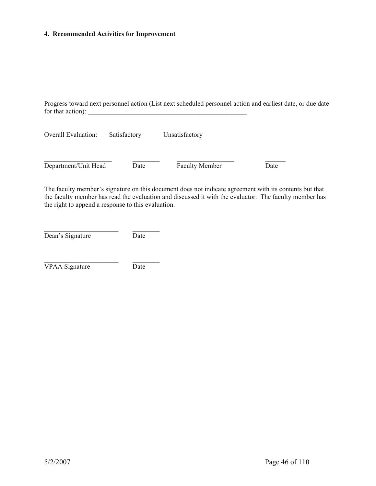#### **4. Recommended Activities for Improvement**

Progress toward next personnel action (List next scheduled personnel action and earliest date, or due date for that action):  $\frac{1}{\sqrt{1-\frac{1}{2}}\sqrt{1-\frac{1}{2}}\left\vert \frac{1}{2}+2\right\vert }$ 

| <b>Overall Evaluation:</b> | Satisfactory | Unsatisfactory        |      |
|----------------------------|--------------|-----------------------|------|
|                            |              |                       |      |
| Department/Unit Head       | Date         | <b>Faculty Member</b> | Date |

The faculty member's signature on this document does not indicate agreement with its contents but that the faculty member has read the evaluation and discussed it with the evaluator. The faculty member has the right to append a response to this evaluation.

| Dean's Signature | Date |
|------------------|------|
|------------------|------|

 $\mathcal{L}_\text{max}$ 

 $\mathcal{L}_\text{max}$ 

VPAA Signature Date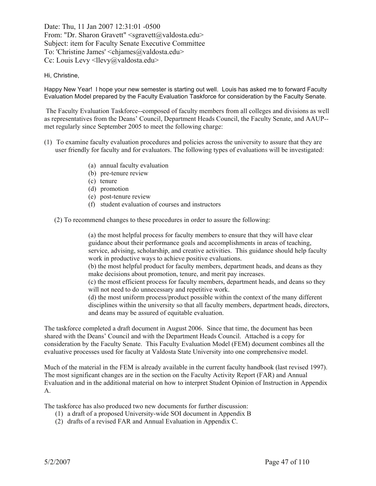Date: Thu, 11 Jan 2007 12:31:01 -0500 From: "Dr. Sharon Gravett" <sgravett@valdosta.edu> Subject: item for Faculty Senate Executive Committee To: 'Christine James' <chjames@valdosta.edu> Cc: Louis Levy <llevy@valdosta.edu>

#### Hi, Christine,

Happy New Year! I hope your new semester is starting out well. Louis has asked me to forward Faculty Evaluation Model prepared by the Faculty Evaluation Taskforce for consideration by the Faculty Senate.

The Faculty Evaluation Taskforce--composed of faculty members from all colleges and divisions as well as representatives from the Deans' Council, Department Heads Council, the Faculty Senate, and AAUP- met regularly since September 2005 to meet the following charge:

- (1) To examine faculty evaluation procedures and policies across the university to assure that they are user friendly for faculty and for evaluators. The following types of evaluations will be investigated:
	- (a) annual faculty evaluation
	- (b) pre-tenure review
	- (c) tenure
	- (d) promotion
	- (e) post-tenure review
	- (f) student evaluation of courses and instructors

(2) To recommend changes to these procedures in order to assure the following:

(a) the most helpful process for faculty members to ensure that they will have clear guidance about their performance goals and accomplishments in areas of teaching, service, advising, scholarship, and creative activities. This guidance should help faculty work in productive ways to achieve positive evaluations.

(b) the most helpful product for faculty members, department heads, and deans as they make decisions about promotion, tenure, and merit pay increases.

(c) the most efficient process for faculty members, department heads, and deans so they will not need to do unnecessary and repetitive work.

(d) the most uniform process/product possible within the context of the many different disciplines within the university so that all faculty members, department heads, directors, and deans may be assured of equitable evaluation.

The taskforce completed a draft document in August 2006. Since that time, the document has been shared with the Deans' Council and with the Department Heads Council. Attached is a copy for consideration by the Faculty Senate. This Faculty Evaluation Model (FEM) document combines all the evaluative processes used for faculty at Valdosta State University into one comprehensive model.

Much of the material in the FEM is already available in the current faculty handbook (last revised 1997). The most significant changes are in the section on the Faculty Activity Report (FAR) and Annual Evaluation and in the additional material on how to interpret Student Opinion of Instruction in Appendix A.

The taskforce has also produced two new documents for further discussion:

- (1) a draft of a proposed University-wide SOI document in Appendix B
- (2) drafts of a revised FAR and Annual Evaluation in Appendix C.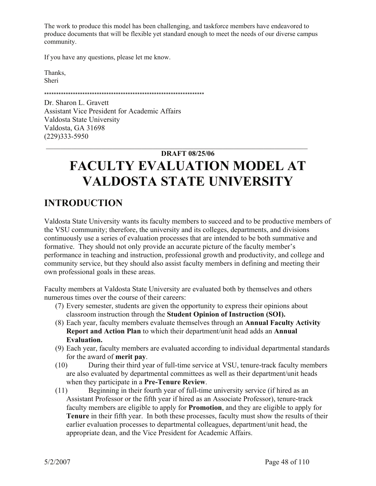The work to produce this model has been challenging, and taskforce members have endeavored to produce documents that will be flexible yet standard enough to meet the needs of our diverse campus community.

If you have any questions, please let me know.

Thanks, Sheri

\*\*\*\*\*\*\*\*\*\*\*\*\*\*\*\*\*\*\*\*\*\*\*\*\*\*\*\*\*\*\*\*\*\*\*\*\*\*\*\*\*\*\*\*\*\*\*\*\*\*\*\*\*\*\*\*\*\*\*\*\*\*\*\*\*\*\*

Dr. Sharon L. Gravett Assistant Vice President for Academic Affairs Valdosta State University Valdosta, GA 31698 (229)333-5950

# **DRAFT 08/25/06 FACULTY EVALUATION MODEL AT VALDOSTA STATE UNIVERSITY**

 $\mathcal{L}_\text{max} = \mathcal{L}_\text{max} = \mathcal{L}_\text{max} = \mathcal{L}_\text{max} = \mathcal{L}_\text{max} = \mathcal{L}_\text{max} = \mathcal{L}_\text{max} = \mathcal{L}_\text{max} = \mathcal{L}_\text{max} = \mathcal{L}_\text{max} = \mathcal{L}_\text{max} = \mathcal{L}_\text{max} = \mathcal{L}_\text{max} = \mathcal{L}_\text{max} = \mathcal{L}_\text{max} = \mathcal{L}_\text{max} = \mathcal{L}_\text{max} = \mathcal{L}_\text{max} = \mathcal{$ 

# **INTRODUCTION**

Valdosta State University wants its faculty members to succeed and to be productive members of the VSU community; therefore, the university and its colleges, departments, and divisions continuously use a series of evaluation processes that are intended to be both summative and formative. They should not only provide an accurate picture of the faculty member's performance in teaching and instruction, professional growth and productivity, and college and community service, but they should also assist faculty members in defining and meeting their own professional goals in these areas.

Faculty members at Valdosta State University are evaluated both by themselves and others numerous times over the course of their careers:

- (7) Every semester, students are given the opportunity to express their opinions about classroom instruction through the **Student Opinion of Instruction (SOI).**
- (8) Each year, faculty members evaluate themselves through an **Annual Faculty Activity Report and Action Plan** to which their department/unit head adds an **Annual Evaluation.**
- (9) Each year, faculty members are evaluated according to individual departmental standards for the award of **merit pay**.
- (10) During their third year of full-time service at VSU, tenure-track faculty members are also evaluated by departmental committees as well as their department/unit heads when they participate in a **Pre-Tenure Review**.
- (11) Beginning in their fourth year of full-time university service (if hired as an Assistant Professor or the fifth year if hired as an Associate Professor), tenure-track faculty members are eligible to apply for **Promotion**, and they are eligible to apply for **Tenure** in their fifth year. In both these processes, faculty must show the results of their earlier evaluation processes to departmental colleagues, department/unit head, the appropriate dean, and the Vice President for Academic Affairs.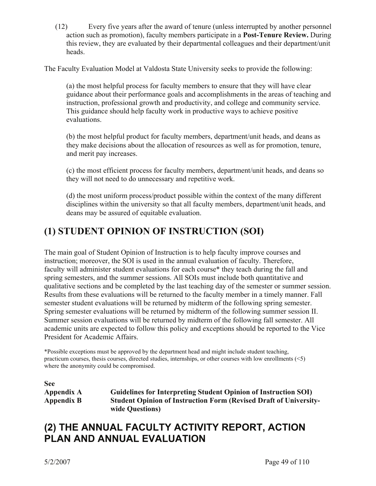(12) Every five years after the award of tenure (unless interrupted by another personnel action such as promotion), faculty members participate in a **Post-Tenure Review.** During this review, they are evaluated by their departmental colleagues and their department/unit heads.

The Faculty Evaluation Model at Valdosta State University seeks to provide the following:

(a) the most helpful process for faculty members to ensure that they will have clear guidance about their performance goals and accomplishments in the areas of teaching and instruction, professional growth and productivity, and college and community service. This guidance should help faculty work in productive ways to achieve positive evaluations.

(b) the most helpful product for faculty members, department/unit heads, and deans as they make decisions about the allocation of resources as well as for promotion, tenure, and merit pay increases.

(c) the most efficient process for faculty members, department/unit heads, and deans so they will not need to do unnecessary and repetitive work.

(d) the most uniform process/product possible within the context of the many different disciplines within the university so that all faculty members, department/unit heads, and deans may be assured of equitable evaluation.

# **(1) STUDENT OPINION OF INSTRUCTION (SOI)**

The main goal of Student Opinion of Instruction is to help faculty improve courses and instruction; moreover, the SOI is used in the annual evaluation of faculty. Therefore, faculty will administer student evaluations for each course\* they teach during the fall and spring semesters, and the summer sessions. All SOIs must include both quantitative and qualitative sections and be completed by the last teaching day of the semester or summer session. Results from these evaluations will be returned to the faculty member in a timely manner. Fall semester student evaluations will be returned by midterm of the following spring semester. Spring semester evaluations will be returned by midterm of the following summer session II. Summer session evaluations will be returned by midterm of the following fall semester. All academic units are expected to follow this policy and exceptions should be reported to the Vice President for Academic Affairs.

\*Possible exceptions must be approved by the department head and might include student teaching, practicum courses, thesis courses, directed studies, internships, or other courses with low enrollments (<5) where the anonymity could be compromised.

**See** 

**Appendix A Guidelines for Interpreting Student Opinion of Instruction SOI) Appendix B Student Opinion of Instruction Form (Revised Draft of Universitywide Questions)** 

# **(2) THE ANNUAL FACULTY ACTIVITY REPORT, ACTION PLAN AND ANNUAL EVALUATION**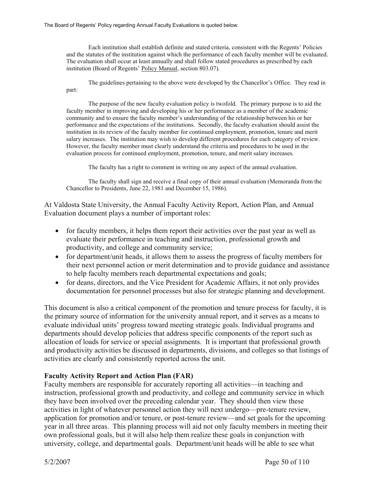Each institution shall establish definite and stated criteria, consistent with the Regents' Policies and the statutes of the institution against which the performance of each faculty member will be evaluated. The evaluation shall occur at least annually and shall follow stated procedures as prescribed by each institution (Board of Regents' Policy Manual, section 803.07).

 The guidelines pertaining to the above were developed by the Chancellor's Office. They read in part:

 The purpose of the new faculty evaluation policy is twofold. The primary purpose is to aid the faculty member in improving and developing his or her performance as a member of the academic community and to ensure the faculty member's understanding of the relationship between his or her performance and the expectations of the institutions. Secondly, the faculty evaluation should assist the institution in its review of the faculty member for continued employment, promotion, tenure and merit salary increases. The institution may wish to develop different procedures for each category of review. However, the faculty member must clearly understand the criteria and procedures to be used in the evaluation process for continued employment, promotion, tenure, and merit salary increases.

The faculty has a right to comment in writing on any aspect of the annual evaluation.

 The faculty shall sign and receive a final copy of their annual evaluation (Memoranda from the Chancellor to Presidents, June 22, 1981 and December 15, 1986).

At Valdosta State University, the Annual Faculty Activity Report, Action Plan, and Annual Evaluation document plays a number of important roles:

- for faculty members, it helps them report their activities over the past year as well as evaluate their performance in teaching and instruction, professional growth and productivity, and college and community service;
- for department/unit heads, it allows them to assess the progress of faculty members for their next personnel action or merit determination and to provide guidance and assistance to help faculty members reach departmental expectations and goals;
- for deans, directors, and the Vice President for Academic Affairs, it not only provides documentation for personnel processes but also for strategic planning and development.

This document is also a critical component of the promotion and tenure process for faculty, it is the primary source of information for the university annual report, and it serves as a means to evaluate individual units' progress toward meeting strategic goals. Individual programs and departments should develop policies that address specific components of the report such as allocation of loads for service or special assignments. It is important that professional growth and productivity activities be discussed in departments, divisions, and colleges so that listings of activities are clearly and consistently reported across the unit.

# **Faculty Activity Report and Action Plan (FAR)**

Faculty members are responsible for accurately reporting all activities—in teaching and instruction, professional growth and productivity, and college and community service in which they have been involved over the preceding calendar year. They should then view these activities in light of whatever personnel action they will next undergo—pre-tenure review, application for promotion and/or tenure, or post-tenure review—and set goals for the upcoming year in all three areas. This planning process will aid not only faculty members in meeting their own professional goals, but it will also help them realize these goals in conjunction with university, college, and departmental goals. Department/unit heads will be able to see what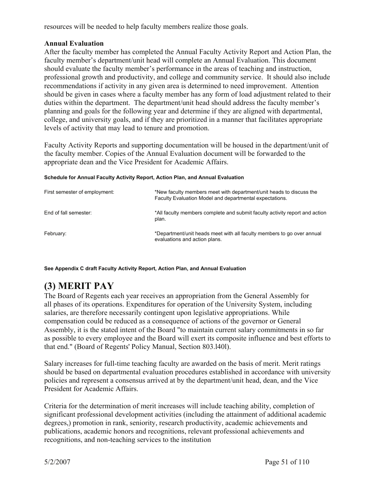resources will be needed to help faculty members realize those goals.

# **Annual Evaluation**

After the faculty member has completed the Annual Faculty Activity Report and Action Plan, the faculty member's department/unit head will complete an Annual Evaluation. This document should evaluate the faculty member's performance in the areas of teaching and instruction, professional growth and productivity, and college and community service. It should also include recommendations if activity in any given area is determined to need improvement. Attention should be given in cases where a faculty member has any form of load adjustment related to their duties within the department. The department/unit head should address the faculty member's planning and goals for the following year and determine if they are aligned with departmental, college, and university goals, and if they are prioritized in a manner that facilitates appropriate levels of activity that may lead to tenure and promotion.

Faculty Activity Reports and supporting documentation will be housed in the department/unit of the faculty member. Copies of the Annual Evaluation document will be forwarded to the appropriate dean and the Vice President for Academic Affairs.

| First semester of employment: | *New faculty members meet with department/unit heads to discuss the<br>Faculty Evaluation Model and departmental expectations. |
|-------------------------------|--------------------------------------------------------------------------------------------------------------------------------|
| End of fall semester:         | *All faculty members complete and submit faculty activity report and action<br>plan.                                           |
| February:                     | *Department/unit heads meet with all faculty members to go over annual<br>evaluations and action plans.                        |

#### **Schedule for Annual Faculty Activity Report, Action Plan, and Annual Evaluation**

**See Appendix C draft Faculty Activity Report, Action Plan, and Annual Evaluation** 

# **(3) MERIT PAY**

The Board of Regents each year receives an appropriation from the General Assembly for all phases of its operations. Expenditures for operation of the University System, including salaries, are therefore necessarily contingent upon legislative appropriations. While compensation could be reduced as a consequence of actions of the governor or General Assembly, it is the stated intent of the Board "to maintain current salary commitments in so far as possible to every employee and the Board will exert its composite influence and best efforts to that end." (Board of Regents' Policy Manual, Section 803.l40l).

Salary increases for full-time teaching faculty are awarded on the basis of merit. Merit ratings should be based on departmental evaluation procedures established in accordance with university policies and represent a consensus arrived at by the department/unit head, dean, and the Vice President for Academic Affairs.

Criteria for the determination of merit increases will include teaching ability, completion of significant professional development activities (including the attainment of additional academic degrees,) promotion in rank, seniority, research productivity, academic achievements and publications, academic honors and recognitions, relevant professional achievements and recognitions, and non-teaching services to the institution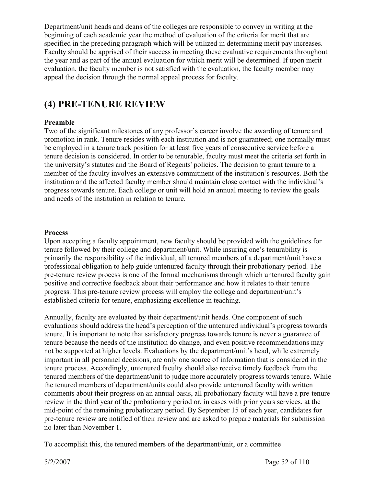Department/unit heads and deans of the colleges are responsible to convey in writing at the beginning of each academic year the method of evaluation of the criteria for merit that are specified in the preceding paragraph which will be utilized in determining merit pay increases. Faculty should be apprised of their success in meeting these evaluative requirements throughout the year and as part of the annual evaluation for which merit will be determined. If upon merit evaluation, the faculty member is not satisfied with the evaluation, the faculty member may appeal the decision through the normal appeal process for faculty.

# **(4) PRE-TENURE REVIEW**

# **Preamble**

Two of the significant milestones of any professor's career involve the awarding of tenure and promotion in rank. Tenure resides with each institution and is not guaranteed; one normally must be employed in a tenure track position for at least five years of consecutive service before a tenure decision is considered. In order to be tenurable, faculty must meet the criteria set forth in the university's statutes and the Board of Regents' policies. The decision to grant tenure to a member of the faculty involves an extensive commitment of the institution's resources. Both the institution and the affected faculty member should maintain close contact with the individual's progress towards tenure. Each college or unit will hold an annual meeting to review the goals and needs of the institution in relation to tenure.

# **Process**

Upon accepting a faculty appointment, new faculty should be provided with the guidelines for tenure followed by their college and department/unit. While insuring one's tenurability is primarily the responsibility of the individual, all tenured members of a department/unit have a professional obligation to help guide untenured faculty through their probationary period. The pre-tenure review process is one of the formal mechanisms through which untenured faculty gain positive and corrective feedback about their performance and how it relates to their tenure progress. This pre-tenure review process will employ the college and department/unit's established criteria for tenure, emphasizing excellence in teaching.

Annually, faculty are evaluated by their department/unit heads. One component of such evaluations should address the head's perception of the untenured individual's progress towards tenure. It is important to note that satisfactory progress towards tenure is never a guarantee of tenure because the needs of the institution do change, and even positive recommendations may not be supported at higher levels. Evaluations by the department/unit's head, while extremely important in all personnel decisions, are only one source of information that is considered in the tenure process. Accordingly, untenured faculty should also receive timely feedback from the tenured members of the department/unit to judge more accurately progress towards tenure. While the tenured members of department/units could also provide untenured faculty with written comments about their progress on an annual basis, all probationary faculty will have a pre-tenure review in the third year of the probationary period or, in cases with prior years services, at the mid-point of the remaining probationary period. By September 15 of each year, candidates for pre-tenure review are notified of their review and are asked to prepare materials for submission no later than November 1.

To accomplish this, the tenured members of the department/unit, or a committee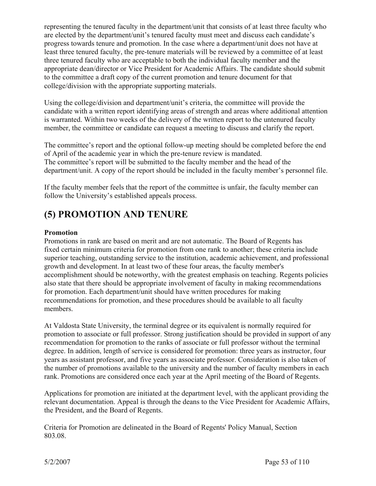representing the tenured faculty in the department/unit that consists of at least three faculty who are elected by the department/unit's tenured faculty must meet and discuss each candidate's progress towards tenure and promotion. In the case where a department/unit does not have at least three tenured faculty, the pre-tenure materials will be reviewed by a committee of at least three tenured faculty who are acceptable to both the individual faculty member and the appropriate dean/director or Vice President for Academic Affairs. The candidate should submit to the committee a draft copy of the current promotion and tenure document for that college/division with the appropriate supporting materials.

Using the college/division and department/unit's criteria, the committee will provide the candidate with a written report identifying areas of strength and areas where additional attention is warranted. Within two weeks of the delivery of the written report to the untenured faculty member, the committee or candidate can request a meeting to discuss and clarify the report.

The committee's report and the optional follow-up meeting should be completed before the end of April of the academic year in which the pre-tenure review is mandated. The committee's report will be submitted to the faculty member and the head of the department/unit. A copy of the report should be included in the faculty member's personnel file.

If the faculty member feels that the report of the committee is unfair, the faculty member can follow the University's established appeals process.

# **(5) PROMOTION AND TENURE**

# **Promotion**

Promotions in rank are based on merit and are not automatic. The Board of Regents has fixed certain minimum criteria for promotion from one rank to another; these criteria include superior teaching, outstanding service to the institution, academic achievement, and professional growth and development. In at least two of these four areas, the faculty member's accomplishment should be noteworthy, with the greatest emphasis on teaching. Regents policies also state that there should be appropriate involvement of faculty in making recommendations for promotion. Each department/unit should have written procedures for making recommendations for promotion, and these procedures should be available to all faculty members.

At Valdosta State University, the terminal degree or its equivalent is normally required for promotion to associate or full professor. Strong justification should be provided in support of any recommendation for promotion to the ranks of associate or full professor without the terminal degree. In addition, length of service is considered for promotion: three years as instructor, four years as assistant professor, and five years as associate professor. Consideration is also taken of the number of promotions available to the university and the number of faculty members in each rank. Promotions are considered once each year at the April meeting of the Board of Regents.

Applications for promotion are initiated at the department level, with the applicant providing the relevant documentation. Appeal is through the deans to the Vice President for Academic Affairs, the President, and the Board of Regents.

Criteria for Promotion are delineated in the Board of Regents' Policy Manual, Section 803.08.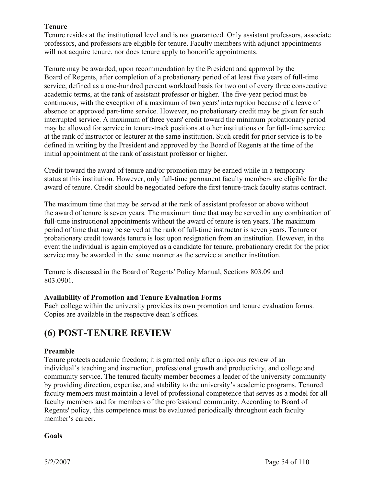# **Tenure**

Tenure resides at the institutional level and is not guaranteed. Only assistant professors, associate professors, and professors are eligible for tenure. Faculty members with adjunct appointments will not acquire tenure, nor does tenure apply to honorific appointments.

Tenure may be awarded, upon recommendation by the President and approval by the Board of Regents, after completion of a probationary period of at least five years of full-time service, defined as a one-hundred percent workload basis for two out of every three consecutive academic terms, at the rank of assistant professor or higher. The five-year period must be continuous, with the exception of a maximum of two years' interruption because of a leave of absence or approved part-time service. However, no probationary credit may be given for such interrupted service. A maximum of three years' credit toward the minimum probationary period may be allowed for service in tenure-track positions at other institutions or for full-time service at the rank of instructor or lecturer at the same institution. Such credit for prior service is to be defined in writing by the President and approved by the Board of Regents at the time of the initial appointment at the rank of assistant professor or higher.

Credit toward the award of tenure and/or promotion may be earned while in a temporary status at this institution. However, only full-time permanent faculty members are eligible for the award of tenure. Credit should be negotiated before the first tenure-track faculty status contract.

The maximum time that may be served at the rank of assistant professor or above without the award of tenure is seven years. The maximum time that may be served in any combination of full-time instructional appointments without the award of tenure is ten years. The maximum period of time that may be served at the rank of full-time instructor is seven years. Tenure or probationary credit towards tenure is lost upon resignation from an institution. However, in the event the individual is again employed as a candidate for tenure, probationary credit for the prior service may be awarded in the same manner as the service at another institution.

Tenure is discussed in the Board of Regents' Policy Manual, Sections 803.09 and 803.0901.

# **Availability of Promotion and Tenure Evaluation Forms**

Each college within the university provides its own promotion and tenure evaluation forms. Copies are available in the respective dean's offices.

# **(6) POST-TENURE REVIEW**

# **Preamble**

Tenure protects academic freedom; it is granted only after a rigorous review of an individual's teaching and instruction, professional growth and productivity, and college and community service. The tenured faculty member becomes a leader of the university community by providing direction, expertise, and stability to the university's academic programs. Tenured faculty members must maintain a level of professional competence that serves as a model for all faculty members and for members of the professional community. According to Board of Regents' policy, this competence must be evaluated periodically throughout each faculty member's career.

**Goals**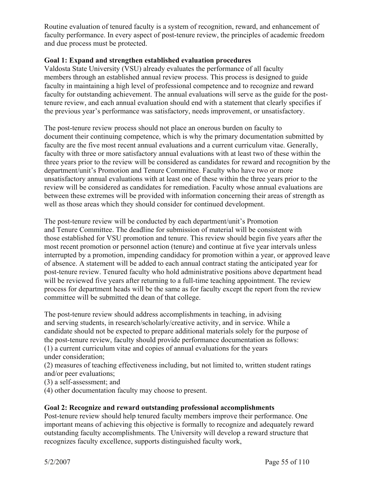Routine evaluation of tenured faculty is a system of recognition, reward, and enhancement of faculty performance. In every aspect of post-tenure review, the principles of academic freedom and due process must be protected.

# **Goal 1: Expand and strengthen established evaluation procedures**

Valdosta State University (VSU) already evaluates the performance of all faculty members through an established annual review process. This process is designed to guide faculty in maintaining a high level of professional competence and to recognize and reward faculty for outstanding achievement. The annual evaluations will serve as the guide for the posttenure review, and each annual evaluation should end with a statement that clearly specifies if the previous year's performance was satisfactory, needs improvement, or unsatisfactory.

The post-tenure review process should not place an onerous burden on faculty to document their continuing competence, which is why the primary documentation submitted by faculty are the five most recent annual evaluations and a current curriculum vitae. Generally, faculty with three or more satisfactory annual evaluations with at least two of these within the three years prior to the review will be considered as candidates for reward and recognition by the department/unit's Promotion and Tenure Committee. Faculty who have two or more unsatisfactory annual evaluations with at least one of these within the three years prior to the review will be considered as candidates for remediation. Faculty whose annual evaluations are between these extremes will be provided with information concerning their areas of strength as well as those areas which they should consider for continued development.

The post-tenure review will be conducted by each department/unit's Promotion and Tenure Committee. The deadline for submission of material will be consistent with those established for VSU promotion and tenure. This review should begin five years after the most recent promotion or personnel action (tenure) and continue at five year intervals unless interrupted by a promotion, impending candidacy for promotion within a year, or approved leave of absence. A statement will be added to each annual contract stating the anticipated year for post-tenure review. Tenured faculty who hold administrative positions above department head will be reviewed five years after returning to a full-time teaching appointment. The review process for department heads will be the same as for faculty except the report from the review committee will be submitted the dean of that college.

The post-tenure review should address accomplishments in teaching, in advising and serving students, in research/scholarly/creative activity, and in service. While a candidate should not be expected to prepare additional materials solely for the purpose of the post-tenure review, faculty should provide performance documentation as follows: (1) a current curriculum vitae and copies of annual evaluations for the years under consideration;

(2) measures of teaching effectiveness including, but not limited to, written student ratings and/or peer evaluations;

(3) a self-assessment; and

(4) other documentation faculty may choose to present.

# **Goal 2: Recognize and reward outstanding professional accomplishments**

Post-tenure review should help tenured faculty members improve their performance. One important means of achieving this objective is formally to recognize and adequately reward outstanding faculty accomplishments. The University will develop a reward structure that recognizes faculty excellence, supports distinguished faculty work,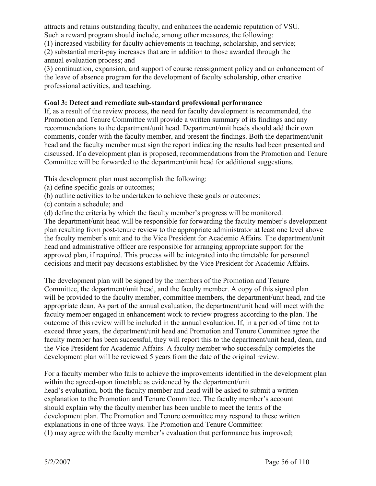attracts and retains outstanding faculty, and enhances the academic reputation of VSU. Such a reward program should include, among other measures, the following:

(1) increased visibility for faculty achievements in teaching, scholarship, and service;

(2) substantial merit-pay increases that are in addition to those awarded through the annual evaluation process; and

(3) continuation, expansion, and support of course reassignment policy and an enhancement of the leave of absence program for the development of faculty scholarship, other creative professional activities, and teaching.

# **Goal 3: Detect and remediate sub-standard professional performance**

If, as a result of the review process, the need for faculty development is recommended, the Promotion and Tenure Committee will provide a written summary of its findings and any recommendations to the department/unit head. Department/unit heads should add their own comments, confer with the faculty member, and present the findings. Both the department/unit head and the faculty member must sign the report indicating the results had been presented and discussed. If a development plan is proposed, recommendations from the Promotion and Tenure Committee will be forwarded to the department/unit head for additional suggestions.

This development plan must accomplish the following:

- (a) define specific goals or outcomes;
- (b) outline activities to be undertaken to achieve these goals or outcomes;
- (c) contain a schedule; and

(d) define the criteria by which the faculty member's progress will be monitored.

The department/unit head will be responsible for forwarding the faculty member's development plan resulting from post-tenure review to the appropriate administrator at least one level above the faculty member's unit and to the Vice President for Academic Affairs. The department/unit head and administrative officer are responsible for arranging appropriate support for the approved plan, if required. This process will be integrated into the timetable for personnel decisions and merit pay decisions established by the Vice President for Academic Affairs.

The development plan will be signed by the members of the Promotion and Tenure Committee, the department/unit head, and the faculty member. A copy of this signed plan will be provided to the faculty member, committee members, the department/unit head, and the appropriate dean. As part of the annual evaluation, the department/unit head will meet with the faculty member engaged in enhancement work to review progress according to the plan. The outcome of this review will be included in the annual evaluation. If, in a period of time not to exceed three years, the department/unit head and Promotion and Tenure Committee agree the faculty member has been successful, they will report this to the department/unit head, dean, and the Vice President for Academic Affairs. A faculty member who successfully completes the development plan will be reviewed 5 years from the date of the original review.

For a faculty member who fails to achieve the improvements identified in the development plan within the agreed-upon timetable as evidenced by the department/unit head's evaluation, both the faculty member and head will be asked to submit a written explanation to the Promotion and Tenure Committee. The faculty member's account should explain why the faculty member has been unable to meet the terms of the development plan. The Promotion and Tenure committee may respond to these written explanations in one of three ways. The Promotion and Tenure Committee: (1) may agree with the faculty member's evaluation that performance has improved;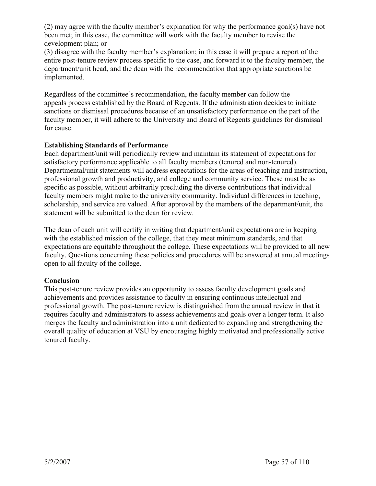(2) may agree with the faculty member's explanation for why the performance goal(s) have not been met; in this case, the committee will work with the faculty member to revise the development plan; or

(3) disagree with the faculty member's explanation; in this case it will prepare a report of the entire post-tenure review process specific to the case, and forward it to the faculty member, the department/unit head, and the dean with the recommendation that appropriate sanctions be implemented.

Regardless of the committee's recommendation, the faculty member can follow the appeals process established by the Board of Regents. If the administration decides to initiate sanctions or dismissal procedures because of an unsatisfactory performance on the part of the faculty member, it will adhere to the University and Board of Regents guidelines for dismissal for cause.

# **Establishing Standards of Performance**

Each department/unit will periodically review and maintain its statement of expectations for satisfactory performance applicable to all faculty members (tenured and non-tenured). Departmental/unit statements will address expectations for the areas of teaching and instruction, professional growth and productivity, and college and community service. These must be as specific as possible, without arbitrarily precluding the diverse contributions that individual faculty members might make to the university community. Individual differences in teaching, scholarship, and service are valued. After approval by the members of the department/unit, the statement will be submitted to the dean for review.

The dean of each unit will certify in writing that department/unit expectations are in keeping with the established mission of the college, that they meet minimum standards, and that expectations are equitable throughout the college. These expectations will be provided to all new faculty. Questions concerning these policies and procedures will be answered at annual meetings open to all faculty of the college.

# **Conclusion**

This post-tenure review provides an opportunity to assess faculty development goals and achievements and provides assistance to faculty in ensuring continuous intellectual and professional growth. The post-tenure review is distinguished from the annual review in that it requires faculty and administrators to assess achievements and goals over a longer term. It also merges the faculty and administration into a unit dedicated to expanding and strengthening the overall quality of education at VSU by encouraging highly motivated and professionally active tenured faculty.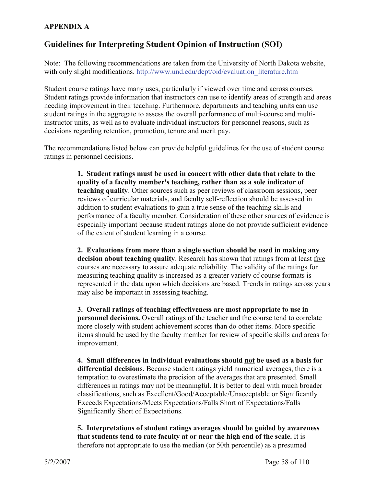# **APPENDIX A**

# **Guidelines for Interpreting Student Opinion of Instruction (SOI)**

Note: The following recommendations are taken from the University of North Dakota website, with only slight modifications. http://www.und.edu/dept/oid/evaluation\_literature.htm

Student course ratings have many uses, particularly if viewed over time and across courses. Student ratings provide information that instructors can use to identify areas of strength and areas needing improvement in their teaching. Furthermore, departments and teaching units can use student ratings in the aggregate to assess the overall performance of multi-course and multiinstructor units, as well as to evaluate individual instructors for personnel reasons, such as decisions regarding retention, promotion, tenure and merit pay.

The recommendations listed below can provide helpful guidelines for the use of student course ratings in personnel decisions.

> **1. Student ratings must be used in concert with other data that relate to the quality of a faculty member's teaching, rather than as a sole indicator of teaching quality**. Other sources such as peer reviews of classroom sessions, peer reviews of curricular materials, and faculty self-reflection should be assessed in addition to student evaluations to gain a true sense of the teaching skills and performance of a faculty member. Consideration of these other sources of evidence is especially important because student ratings alone do not provide sufficient evidence of the extent of student learning in a course.

> **2. Evaluations from more than a single section should be used in making any decision about teaching quality**. Research has shown that ratings from at least five courses are necessary to assure adequate reliability. The validity of the ratings for measuring teaching quality is increased as a greater variety of course formats is represented in the data upon which decisions are based. Trends in ratings across years may also be important in assessing teaching.

> **3. Overall ratings of teaching effectiveness are most appropriate to use in personnel decisions.** Overall ratings of the teacher and the course tend to correlate more closely with student achievement scores than do other items. More specific items should be used by the faculty member for review of specific skills and areas for improvement.

**4. Small differences in individual evaluations should not be used as a basis for differential decisions.** Because student ratings yield numerical averages, there is a temptation to overestimate the precision of the averages that are presented. Small differences in ratings may not be meaningful. It is better to deal with much broader classifications, such as Excellent/Good/Acceptable/Unacceptable or Significantly Exceeds Expectations/Meets Expectations/Falls Short of Expectations/Falls Significantly Short of Expectations.

**5. Interpretations of student ratings averages should be guided by awareness that students tend to rate faculty at or near the high end of the scale.** It is therefore not appropriate to use the median (or 50th percentile) as a presumed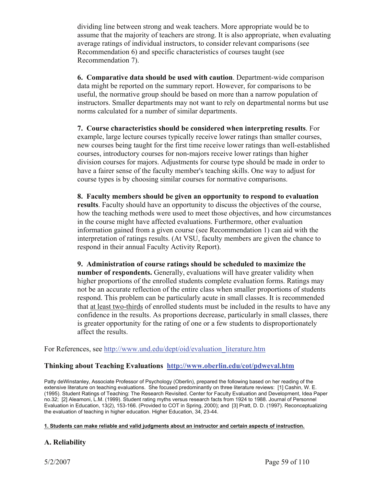dividing line between strong and weak teachers. More appropriate would be to assume that the majority of teachers are strong. It is also appropriate, when evaluating average ratings of individual instructors, to consider relevant comparisons (see Recommendation 6) and specific characteristics of courses taught (see Recommendation 7).

**6. Comparative data should be used with caution**. Department-wide comparison data might be reported on the summary report. However, for comparisons to be useful, the normative group should be based on more than a narrow population of instructors. Smaller departments may not want to rely on departmental norms but use norms calculated for a number of similar departments.

**7. Course characteristics should be considered when interpreting results**. For example, large lecture courses typically receive lower ratings than smaller courses, new courses being taught for the first time receive lower ratings than well-established courses, introductory courses for non-majors receive lower ratings than higher division courses for majors. Adjustments for course type should be made in order to have a fairer sense of the faculty member's teaching skills. One way to adjust for course types is by choosing similar courses for normative comparisons.

**8. Faculty members should be given an opportunity to respond to evaluation results**. Faculty should have an opportunity to discuss the objectives of the course, how the teaching methods were used to meet those objectives, and how circumstances in the course might have affected evaluations. Furthermore, other evaluation information gained from a given course (see Recommendation 1) can aid with the interpretation of ratings results. (At VSU, faculty members are given the chance to respond in their annual Faculty Activity Report).

**9. Administration of course ratings should be scheduled to maximize the number of respondents.** Generally, evaluations will have greater validity when higher proportions of the enrolled students complete evaluation forms. Ratings may not be an accurate reflection of the entire class when smaller proportions of students respond. This problem can be particularly acute in small classes. It is recommended that at least two-thirds of enrolled students must be included in the results to have any confidence in the results. As proportions decrease, particularly in small classes, there is greater opportunity for the rating of one or a few students to disproportionately affect the results.

For References, see http://www.und.edu/dept/oid/evaluation\_literature.htm

# **Thinking about Teaching Evaluations http://www.oberlin.edu/cot/pdweval.htm**

Patty deWinstanley, Associate Professor of Psychology (Oberlin), prepared the following based on her reading of the extensive literature on teaching evaluations. She focused predominantly on three literature reviews: [1] Cashin, W. E. (1995). Student Ratings of Teaching: The Research Revisited. Center for Faculty Evaluation and Development, Idea Paper no.32; [2] Aleamoni, L.M. (1999). Student rating myths versus research facts from 1924 to 1988. Journal of Personnel Evaluation in Education, 13(2), 153-166. (Provided to COT in Spring, 2000); and [3] Pratt, D. D. (1997). Reconceptualizing the evaluation of teaching in higher education. Higher Education, 34, 23-44.

# **1. Students can make reliable and valid judgments about an instructor and certain aspects of instruction.**

# **A. Reliability**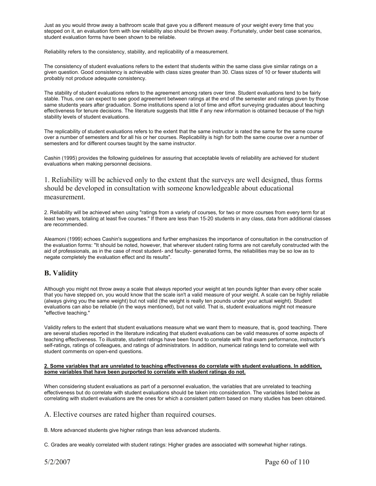Just as you would throw away a bathroom scale that gave you a different measure of your weight every time that you stepped on it, an evaluation form with low reliability also should be thrown away. Fortunately, under best case scenarios, student evaluation forms have been shown to be reliable.

Reliability refers to the consistency, stability, and replicability of a measurement.

The consistency of student evaluations refers to the extent that students within the same class give similar ratings on a given question. Good consistency is achievable with class sizes greater than 30. Class sizes of 10 or fewer students will probably not produce adequate consistency.

The stability of student evaluations refers to the agreement among raters over time. Student evaluations tend to be fairly stable. Thus, one can expect to see good agreement between ratings at the end of the semester and ratings given by those same students years after graduation. Some institutions spend a lot of time and effort surveying graduates about teaching effectiveness for tenure decisions. The literature suggests that little if any new information is obtained because of the high stability levels of student evaluations.

The replicability of student evaluations refers to the extent that the same instructor is rated the same for the same course over a number of semesters and for all his or her courses. Replicability is high for both the same course over a number of semesters and for different courses taught by the same instructor.

Cashin (1995) provides the following guidelines for assuring that acceptable levels of reliability are achieved for student evaluations when making personnel decisions.

1. Reliability will be achieved only to the extent that the surveys are well designed, thus forms should be developed in consultation with someone knowledgeable about educational measurement.

2. Reliability will be achieved when using "ratings from a variety of courses, for two or more courses from every term for at least two years, totaling at least five courses." If there are less than 15-20 students in any class, data from additional classes are recommended.

Aleamoni (1999) echoes Cashin's suggestions and further emphasizes the importance of consultation in the construction of the evaluation forms: "It should be noted, however, that wherever student rating forms are not carefully constructed with the aid of professionals, as in the case of most student- and faculty- generated forms, the reliabilities may be so low as to negate completely the evaluation effect and its results".

# **B. Validity**

Although you might not throw away a scale that always reported your weight at ten pounds lighter than every other scale that you have stepped on, you would know that the scale isn't a valid measure of your weight. A scale can be highly reliable (always giving you the same weight) but not valid (the weight is really ten pounds under your actual weight). Student evaluations can also be reliable (in the ways mentioned), but not valid. That is, student evaluations might not measure "effective teaching."

Validity refers to the extent that student evaluations measure what we want them to measure, that is, good teaching. There are several studies reported in the literature indicating that student evaluations can be valid measures of some aspects of teaching effectiveness. To illustrate, student ratings have been found to correlate with final exam performance, instructor's self-ratings, ratings of colleagues, and ratings of administrators. In addition, numerical ratings tend to correlate well with student comments on open-end questions.

#### **2. Some variables that are unrelated to teaching effectiveness do correlate with student evaluations. In addition, some variables that have been purported to correlate with student ratings do not.**

When considering student evaluations as part of a personnel evaluation, the variables that are unrelated to teaching effectiveness but do correlate with student evaluations should be taken into consideration. The variables listed below as correlating with student evaluations are the ones for which a consistent pattern based on many studies has been obtained.

A. Elective courses are rated higher than required courses.

B. More advanced students give higher ratings than less advanced students.

C. Grades are weakly correlated with student ratings: Higher grades are associated with somewhat higher ratings.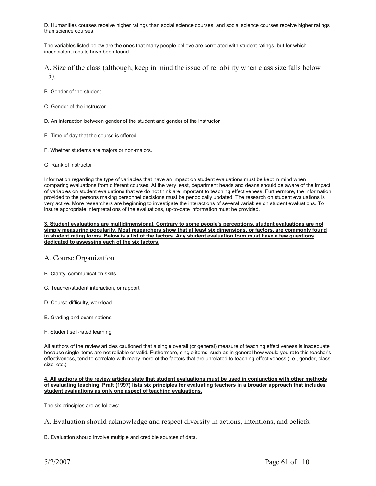D. Humanities courses receive higher ratings than social science courses, and social science courses receive higher ratings than science courses.

The variables listed below are the ones that many people believe are correlated with student ratings, but for which inconsistent results have been found.

A. Size of the class (although, keep in mind the issue of reliability when class size falls below 15).

- B. Gender of the student
- C. Gender of the instructor
- D. An interaction between gender of the student and gender of the instructor
- E. Time of day that the course is offered.
- F. Whether students are majors or non-majors.
- G. Rank of instructor

Information regarding the type of variables that have an impact on student evaluations must be kept in mind when comparing evaluations from different courses. At the very least, department heads and deans should be aware of the impact of variables on student evaluations that we do not think are important to teaching effectiveness. Furthermore, the information provided to the persons making personnel decisions must be periodically updated. The research on student evaluations is very active. More researchers are beginning to investigate the interactions of several variables on student evaluations. To insure appropriate interpretations of the evaluations, up-to-date information must be provided.

#### **3. Student evaluations are multidimensional. Contrary to some people's perceptions, student evaluations are not simply measuring popularity. Most researchers show that at least six dimensions, or factors, are commonly found in student rating forms. Below is a list of the factors. Any student evaluation form must have a few questions dedicated to assessing each of the six factors.**

# A. Course Organization

- B. Clarity, communication skills
- C. Teacher/student interaction, or rapport
- D. Course difficulty, workload
- E. Grading and examinations
- F. Student self-rated learning

All authors of the review articles cautioned that a single overall (or general) measure of teaching effectiveness is inadequate because single items are not reliable or valid. Futhermore, single items, such as in general how would you rate this teacher's effectiveness, tend to correlate with many more of the factors that are unrelated to teaching effectiveness (i.e., gender, class size, etc.)

#### **4. All authors of the review articles state that student evaluations must be used in conjunction with other methods of evaluating teaching. Pratt (1997) lists six principles for evaluating teachers in a broader approach that includes student evaluations as only one aspect of teaching evaluations.**

The six principles are as follows:

B. Evaluation should involve multiple and credible sources of data.

A. Evaluation should acknowledge and respect diversity in actions, intentions, and beliefs.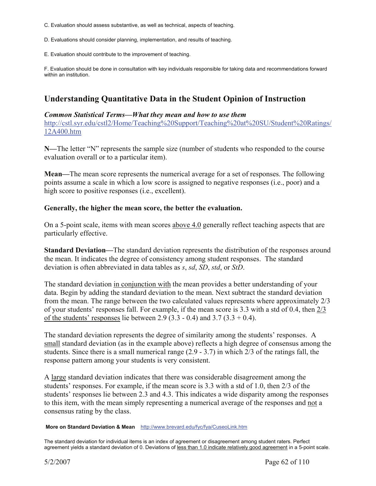- C. Evaluation should assess substantive, as well as technical, aspects of teaching.
- D. Evaluations should consider planning, implementation, and results of teaching.
- E. Evaluation should contribute to the improvement of teaching.

F. Evaluation should be done in consultation with key individuals responsible for taking data and recommendations forward within an institution.

# **Understanding Quantitative Data in the Student Opinion of Instruction**

# *Common Statistical Terms—What they mean and how to use them*

http://cstl.syr.edu/cstl2/Home/Teaching%20Support/Teaching%20at%20SU/Student%20Ratings/ 12A400.htm

**N—**The letter "N" represents the sample size (number of students who responded to the course evaluation overall or to a particular item).

**Mean—**The mean score represents the numerical average for a set of responses. The following points assume a scale in which a low score is assigned to negative responses (i.e., poor) and a high score to positive responses (i.e., excellent).

# **Generally, the higher the mean score, the better the evaluation.**

On a 5-point scale, items with mean scores above 4.0 generally reflect teaching aspects that are particularly effective.

**Standard Deviation—**The standard deviation represents the distribution of the responses around the mean. It indicates the degree of consistency among student responses. The standard deviation is often abbreviated in data tables as *s*, *sd*, *SD*, *std*, or *StD*.

The standard deviation in conjunction with the mean provides a better understanding of your data. Begin by adding the standard deviation to the mean. Next subtract the standard deviation from the mean. The range between the two calculated values represents where approximately 2/3 of your students' responses fall. For example, if the mean score is 3.3 with a std of 0.4, then 2/3 of the students' responses lie between 2.9 (3.3 - 0.4) and 3.7 (3.3 + 0.4).

The standard deviation represents the degree of similarity among the students' responses. A small standard deviation (as in the example above) reflects a high degree of consensus among the students. Since there is a small numerical range (2.9 - 3.7) in which 2/3 of the ratings fall, the response pattern among your students is very consistent.

A large standard deviation indicates that there was considerable disagreement among the students' responses. For example, if the mean score is 3.3 with a std of 1.0, then 2/3 of the students' responses lie between 2.3 and 4.3. This indicates a wide disparity among the responses to this item, with the mean simply representing a numerical average of the responses and not a consensus rating by the class.

#### **More on Standard Deviation & Mean** http://www.brevard.edu/fyc/fya/CuseoLink.htm

The standard deviation for individual items is an index of agreement or disagreement among student raters. Perfect agreement yields a standard deviation of 0. Deviations of less than 1.0 indicate relatively good agreement in a 5-point scale.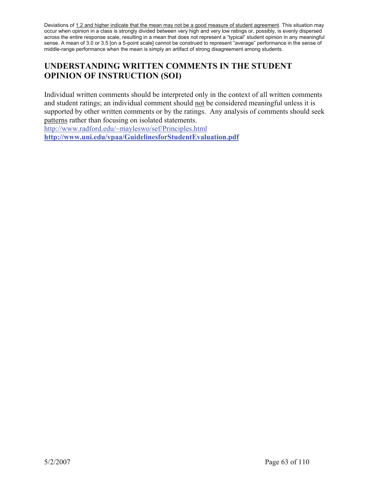Deviations of 1.2 and higher indicate that the mean may not be a good measure of student agreement. This situation may occur when opinion in a class is strongly divided between very high and very low ratings or, possibly, is evenly dispersed across the entire response scale, resulting in a mean that does not represent a "typical" student opinion in any meaningful sense. A mean of 3.0 or 3.5 [on a 5-point scale] cannot be construed to represent "average" performance in the sense of middle-range performance when the mean is simply an artifact of strong disagreement among students.

# **UNDERSTANDING WRITTEN COMMENTS IN THE STUDENT OPINION OF INSTRUCTION (SOI)**

Individual written comments should be interpreted only in the context of all written comments and student ratings; an individual comment should not be considered meaningful unless it is supported by other written comments or by the ratings. Any analysis of comments should seek patterns rather than focusing on isolated statements.

http://www.radford.edu/~mayleswo/sef/Principles.html

**http://www.uni.edu/vpaa/GuidelinesforStudentEvaluation.pdf**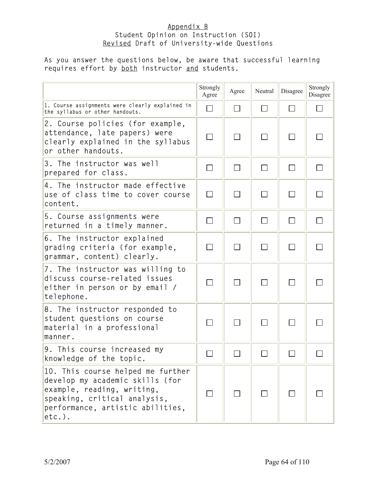# Appendix B Student Opinion on Instruction (SOI) Revised Draft of University-wide Questions

# As you answer the questions below, be aware that successful learning requires effort by **both** instructor and students.

|                                                                                                                                                                                     | Strongly<br>Agree | Agree                       | Neutral | Disagree                 | Strongly<br>Disagree |
|-------------------------------------------------------------------------------------------------------------------------------------------------------------------------------------|-------------------|-----------------------------|---------|--------------------------|----------------------|
| 1. Course assignments were clearly explained in<br>the syllabus or other handouts.                                                                                                  | $\Box$            | $\Box$                      |         | $\Box$                   |                      |
| 2. Course policies (for example,<br>attendance, late papers) were<br>clearly explained in the syllabus<br>or other handouts.                                                        | $\Box$            | $\mathcal{L}_{\mathcal{A}}$ | $\Box$  | $\overline{\phantom{a}}$ |                      |
| 3. The instructor was well<br>prepared for class.                                                                                                                                   |                   | $\sim$                      |         |                          |                      |
| 4. The instructor made effective<br>use of class time to cover course<br>content.                                                                                                   | $\Box$            | П                           | $\Box$  | П                        |                      |
| 5. Course assignments were<br>returned in a timely manner.                                                                                                                          | П                 | $\Box$                      | $\Box$  | $\Box$                   |                      |
| 6. The instructor explained<br>grading criteria (for example,<br>grammar, content) clearly.                                                                                         | П                 | $\Box$                      | $\Box$  | $\Box$                   |                      |
| 7. The instructor was willing to<br>discuss course-related issues<br>either in person or by email /<br>telephone.                                                                   | $\Box$            | $\Box$                      |         |                          |                      |
| 8. The instructor responded to<br>student questions on course<br>material in a professional<br>manner.                                                                              |                   |                             |         |                          |                      |
| 9. This course increased my<br>knowledge of the topic.                                                                                                                              |                   |                             |         |                          |                      |
| 10. This course helped me further<br>develop my academic skills (for<br>example, reading, writing,<br>speaking, critical analysis,<br>performance, artistic abilities,<br>$etc.$ ). |                   |                             |         |                          |                      |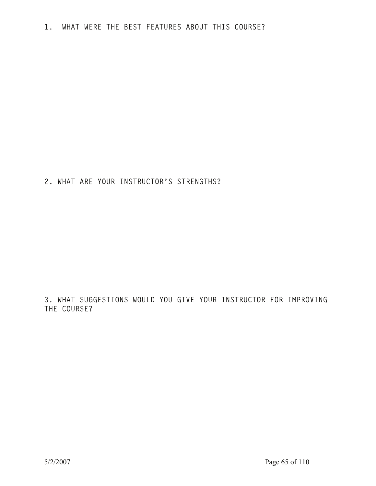2. WHAT ARE YOUR INSTRUCTOR'S STRENGTHS?

3. WHAT SUGGESTIONS WOULD YOU GIVE YOUR INSTRUCTOR FOR IMPROVING THE COURSE?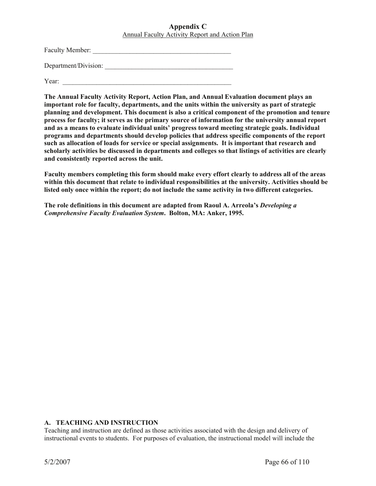# **Appendix C**  Annual Faculty Activity Report and Action Plan

Faculty Member: \_\_\_\_\_\_\_\_\_\_\_\_\_\_\_\_\_\_\_\_\_\_\_\_\_\_\_\_\_\_\_\_\_\_\_\_\_\_\_\_\_

Department/Division:

Year:

**The Annual Faculty Activity Report, Action Plan, and Annual Evaluation document plays an important role for faculty, departments, and the units within the university as part of strategic planning and development. This document is also a critical component of the promotion and tenure process for faculty; it serves as the primary source of information for the university annual report and as a means to evaluate individual units' progress toward meeting strategic goals. Individual programs and departments should develop policies that address specific components of the report such as allocation of loads for service or special assignments. It is important that research and scholarly activities be discussed in departments and colleges so that listings of activities are clearly and consistently reported across the unit.** 

**Faculty members completing this form should make every effort clearly to address all of the areas within this document that relate to individual responsibilities at the university. Activities should be listed only once within the report; do not include the same activity in two different categories.** 

**The role definitions in this document are adapted from Raoul A. Arreola's** *Developing a Comprehensive Faculty Evaluation System***. Bolton, MA: Anker, 1995.** 

# **A. TEACHING AND INSTRUCTION**

Teaching and instruction are defined as those activities associated with the design and delivery of instructional events to students. For purposes of evaluation, the instructional model will include the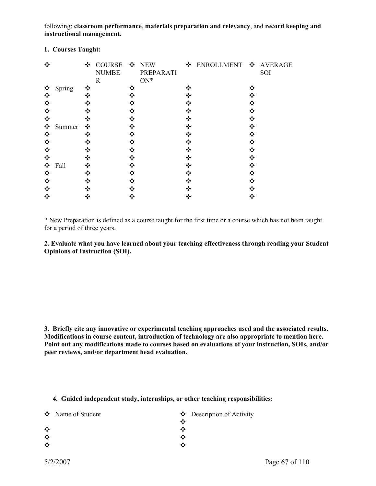following: **classroom performance**, **materials preparation and relevancy**, and **record keeping and instructional management.** 

| ❖ |        |   | ❖ COURSE ❖ NEW<br><b>NUMBE</b><br>$\mathbf R$ |     | PREPARATI<br>$ON*$ | ❖ ENROLLMENT ❖ AVERAGE | SOI |
|---|--------|---|-----------------------------------------------|-----|--------------------|------------------------|-----|
| ❖ | Spring |   |                                               | ∗?∙ |                    |                        |     |
| ❖ |        |   |                                               |     |                    |                        |     |
| ❖ |        |   |                                               |     |                    |                        |     |
| ❖ |        |   |                                               |     |                    |                        |     |
| ❖ |        |   |                                               |     |                    |                        |     |
| ❖ | Summer | ❖ |                                               |     |                    |                        |     |
| ❖ |        |   |                                               |     |                    |                        |     |
| ❖ |        |   |                                               |     |                    |                        |     |
| ❖ |        |   |                                               |     |                    |                        |     |
| ❖ |        |   |                                               |     |                    |                        |     |
| ❖ | Fall   |   |                                               |     |                    |                        |     |
| ❖ |        |   |                                               |     |                    |                        |     |
| ❖ |        |   |                                               |     |                    |                        |     |
| ❖ |        |   |                                               |     |                    |                        |     |
|   |        |   |                                               |     |                    |                        |     |

# **1. Courses Taught:**

\* New Preparation is defined as a course taught for the first time or a course which has not been taught for a period of three years.

**2. Evaluate what you have learned about your teaching effectiveness through reading your Student Opinions of Instruction (SOI).** 

**3. Briefly cite any innovative or experimental teaching approaches used and the associated results. Modifications in course content, introduction of technology are also appropriate to mention here. Point out any modifications made to courses based on evaluations of your instruction, SOIs, and/or peer reviews, and/or department head evaluation.** 

#### **4. Guided independent study, internships, or other teaching responsibilities:**

|         | ❖ Name of Student |   | $\bullet$ Description of Activity |
|---------|-------------------|---|-----------------------------------|
|         |                   |   |                                   |
| $\cdot$ |                   |   |                                   |
| $\cdot$ |                   | ⊷ |                                   |
| ❖       |                   |   |                                   |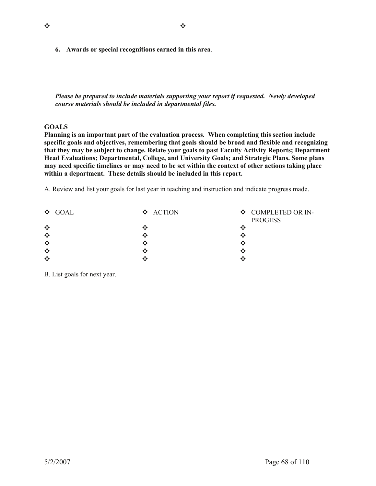**6. Awards or special recognitions earned in this area**.

*Please be prepared to include materials supporting your report if requested. Newly developed course materials should be included in departmental files.* 

# **GOALS**

**Planning is an important part of the evaluation process. When completing this section include specific goals and objectives, remembering that goals should be broad and flexible and recognizing that they may be subject to change. Relate your goals to past Faculty Activity Reports; Department Head Evaluations; Departmental, College, and University Goals; and Strategic Plans. Some plans may need specific timelines or may need to be set within the context of other actions taking place within a department. These details should be included in this report.** 

A. Review and list your goals for last year in teaching and instruction and indicate progress made.

| $\div$ GOAL | ❖ ACTION | ❖ COMPLETED OR IN-<br><b>PROGESS</b> |
|-------------|----------|--------------------------------------|
| ❖           |          | ×                                    |
| ❖           |          |                                      |
| ❖           |          |                                      |
| $\cdot$     |          |                                      |
| ❖           |          | ۰۰                                   |

B. List goals for next year.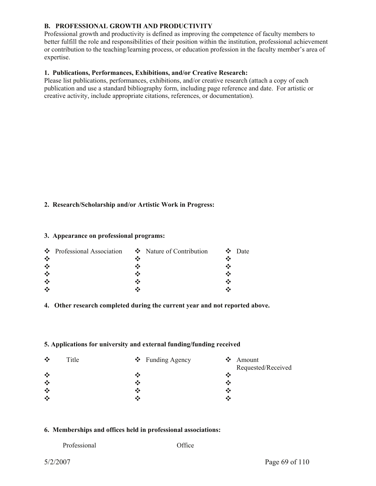# **B. PROFESSIONAL GROWTH AND PRODUCTIVITY**

Professional growth and productivity is defined as improving the competence of faculty members to better fulfill the role and responsibilities of their position within the institution, professional achievement or contribution to the teaching/learning process, or education profession in the faculty member's area of expertise.

# **1. Publications, Performances, Exhibitions, and/or Creative Research:**

Please list publications, performances, exhibitions, and/or creative research (attach a copy of each publication and use a standard bibliography form, including page reference and date. For artistic or creative activity, include appropriate citations, references, or documentation).

# **2. Research/Scholarship and/or Artistic Work in Progress:**

#### **3. Appearance on professional programs:**

|         | $\bullet$ Professional Association $\bullet$ Nature of Contribution |  | $\bullet$ Date |
|---------|---------------------------------------------------------------------|--|----------------|
| $\cdot$ |                                                                     |  |                |
| $\cdot$ |                                                                     |  |                |
| $\cdot$ |                                                                     |  |                |
| $\cdot$ |                                                                     |  |                |
| $\cdot$ |                                                                     |  |                |

# **4. Other research completed during the current year and not reported above.**

# **5. Applications for university and external funding/funding received**

| $\cdot$<br>Title<br>$\div$ Funding Agency | $\bullet$ Amount   |
|-------------------------------------------|--------------------|
|                                           | Requested/Received |
| ❖<br>∙:∙                                  |                    |
| $\cdot$<br>∙:∙                            |                    |
| $\frac{1}{2}$<br>•;∙                      | ∗;∙                |
| ❖<br>∙ĭ∙                                  | ◆:◆                |

# **6. Memberships and offices held in professional associations:**

| Professional |  |
|--------------|--|
|              |  |

Office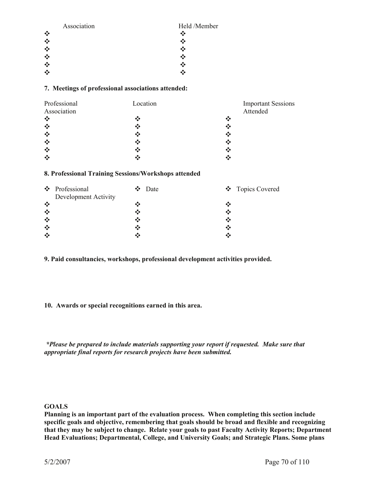| Association    | Held /Member |
|----------------|--------------|
| $\ddot{\cdot}$ | ∗∑∙          |
| ❖              |              |
|                |              |
| $\ddot{\cdot}$ |              |
| ❖              | ∙:∙          |
|                |              |

# **7. Meetings of professional associations attended:**

| Professional                          | Location | <b>Important Sessions</b> |
|---------------------------------------|----------|---------------------------|
| Association                           |          | Attended                  |
| $\cdot$ :                             | ❖        | ❖                         |
| $\bullet^*_{\bullet}\bullet$          | ❖        | ❖                         |
| $\bullet^{\bullet}_{\bullet} \bullet$ | ❖        | ❖                         |
| $\ddot{\cdot}$                        | ❖        | ❖                         |
| $\cdot$                               | ❖        | ❖                         |
| $\cdot$                               |          | ∙∑                        |

#### **8. Professional Training Sessions/Workshops attended**

|         | ❖ Professional       |     | $\div$ Date |    | ❖ Topics Covered |
|---------|----------------------|-----|-------------|----|------------------|
|         | Development Activity |     |             |    |                  |
| $\cdot$ |                      |     |             |    |                  |
| ❖       |                      |     |             | ∙∑ |                  |
| $\cdot$ |                      | ∙ĭ∙ |             | ×  |                  |
| ❖       |                      |     |             | ∙₹ |                  |
| ❖       |                      |     |             |    |                  |

**9. Paid consultancies, workshops, professional development activities provided.** 

# **10. Awards or special recognitions earned in this area.**

 *\*Please be prepared to include materials supporting your report if requested. Make sure that appropriate final reports for research projects have been submitted.* 

# **GOALS**

**Planning is an important part of the evaluation process. When completing this section include specific goals and objective, remembering that goals should be broad and flexible and recognizing that they may be subject to change. Relate your goals to past Faculty Activity Reports; Department Head Evaluations; Departmental, College, and University Goals; and Strategic Plans. Some plans**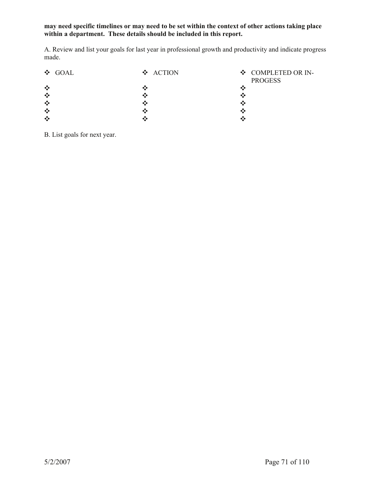# **may need specific timelines or may need to be set within the context of other actions taking place within a department. These details should be included in this report.**

A. Review and list your goals for last year in professional growth and productivity and indicate progress made.

| ❖ GOAL         | ❖ ACTION | ❖ COMPLETED OR IN-<br><b>PROGESS</b> |
|----------------|----------|--------------------------------------|
| ❖              |          |                                      |
| $\ddot{\cdot}$ |          |                                      |
| ❖              |          |                                      |
| $\ddot{\cdot}$ |          |                                      |
| ❖              |          |                                      |

B. List goals for next year.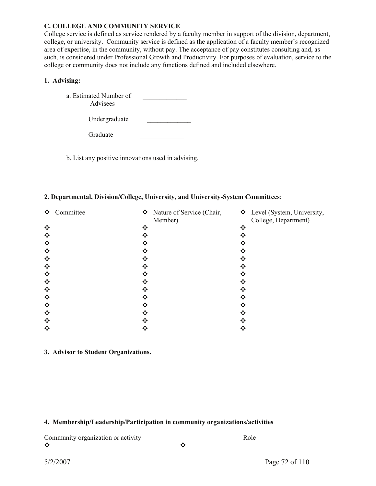#### **C. COLLEGE AND COMMUNITY SERVICE**

Graduate

College service is defined as service rendered by a faculty member in support of the division, department, college, or university. Community service is defined as the application of a faculty member's recognized area of expertise, in the community, without pay. The acceptance of pay constitutes consulting and, as such, is considered under Professional Growth and Productivity. For purposes of evaluation, service to the college or community does not include any functions defined and included elsewhere.

# **1. Advising:**

| a. Estimated Number of<br>Advisees |  |
|------------------------------------|--|
| Undergraduate                      |  |

b. List any positive innovations used in advising.

#### **2. Departmental, Division/College, University, and University-System Committees**:

| ❖ | Committee |     | $\mathbf{\hat{\cdot}}$ Nature of Service (Chair,<br>Member) | ❖ Level (System, University,<br>College, Department) |
|---|-----------|-----|-------------------------------------------------------------|------------------------------------------------------|
| ❖ |           | ❖   | ❖                                                           |                                                      |
| ❖ |           |     |                                                             |                                                      |
| ❖ |           | ∗∑∙ |                                                             |                                                      |
| ❖ |           | ❖   |                                                             |                                                      |
| ❖ |           |     |                                                             |                                                      |
| ❖ |           |     |                                                             |                                                      |
| ❖ |           |     |                                                             |                                                      |
| ❖ |           |     |                                                             |                                                      |
| ❖ |           |     |                                                             |                                                      |
| ❖ |           |     |                                                             |                                                      |
| ❖ |           | ❖   |                                                             |                                                      |
| ❖ |           | ∗∑∙ |                                                             |                                                      |
| ❖ |           |     |                                                             |                                                      |
| ❖ |           |     |                                                             |                                                      |

**3. Advisor to Student Organizations.** 

# **4. Membership/Leadership/Participation in community organizations/activities**

Community organization or activity Role

Y Y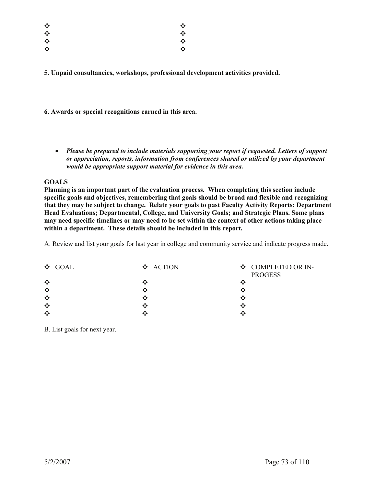| ❖ | ❖ |
|---|---|
| ❖ | ❖ |
| ❖ | ❖ |
| ❖ | ❖ |

**5. Unpaid consultancies, workshops, professional development activities provided.** 

**6. Awards or special recognitions earned in this area.** 

x *Please be prepared to include materials supporting your report if requested. Letters of support or appreciation, reports, information from conferences shared or utilized by your department would be appropriate support material for evidence in this area.* 

# **GOALS**

**Planning is an important part of the evaluation process. When completing this section include specific goals and objectives, remembering that goals should be broad and flexible and recognizing that they may be subject to change. Relate your goals to past Faculty Activity Reports; Department Head Evaluations; Departmental, College, and University Goals; and Strategic Plans. Some plans may need specific timelines or may need to be set within the context of other actions taking place within a department. These details should be included in this report.** 

A. Review and list your goals for last year in college and community service and indicate progress made.

| $\div$ GOAL | ❖ ACTION | ❖ COMPLETED OR IN-<br><b>PROGESS</b> |
|-------------|----------|--------------------------------------|
| ❖           |          | ٠X                                   |
| $\cdot$     |          | ۰×                                   |
| $\cdot$     |          | ×                                    |
| $\cdot$     |          | ∙:                                   |
| $\cdot$     |          | œ                                    |

B. List goals for next year.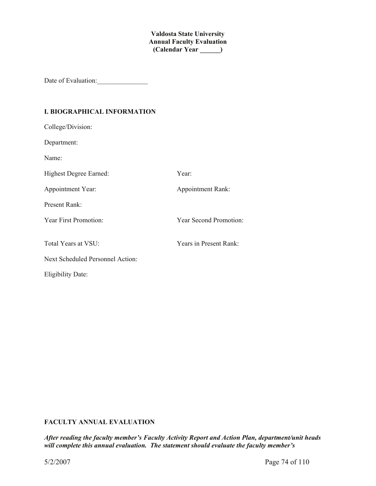**Valdosta State University Annual Faculty Evaluation (Calendar Year \_\_\_\_\_\_)**

Date of Evaluation:\_\_\_\_\_\_\_\_\_\_\_\_\_\_\_

# **I. BIOGRAPHICAL INFORMATION**

| College/Division:                |                        |
|----------------------------------|------------------------|
| Department:                      |                        |
| Name:                            |                        |
| Highest Degree Earned:           | Year:                  |
| Appointment Year:                | Appointment Rank:      |
| <b>Present Rank:</b>             |                        |
| <b>Year First Promotion:</b>     | Year Second Promotion: |
|                                  |                        |
| Total Years at VSU:              | Years in Present Rank: |
| Next Scheduled Personnel Action: |                        |
| <b>Eligibility Date:</b>         |                        |

# **FACULTY ANNUAL EVALUATION**

*After reading the faculty member's Faculty Activity Report and Action Plan, department/unit heads will complete this annual evaluation. The statement should evaluate the faculty member's*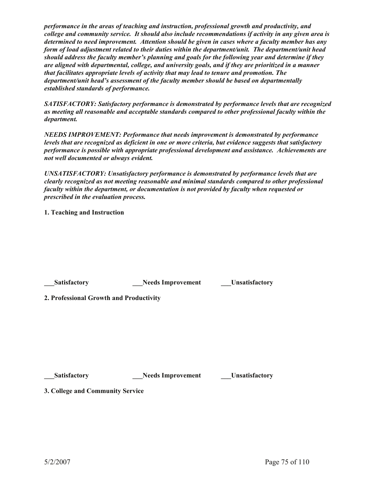*performance in the areas of teaching and instruction, professional growth and productivity, and college and community service. It should also include recommendations if activity in any given area is determined to need improvement. Attention should be given in cases where a faculty member has any form of load adjustment related to their duties within the department/unit. The department/unit head should address the faculty member's planning and goals for the following year and determine if they are aligned with departmental, college, and university goals, and if they are prioritized in a manner that facilitates appropriate levels of activity that may lead to tenure and promotion. The department/unit head's assessment of the faculty member should be based on departmentally established standards of performance.* 

*SATISFACTORY: Satisfactory performance is demonstrated by performance levels that are recognized as meeting all reasonable and acceptable standards compared to other professional faculty within the department.* 

*NEEDS IMPROVEMENT: Performance that needs improvement is demonstrated by performance levels that are recognized as deficient in one or more criteria, but evidence suggests that satisfactory performance is possible with appropriate professional development and assistance. Achievements are not well documented or always evident.* 

*UNSATISFACTORY: Unsatisfactory performance is demonstrated by performance levels that are clearly recognized as not meeting reasonable and minimal standards compared to other professional faculty within the department, or documentation is not provided by faculty when requested or prescribed in the evaluation process.* 

**1. Teaching and Instruction** 

| Satisfactory                            | <b>Needs Improvement</b> | <b>Unsatisfactory</b> |
|-----------------------------------------|--------------------------|-----------------------|
| 2. Professional Growth and Productivity |                          |                       |
|                                         |                          |                       |
|                                         |                          |                       |
|                                         |                          |                       |
|                                         |                          |                       |
|                                         |                          |                       |

**Alleger Satisfactory 2.1 Channel Satisfactory 2.1 Channel Satisfactory 2.1 Channel Satisfactory 2.1 Channel Satisfactory 2.1 Channel Satisfactory 2.1 Channel Satisfactory 2.1 Channel Satisfactory 2.1 Channel Satisfactory** 

**3. College and Community Service**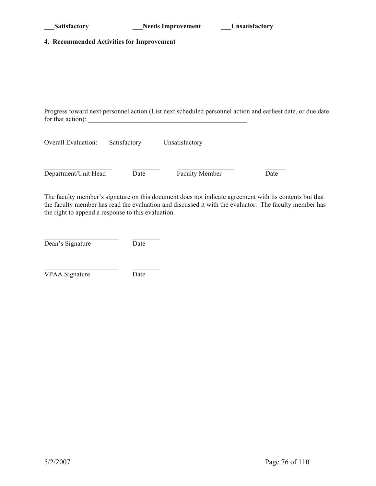### **4. Recommended Activities for Improvement**

Progress toward next personnel action (List next scheduled personnel action and earliest date, or due date for that action):  $\frac{1}{2}$  and  $\frac{1}{2}$  and  $\frac{1}{2}$  and  $\frac{1}{2}$  and  $\frac{1}{2}$  and  $\frac{1}{2}$  and  $\frac{1}{2}$  and  $\frac{1}{2}$  and  $\frac{1}{2}$  and  $\frac{1}{2}$  and  $\frac{1}{2}$  and  $\frac{1}{2}$  and  $\frac{1}{2}$  and  $\frac{1}{2}$  and  $\frac{1}{2$ 

| <b>Overall Evaluation:</b> | Satisfactory | Unsatisfactory        |      |  |  |
|----------------------------|--------------|-----------------------|------|--|--|
|                            |              |                       |      |  |  |
| Department/Unit Head       | Date         | <b>Faculty Member</b> | Date |  |  |

The faculty member's signature on this document does not indicate agreement with its contents but that the faculty member has read the evaluation and discussed it with the evaluator. The faculty member has the right to append a response to this evaluation.

| Dean's Signature | Date |
|------------------|------|

 $\mathcal{L}_\text{max}$ VPAA Signature Date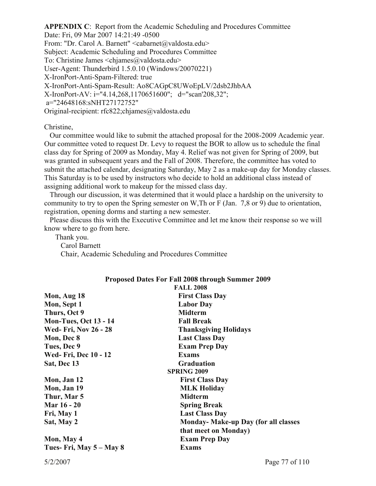**APPENDIX C**: Report from the Academic Scheduling and Procedures Committee Date: Fri, 09 Mar 2007 14:21:49 -0500 From: "Dr. Carol A. Barnett" <cabarnet@valdosta.edu> Subject: Academic Scheduling and Procedures Committee To: Christine James <chjames@valdosta.edu> User-Agent: Thunderbird 1.5.0.10 (Windows/20070221) X-IronPort-Anti-Spam-Filtered: true X-IronPort-Anti-Spam-Result: Ao8CAGpC8UWoEpLV/2dsb2JhbAA X-IronPort-AV: i="4.14,268,1170651600"; d="scan'208,32"; a="24648168:sNHT27172752" Original-recipient: rfc822;chjames@valdosta.edu

Christine,

 Our committee would like to submit the attached proposal for the 2008-2009 Academic year. Our committee voted to request Dr. Levy to request the BOR to allow us to schedule the final class day for Spring of 2009 as Monday, May 4. Relief was not given for Spring of 2009, but was granted in subsequent years and the Fall of 2008. Therefore, the committee has voted to submit the attached calendar, designating Saturday, May 2 as a make-up day for Monday classes. This Saturday is to be used by instructors who decide to hold an additional class instead of assigning additional work to makeup for the missed class day.

 Through our discussion, it was determined that it would place a hardship on the university to community to try to open the Spring semester on W,Th or F (Jan. 7,8 or 9) due to orientation, registration, opening dorms and starting a new semester.

 Please discuss this with the Executive Committee and let me know their response so we will know where to go from here.

 Thank you. Carol Barnett Chair, Academic Scheduling and Procedures Committee

| Mon, Aug 18<br><b>First Class Day</b><br>Mon, Sept 1<br><b>Labor Day</b><br>Thurs, Oct 9<br><b>Midterm</b><br><b>Mon-Tues, Oct 13 - 14</b><br><b>Fall Break</b><br><b>Wed- Fri, Nov 26 - 28</b><br><b>Thanksgiving Holidays</b><br>Mon, Dec 8<br><b>Last Class Day</b><br>Tues, Dec 9<br><b>Exam Prep Day</b><br><b>Wed- Fri, Dec 10 - 12</b><br><b>Exams</b><br><b>Sat, Dec 13</b><br><b>Graduation</b><br><b>SPRING 2009</b><br><b>First Class Day</b><br>Mon, Jan 12<br>Mon, Jan 19<br><b>MLK Holiday</b><br><b>Midterm</b><br>Thur, Mar 5<br><b>Mar 16 - 20</b><br><b>Spring Break</b><br>Fri, May 1<br><b>Last Class Day</b><br>Sat, May 2<br>that meet on Monday)<br>Mon, May 4<br><b>Exam Prep Day</b> | <b>FALL 2008</b>                            |
|---------------------------------------------------------------------------------------------------------------------------------------------------------------------------------------------------------------------------------------------------------------------------------------------------------------------------------------------------------------------------------------------------------------------------------------------------------------------------------------------------------------------------------------------------------------------------------------------------------------------------------------------------------------------------------------------------------------|---------------------------------------------|
|                                                                                                                                                                                                                                                                                                                                                                                                                                                                                                                                                                                                                                                                                                               |                                             |
|                                                                                                                                                                                                                                                                                                                                                                                                                                                                                                                                                                                                                                                                                                               |                                             |
|                                                                                                                                                                                                                                                                                                                                                                                                                                                                                                                                                                                                                                                                                                               |                                             |
|                                                                                                                                                                                                                                                                                                                                                                                                                                                                                                                                                                                                                                                                                                               |                                             |
|                                                                                                                                                                                                                                                                                                                                                                                                                                                                                                                                                                                                                                                                                                               |                                             |
|                                                                                                                                                                                                                                                                                                                                                                                                                                                                                                                                                                                                                                                                                                               |                                             |
|                                                                                                                                                                                                                                                                                                                                                                                                                                                                                                                                                                                                                                                                                                               |                                             |
|                                                                                                                                                                                                                                                                                                                                                                                                                                                                                                                                                                                                                                                                                                               |                                             |
|                                                                                                                                                                                                                                                                                                                                                                                                                                                                                                                                                                                                                                                                                                               |                                             |
|                                                                                                                                                                                                                                                                                                                                                                                                                                                                                                                                                                                                                                                                                                               |                                             |
|                                                                                                                                                                                                                                                                                                                                                                                                                                                                                                                                                                                                                                                                                                               |                                             |
|                                                                                                                                                                                                                                                                                                                                                                                                                                                                                                                                                                                                                                                                                                               |                                             |
|                                                                                                                                                                                                                                                                                                                                                                                                                                                                                                                                                                                                                                                                                                               |                                             |
|                                                                                                                                                                                                                                                                                                                                                                                                                                                                                                                                                                                                                                                                                                               |                                             |
|                                                                                                                                                                                                                                                                                                                                                                                                                                                                                                                                                                                                                                                                                                               |                                             |
|                                                                                                                                                                                                                                                                                                                                                                                                                                                                                                                                                                                                                                                                                                               | <b>Monday- Make-up Day (for all classes</b> |
|                                                                                                                                                                                                                                                                                                                                                                                                                                                                                                                                                                                                                                                                                                               |                                             |
|                                                                                                                                                                                                                                                                                                                                                                                                                                                                                                                                                                                                                                                                                                               |                                             |
| Tues- Fri, May 5 – May 8<br><b>Exams</b>                                                                                                                                                                                                                                                                                                                                                                                                                                                                                                                                                                                                                                                                      |                                             |

# **Proposed Dates For Fall 2008 through Summer 2009**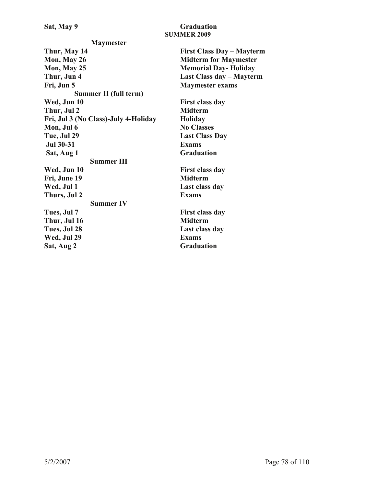Sat, May 9 **Graduation SUMMER 2009** 

**Maymester Thur, May 14 First Class Day – Mayterm Mon, May 26 Midterm for Maymester Mon, May 25 Memorial Day- Holiday Thur, Jun 4 Last Class day – Mayterm Fri, Jun 5 Maymester exams Summer II (full term)**  Wed, Jun 10 **First class day Thur, Jul 2 Midterm Fri, Jul 3 (No Class)-July 4-Holiday Holiday Mon, Jul 6 No Classes Tue, Jul 29 Last Class Day Jul 30-31 Exams Sat, Aug 1** Graduation **Summer III**  Wed, Jun 10 First class day **Fri, June 19 Midterm**  Wed, Jul 1 **Last class day Thurs, Jul 2 Exams Summer IV**  Tues, Jul 7 **First class day** Thur, Jul 16 Midterm **Tues, Jul 28 Last class day Wed, Jul 29 Exams**  Sat, Aug 2 Graduation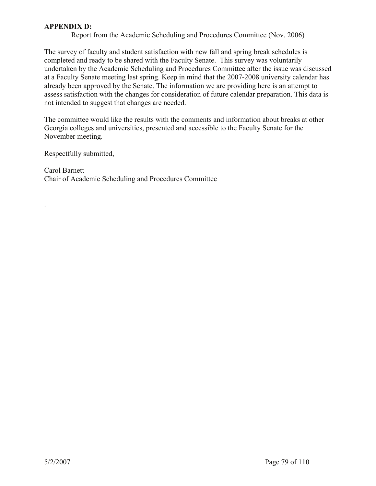# **APPENDIX D:**

Report from the Academic Scheduling and Procedures Committee (Nov. 2006)

The survey of faculty and student satisfaction with new fall and spring break schedules is completed and ready to be shared with the Faculty Senate. This survey was voluntarily undertaken by the Academic Scheduling and Procedures Committee after the issue was discussed at a Faculty Senate meeting last spring. Keep in mind that the 2007-2008 university calendar has already been approved by the Senate. The information we are providing here is an attempt to assess satisfaction with the changes for consideration of future calendar preparation. This data is not intended to suggest that changes are needed.

The committee would like the results with the comments and information about breaks at other Georgia colleges and universities, presented and accessible to the Faculty Senate for the November meeting.

Respectfully submitted,

.

Carol Barnett Chair of Academic Scheduling and Procedures Committee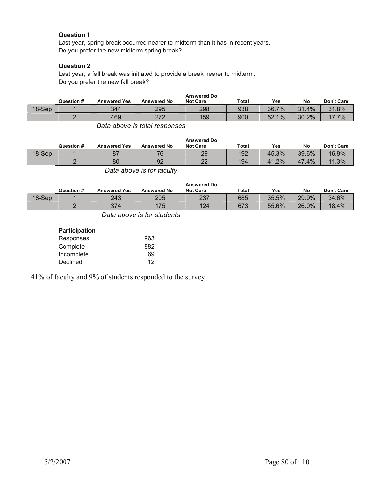# **Question 1**

 Last year, spring break occurred nearer to midterm than it has in recent years. Do you prefer the new midterm spring break?

# **Question 2**

 Last year, a fall break was initiated to provide a break nearer to midterm. Do you prefer the new fall break?

|        |            |                     |                    | <b>Answered Do</b> |              |       |       |                   |
|--------|------------|---------------------|--------------------|--------------------|--------------|-------|-------|-------------------|
|        | Question # | <b>Answered Yes</b> | <b>Answered No</b> | <b>Not Care</b>    | <b>Total</b> | Yes   | No    | <b>Don't Care</b> |
| 18-Sep |            | 344                 | 295                | 298                | 938          | 36.7% | 31.4% | 31.8%             |
|        |            | 469                 | つフつ<br>ے اے        | 159                | 900          | 52.1% | 30.2% | 17.7%             |

*Data above is total responses* 

|        | Question # | <b>Answered Yes</b> | <b>Answered No</b> | <b>Answered Do</b><br><b>Not Care</b> | Total | Yes     | No        | Don't Care |
|--------|------------|---------------------|--------------------|---------------------------------------|-------|---------|-----------|------------|
| 18-Sep |            |                     | 76                 | 29                                    | 192   | 45.3%   | 39.6%     | 16.9%      |
|        |            | 80                  | 92                 | つつ<br>ᅩ                               | 194   | $1.2\%$ | .4%<br>47 | 1.3%<br>11 |
|        |            |                     |                    |                                       |       |         |           |            |

*Data above is for faculty* 

|          | Question # | <b>Answered Yes</b> | <b>Answered No</b> | <b>Answered Do</b><br><b>Not Care</b> | <b>Total</b> | <b>Yes</b> | No    | Don't Care |
|----------|------------|---------------------|--------------------|---------------------------------------|--------------|------------|-------|------------|
| $18-Sep$ |            | 243                 | 205                | 237                                   | 685          | 35.5%      | 29.9% | 34.6%      |
|          |            | 374                 | 175                | 124                                   | 673          | 55.6%      | 26.0% | 18.4%      |

*Data above is for students* 

#### **Participation**

| Responses  | 963 |
|------------|-----|
| Complete   | 882 |
| Incomplete | 69  |
| Declined   | 12  |

41% of faculty and 9% of students responded to the survey.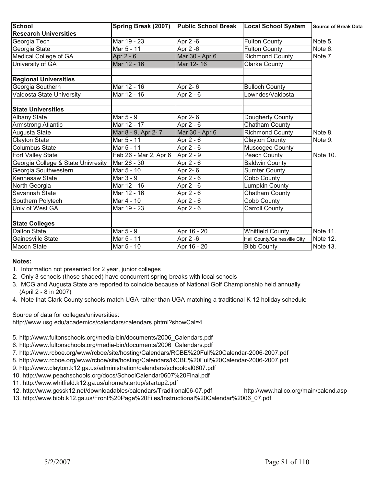| School                             | Spring Break (2007)   | <b>Public School Break</b> | <b>Local School System</b>   | Source of Break Data |
|------------------------------------|-----------------------|----------------------------|------------------------------|----------------------|
| <b>Research Universities</b>       |                       |                            |                              |                      |
| Georgia Tech                       | Mar 19 - 23           | Apr 2 -6                   | <b>Fulton County</b>         | Note 5.              |
| Georgia State                      | Mar 5 - 11            | Apr 2 -6                   | <b>Fulton County</b>         | Note 6.              |
| Medical College of GA              | Apr 2 - 6             | Mar 30 - Apr 6             | <b>Richmond County</b>       | Note 7.              |
| University of GA                   | Mar 12 - 16           | Mar 12-16                  | <b>Clarke County</b>         |                      |
| <b>Regional Universities</b>       |                       |                            |                              |                      |
| Georgia Southern                   | Mar 12 - 16           | Apr 2-6                    | <b>Bulloch County</b>        |                      |
| Valdosta State University          | Mar 12 - 16           | Apr 2 - 6                  | Lowndes/Valdosta             |                      |
| <b>State Universities</b>          |                       |                            |                              |                      |
| <b>Albany State</b>                | Mar 5 - 9             | Apr 2-6                    | Dougherty County             |                      |
| Armstrong Atlantic                 | Mar 12 - 17           | Apr 2 - 6                  | Chatham County               |                      |
| Augusta State                      | Mar 8 - 9, Apr 2-7    | Mar 30 - Apr 6             | <b>Richmond County</b>       | Note 8.              |
| <b>Clayton State</b>               | Mar 5 - 11            | Apr 2 - 6                  | <b>Clayton County</b>        | Note 9.              |
| Columbus State                     | Mar 5 - 11            | Apr 2 - 6                  | Muscogee County              |                      |
| Fort Valley State                  | Feb 26 - Mar 2, Apr 6 | Apr 2 - 9                  | Peach County                 | Note 10.             |
| Georgia College & State Univresity | Mar 26 - 30           | Apr 2 - 6                  | <b>Baldwin County</b>        |                      |
| Georgia Southwestern               | Mar 5 - 10            | Apr 2-6                    | <b>Sumter County</b>         |                      |
| Kennesaw State                     | Mar 3 - 9             | Apr 2 - 6                  | <b>Cobb County</b>           |                      |
| North Georgia                      | Mar 12 - 16           | Apr $2 - 6$                | Lumpkin County               |                      |
| Savannah State                     | Mar 12 - 16           | Apr 2 - 6                  | Chatham County               |                      |
| Southern Polytech                  | Mar 4 - 10            | Apr 2 - 6                  | Cobb County                  |                      |
| Univ of West GA                    | Mar 19 - 23           | Apr 2 - 6                  | <b>Carroll County</b>        |                      |
| <b>State Colleges</b>              |                       |                            |                              |                      |
| <b>Dalton State</b>                | Mar 5 - 9             | Apr 16 - 20                | <b>Whitfield County</b>      | Note 11.             |
| <b>Gainesville State</b>           | Mar 5 - 11            | Apr 2 -6                   | Hall County/Gainesville City | Note 12.             |
| Macon State                        | Mar 5 - 10            | Apr 16 - 20                | <b>Bibb County</b>           | Note 13.             |

# **Notes:**

- 1. Information not presented for 2 year, junior colleges
- 2. Only 3 schools (those shaded) have concurrent spring breaks with local schools
- 3. MCG and Augusta State are reported to coincide because of National Golf Championship held annually (April 2 - 8 in 2007)
- 4. Note that Clark County schools match UGA rather than UGA matching a traditional K-12 holiday schedule

Source of data for colleges/universities:

http://www.usg.edu/academics/calendars/calendars.phtml?showCal=4

- 5. http://www.fultonschools.org/media-bin/documents/2006\_Calendars.pdf
- 6. http://www.fultonschools.org/media-bin/documents/2006\_Calendars.pdf
- 7. http://www.rcboe.org/www/rcboe/site/hosting/Calendars/RCBE%20Full%20Calendar-2006-2007.pdf
- 8. http://www.rcboe.org/www/rcboe/site/hosting/Calendars/RCBE%20Full%20Calendar-2006-2007.pdf
- 9. http://www.clayton.k12.ga.us/administration/calendars/schoolcal0607.pdf
- 10. http://www.peachschools.org/docs/SchoolCalendar0607%20Final.pdf
- 11. http://www.whitfield.k12.ga.us/uhome/startup/startup2.pdf
- 12. http://www.gcssk12.net/downloadables/calendars/Traditional06-07.pdf http://www.hallco.org/main/calend.asp
- 13. http://www.bibb.k12.ga.us/Front%20Page%20Files/Instructional%20Calendar%2006\_07.pdf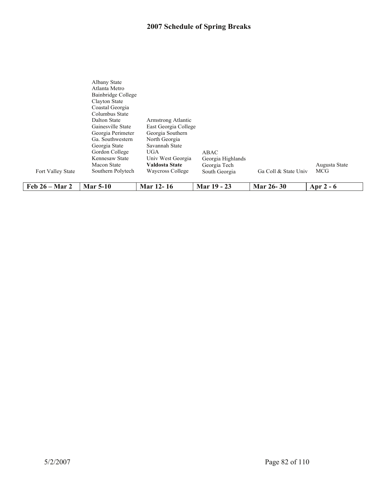# **2007 Schedule of Spring Breaks**

|                   | Clayton State<br>Coastal Georgia<br>Columbus State |                                            |                                   |                      |               |
|-------------------|----------------------------------------------------|--------------------------------------------|-----------------------------------|----------------------|---------------|
|                   | Dalton State<br>Gainesville State                  | Armstrong Atlantic<br>East Georgia College |                                   |                      |               |
|                   | Georgia Perimeter                                  | Georgia Southern                           |                                   |                      |               |
|                   | Ga. Southwestern<br>Georgia State                  | North Georgia<br>Savannah State            |                                   |                      |               |
|                   | Gordon College<br>Kennesaw State                   | <b>UGA</b><br>Univ West Georgia            | ABAC                              |                      |               |
|                   | Macon State                                        | Valdosta State                             | Georgia Highlands<br>Georgia Tech |                      | Augusta State |
| Fort Valley State | Southern Polytech                                  | Waycross College                           | South Georgia                     | Ga Coll & State Univ | <b>MCG</b>    |
| Feb $26 - Mar$ 2  | <b>Mar 5-10</b>                                    | Mar 12-16                                  | Mar 19 - 23                       | <b>Mar 26-30</b>     | Apr $2 - 6$   |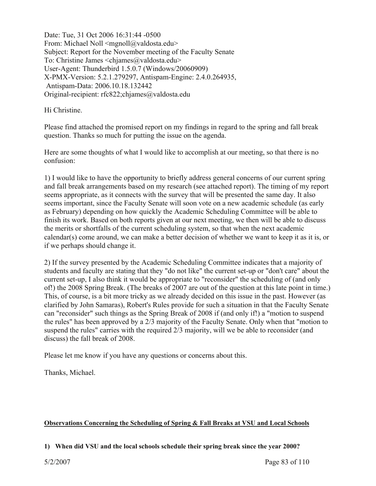Date: Tue, 31 Oct 2006 16:31:44 -0500 From: Michael Noll  $\leq m$ gnoll $\omega$ valdosta.edu> Subject: Report for the November meeting of the Faculty Senate To: Christine James <chjames@valdosta.edu> User-Agent: Thunderbird 1.5.0.7 (Windows/20060909) X-PMX-Version: 5.2.1.279297, Antispam-Engine: 2.4.0.264935, Antispam-Data: 2006.10.18.132442 Original-recipient: rfc822;chjames@valdosta.edu

Hi Christine.

Please find attached the promised report on my findings in regard to the spring and fall break question. Thanks so much for putting the issue on the agenda.

Here are some thoughts of what I would like to accomplish at our meeting, so that there is no confusion:

1) I would like to have the opportunity to briefly address general concerns of our current spring and fall break arrangements based on my research (see attached report). The timing of my report seems appropriate, as it connects with the survey that will be presented the same day. It also seems important, since the Faculty Senate will soon vote on a new academic schedule (as early as February) depending on how quickly the Academic Scheduling Committee will be able to finish its work. Based on both reports given at our next meeting, we then will be able to discuss the merits or shortfalls of the current scheduling system, so that when the next academic calendar(s) come around, we can make a better decision of whether we want to keep it as it is, or if we perhaps should change it.

2) If the survey presented by the Academic Scheduling Committee indicates that a majority of students and faculty are stating that they "do not like" the current set-up or "don't care" about the current set-up, I also think it would be appropriate to "reconsider" the scheduling of (and only of!) the 2008 Spring Break. (The breaks of 2007 are out of the question at this late point in time.) This, of course, is a bit more tricky as we already decided on this issue in the past. However (as clarified by John Samaras), Robert's Rules provide for such a situation in that the Faculty Senate can "reconsider" such things as the Spring Break of 2008 if (and only if!) a "motion to suspend the rules" has been approved by a 2/3 majority of the Faculty Senate. Only when that "motion to suspend the rules" carries with the required 2/3 majority, will we be able to reconsider (and discuss) the fall break of 2008.

Please let me know if you have any questions or concerns about this.

Thanks, Michael.

# **Observations Concerning the Scheduling of Spring & Fall Breaks at VSU and Local Schools**

# **1) When did VSU and the local schools schedule their spring break since the year 2000?**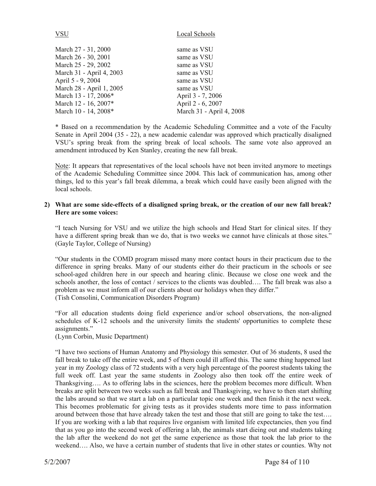| VSU                      | Local Schools     |
|--------------------------|-------------------|
| March 27 - 31, 2000      | same as VSU       |
| March 26 - 30, 2001      | same as VSU       |
| March 25 - 29, 2002      | same as VSU       |
| March 31 - April 4, 2003 | same as VSU       |
| April 5 - 9, 2004        | same as VSU       |
| March 28 - April 1, 2005 | same as VSU       |
| March 13 - 17, 2006*     | April 3 - 7, 2006 |
| March 12 - 16, 2007*     | April 2 - 6, 2007 |

March 10 - 14, 2008<sup>\*</sup> March 31 - April 4, 2008

\* Based on a recommendation by the Academic Scheduling Committee and a vote of the Faculty Senate in April 2004 (35 - 22), a new academic calendar was approved which practically disaligned VSU's spring break from the spring break of local schools. The same vote also approved an amendment introduced by Ken Stanley, creating the new fall break.

Note: It appears that representatives of the local schools have not been invited anymore to meetings of the Academic Scheduling Committee since 2004. This lack of communication has, among other things, led to this year's fall break dilemma, a break which could have easily been aligned with the local schools.

# **2) What are some side-effects of a disaligned spring break, or the creation of our new fall break? Here are some voices:**

"I teach Nursing for VSU and we utilize the high schools and Head Start for clinical sites. If they have a different spring break than we do, that is two weeks we cannot have clinicals at those sites." (Gayle Taylor, College of Nursing)

 "Our students in the COMD program missed many more contact hours in their practicum due to the difference in spring breaks. Many of our students either do their practicum in the schools or see school-aged children here in our speech and hearing clinic. Because we close one week and the schools another, the loss of contact / services to the clients was doubled…. The fall break was also a problem as we must inform all of our clients about our holidays when they differ." (Tish Consolini, Communication Disorders Program)

"For all education students doing field experience and/or school observations, the non-aligned schedules of K-12 schools and the university limits the students' opportunities to complete these assignments."

(Lynn Corbin, Music Department)

"I have two sections of Human Anatomy and Physiology this semester. Out of 36 students, 8 used the fall break to take off the entire week, and 5 of them could ill afford this. The same thing happened last year in my Zoology class of 72 students with a very high percentage of the poorest students taking the full week off. Last year the same students in Zoology also then took off the entire week of Thanksgiving…. As to offering labs in the sciences, here the problem becomes more difficult. When breaks are split between two weeks such as fall break and Thanksgiving, we have to then start shifting the labs around so that we start a lab on a particular topic one week and then finish it the next week. This becomes problematic for giving tests as it provides students more time to pass information around between those that have already taken the test and those that still are going to take the test…. If you are working with a lab that requires live organism with limited life expectancies, then you find that as you go into the second week of offering a lab, the animals start dieing out and students taking the lab after the weekend do not get the same experience as those that took the lab prior to the weekend…. Also, we have a certain number of students that live in other states or counties. Why not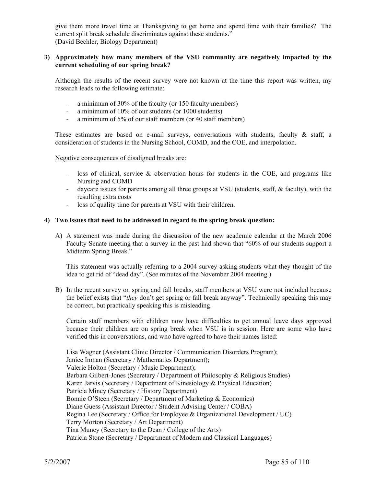give them more travel time at Thanksgiving to get home and spend time with their families? The current split break schedule discriminates against these students." (David Bechler, Biology Department)

# **3) Approximately how many members of the VSU community are negatively impacted by the current scheduling of our spring break?**

 Although the results of the recent survey were not known at the time this report was written, my research leads to the following estimate:

- a minimum of 30% of the faculty (or 150 faculty members)
- a minimum of 10% of our students (or 1000 students)
- a minimum of 5% of our staff members (or 40 staff members)

These estimates are based on e-mail surveys, conversations with students, faculty  $\&$  staff, a consideration of students in the Nursing School, COMD, and the COE, and interpolation.

Negative consequences of disaligned breaks are:

- loss of clinical, service & observation hours for students in the COE, and programs like Nursing and COMD
- daycare issues for parents among all three groups at VSU (students, staff, & faculty), with the resulting extra costs
- loss of quality time for parents at VSU with their children.

# **4) Two issues that need to be addressed in regard to the spring break question:**

 A) A statement was made during the discussion of the new academic calendar at the March 2006 Faculty Senate meeting that a survey in the past had shown that "60% of our students support a Midterm Spring Break."

This statement was actually referring to a 2004 survey asking students what they thought of the idea to get rid of "dead day". (See minutes of the November 2004 meeting.)

 B) In the recent survey on spring and fall breaks, staff members at VSU were not included because the belief exists that "*they* don't get spring or fall break anyway". Technically speaking this may be correct, but practically speaking this is misleading.

Certain staff members with children now have difficulties to get annual leave days approved because their children are on spring break when VSU is in session. Here are some who have verified this in conversations, and who have agreed to have their names listed:

 Lisa Wagner (Assistant Clinic Director / Communication Disorders Program); Janice Inman (Secretary / Mathematics Department); Valerie Holton (Secretary / Music Department); Barbara Gilbert-Jones (Secretary / Department of Philosophy & Religious Studies) Karen Jarvis (Secretary / Department of Kinesiology & Physical Education) Patricia Mincy (Secretary / History Department) Bonnie O'Steen (Secretary / Department of Marketing & Economics) Diane Guess (Assistant Director / Student Advising Center / COBA) Regina Lee (Secretary / Office for Employee & Organizational Development / UC) Terry Morton (Secretary / Art Department) Tina Muncy (Secretary to the Dean / College of the Arts) Patricia Stone (Secretary / Department of Modern and Classical Languages)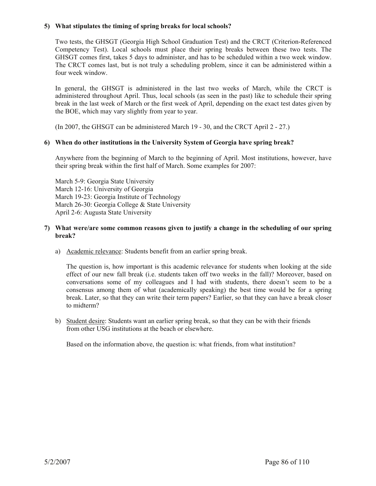# **5) What stipulates the timing of spring breaks for local schools?**

Two tests, the GHSGT (Georgia High School Graduation Test) and the CRCT (Criterion-Referenced Competency Test). Local schools must place their spring breaks between these two tests. The GHSGT comes first, takes 5 days to administer, and has to be scheduled within a two week window. The CRCT comes last, but is not truly a scheduling problem, since it can be administered within a four week window.

In general, the GHSGT is administered in the last two weeks of March, while the CRCT is administered throughout April. Thus, local schools (as seen in the past) like to schedule their spring break in the last week of March or the first week of April, depending on the exact test dates given by the BOE, which may vary slightly from year to year.

(In 2007, the GHSGT can be administered March 19 - 30, and the CRCT April 2 - 27.)

# **6) When do other institutions in the University System of Georgia have spring break?**

Anywhere from the beginning of March to the beginning of April. Most institutions, however, have their spring break within the first half of March. Some examples for 2007:

 March 5-9: Georgia State University March 12-16: University of Georgia March 19-23: Georgia Institute of Technology March 26-30: Georgia College & State University April 2-6: Augusta State University

# **7) What were/are some common reasons given to justify a change in the scheduling of our spring break?**

a) Academic relevance: Students benefit from an earlier spring break.

The question is, how important is this academic relevance for students when looking at the side effect of our new fall break (i.e. students taken off two weeks in the fall)? Moreover, based on conversations some of my colleagues and I had with students, there doesn't seem to be a consensus among them of what (academically speaking) the best time would be for a spring break. Later, so that they can write their term papers? Earlier, so that they can have a break closer to midterm?

 b) Student desire: Students want an earlier spring break, so that they can be with their friends from other USG institutions at the beach or elsewhere.

Based on the information above, the question is: what friends, from what institution?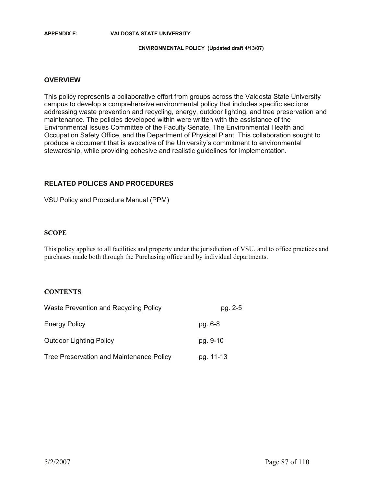#### **APPENDIX E: VALDOSTA STATE UNIVERSITY**

#### **ENVIRONMENTAL POLICY (Updated draft 4/13/07)**

### **OVERVIEW**

This policy represents a collaborative effort from groups across the Valdosta State University campus to develop a comprehensive environmental policy that includes specific sections addressing waste prevention and recycling, energy, outdoor lighting, and tree preservation and maintenance. The policies developed within were written with the assistance of the Environmental Issues Committee of the Faculty Senate, The Environmental Health and Occupation Safety Office, and the Department of Physical Plant. This collaboration sought to produce a document that is evocative of the University's commitment to environmental stewardship, while providing cohesive and realistic guidelines for implementation.

# **RELATED POLICES AND PROCEDURES**

VSU Policy and Procedure Manual (PPM)

### **SCOPE**

This policy applies to all facilities and property under the jurisdiction of VSU, and to office practices and purchases made both through the Purchasing office and by individual departments.

# **CONTENTS**

| Waste Prevention and Recycling Policy    | pg. 2-5   |  |
|------------------------------------------|-----------|--|
| <b>Energy Policy</b>                     | pg. 6-8   |  |
| <b>Outdoor Lighting Policy</b>           | pg. 9-10  |  |
| Tree Preservation and Maintenance Policy | pg. 11-13 |  |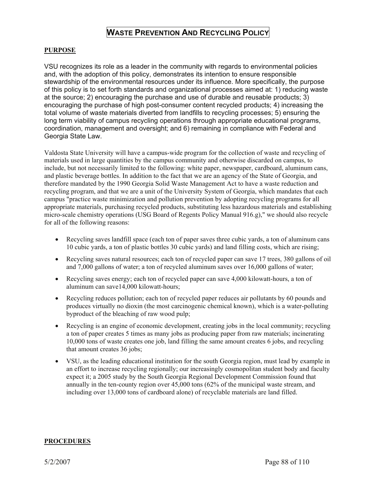# **WASTE PREVENTION AND RECYCLING POLICY**

# **PURPOSE**

VSU recognizes its role as a leader in the community with regards to environmental policies and, with the adoption of this policy, demonstrates its intention to ensure responsible stewardship of the environmental resources under its influence. More specifically, the purpose of this policy is to set forth standards and organizational processes aimed at: 1) reducing waste at the source; 2) encouraging the purchase and use of durable and reusable products; 3) encouraging the purchase of high post-consumer content recycled products; 4) increasing the total volume of waste materials diverted from landfills to recycling processes; 5) ensuring the long term viability of campus recycling operations through appropriate educational programs, coordination, management and oversight; and 6) remaining in compliance with Federal and Georgia State Law.

Valdosta State University will have a campus-wide program for the collection of waste and recycling of materials used in large quantities by the campus community and otherwise discarded on campus, to include, but not necessarily limited to the following: white paper, newspaper, cardboard, aluminum cans, and plastic beverage bottles. In addition to the fact that we are an agency of the State of Georgia, and therefore mandated by the 1990 Georgia Solid Waste Management Act to have a waste reduction and recycling program, and that we are a unit of the University System of Georgia, which mandates that each campus "practice waste minimization and pollution prevention by adopting recycling programs for all appropriate materials, purchasing recycled products, substituting less hazardous materials and establishing micro-scale chemistry operations (USG Board of Regents Policy Manual 916.g)," we should also recycle for all of the following reasons:

- Recycling saves landfill space (each ton of paper saves three cubic yards, a ton of aluminum cans 10 cubic yards, a ton of plastic bottles 30 cubic yards) and land filling costs, which are rising;
- Recycling saves natural resources; each ton of recycled paper can save 17 trees, 380 gallons of oil and 7,000 gallons of water; a ton of recycled aluminum saves over 16,000 gallons of water;
- Executing saves energy; each ton of recycled paper can save  $4,000$  kilowatt-hours, a ton of aluminum can save14,000 kilowatt-hours;
- Recycling reduces pollution; each ton of recycled paper reduces air pollutants by 60 pounds and produces virtually no dioxin (the most carcinogenic chemical known), which is a water-polluting byproduct of the bleaching of raw wood pulp;
- Recycling is an engine of economic development, creating jobs in the local community; recycling a ton of paper creates 5 times as many jobs as producing paper from raw materials; incinerating 10,000 tons of waste creates one job, land filling the same amount creates 6 jobs, and recycling that amount creates 36 jobs;
- VSU, as the leading educational institution for the south Georgia region, must lead by example in an effort to increase recycling regionally; our increasingly cosmopolitan student body and faculty expect it; a 2005 study by the South Georgia Regional Development Commission found that annually in the ten-county region over 45,000 tons (62% of the municipal waste stream, and including over 13,000 tons of cardboard alone) of recyclable materials are land filled.

#### **PROCEDURES**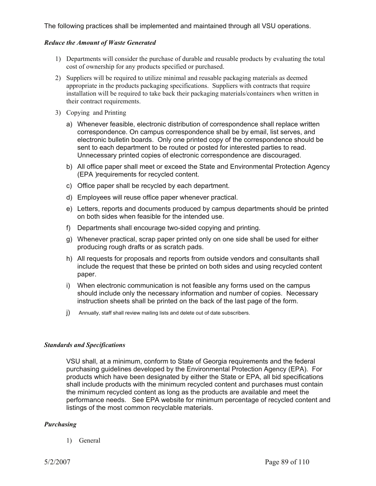The following practices shall be implemented and maintained through all VSU operations.

# *Reduce the Amount of Waste Generated*

- 1) Departments will consider the purchase of durable and reusable products by evaluating the total cost of ownership for any products specified or purchased.
- 2) Suppliers will be required to utilize minimal and reusable packaging materials as deemed appropriate in the products packaging specifications. Suppliers with contracts that require installation will be required to take back their packaging materials/containers when written in their contract requirements.
- 3) Copying and Printing
	- a) Whenever feasible, electronic distribution of correspondence shall replace written correspondence. On campus correspondence shall be by email, list serves, and electronic bulletin boards. Only one printed copy of the correspondence should be sent to each department to be routed or posted for interested parties to read. Unnecessary printed copies of electronic correspondence are discouraged.
	- b) All office paper shall meet or exceed the State and Environmental Protection Agency (EPA )requirements for recycled content.
	- c) Office paper shall be recycled by each department.
	- d) Employees will reuse office paper whenever practical.
	- e) Letters, reports and documents produced by campus departments should be printed on both sides when feasible for the intended use.
	- f) Departments shall encourage two-sided copying and printing.
	- g) Whenever practical, scrap paper printed only on one side shall be used for either producing rough drafts or as scratch pads.
	- h) All requests for proposals and reports from outside vendors and consultants shall include the request that these be printed on both sides and using recycled content paper.
	- i) When electronic communication is not feasible any forms used on the campus should include only the necessary information and number of copies. Necessary instruction sheets shall be printed on the back of the last page of the form.
	- j) Annually, staff shall review mailing lists and delete out of date subscribers.

# *Standards and Specifications*

VSU shall, at a minimum, conform to State of Georgia requirements and the federal purchasing guidelines developed by the Environmental Protection Agency (EPA). For products which have been designated by either the State or EPA, all bid specifications shall include products with the minimum recycled content and purchases must contain the minimum recycled content as long as the products are available and meet the performance needs. See EPA website for minimum percentage of recycled content and listings of the most common recyclable materials.

#### *Purchasing*

1) General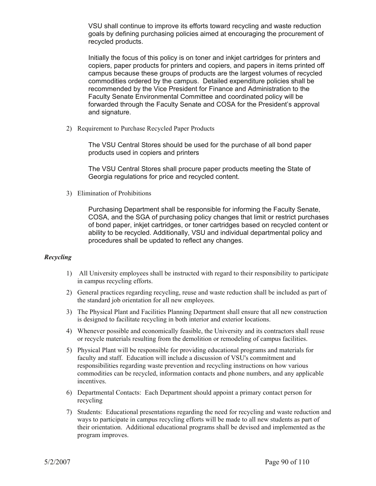VSU shall continue to improve its efforts toward recycling and waste reduction goals by defining purchasing policies aimed at encouraging the procurement of recycled products.

Initially the focus of this policy is on toner and inkjet cartridges for printers and copiers, paper products for printers and copiers, and papers in items printed off campus because these groups of products are the largest volumes of recycled commodities ordered by the campus. Detailed expenditure policies shall be recommended by the Vice President for Finance and Administration to the Faculty Senate Environmental Committee and coordinated policy will be forwarded through the Faculty Senate and COSA for the President's approval and signature.

2) Requirement to Purchase Recycled Paper Products

The VSU Central Stores should be used for the purchase of all bond paper products used in copiers and printers

The VSU Central Stores shall procure paper products meeting the State of Georgia regulations for price and recycled content.

3) Elimination of Prohibitions

Purchasing Department shall be responsible for informing the Faculty Senate, COSA, and the SGA of purchasing policy changes that limit or restrict purchases of bond paper, inkjet cartridges, or toner cartridges based on recycled content or ability to be recycled. Additionally, VSU and individual departmental policy and procedures shall be updated to reflect any changes.

# *Recycling*

- 1) All University employees shall be instructed with regard to their responsibility to participate in campus recycling efforts.
- 2) General practices regarding recycling, reuse and waste reduction shall be included as part of the standard job orientation for all new employees.
- 3) The Physical Plant and Facilities Planning Department shall ensure that all new construction is designed to facilitate recycling in both interior and exterior locations.
- 4) Whenever possible and economically feasible, the University and its contractors shall reuse or recycle materials resulting from the demolition or remodeling of campus facilities.
- 5) Physical Plant will be responsible for providing educational programs and materials for faculty and staff. Education will include a discussion of VSU's commitment and responsibilities regarding waste prevention and recycling instructions on how various commodities can be recycled, information contacts and phone numbers, and any applicable incentives.
- 6) Departmental Contacts: Each Department should appoint a primary contact person for recycling
- 7) Students: Educational presentations regarding the need for recycling and waste reduction and ways to participate in campus recycling efforts will be made to all new students as part of their orientation. Additional educational programs shall be devised and implemented as the program improves.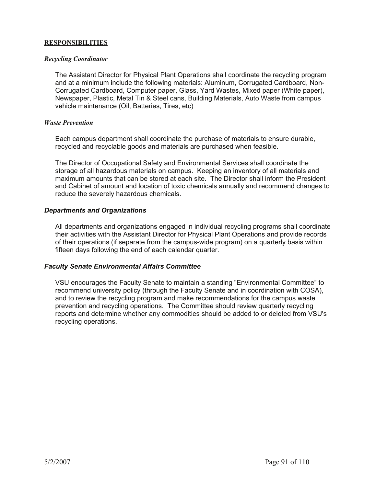# **RESPONSIBILITIES**

# *Recycling Coordinator*

The Assistant Director for Physical Plant Operations shall coordinate the recycling program and at a minimum include the following materials: Aluminum, Corrugated Cardboard, Non-Corrugated Cardboard, Computer paper, Glass, Yard Wastes, Mixed paper (White paper), Newspaper, Plastic, Metal Tin & Steel cans, Building Materials, Auto Waste from campus vehicle maintenance (Oil, Batteries, Tires, etc)

# *Waste Prevention*

Each campus department shall coordinate the purchase of materials to ensure durable, recycled and recyclable goods and materials are purchased when feasible.

The Director of Occupational Safety and Environmental Services shall coordinate the storage of all hazardous materials on campus. Keeping an inventory of all materials and maximum amounts that can be stored at each site. The Director shall inform the President and Cabinet of amount and location of toxic chemicals annually and recommend changes to reduce the severely hazardous chemicals.

# *Departments and Organizations*

All departments and organizations engaged in individual recycling programs shall coordinate their activities with the Assistant Director for Physical Plant Operations and provide records of their operations (if separate from the campus-wide program) on a quarterly basis within fifteen days following the end of each calendar quarter.

# *Faculty Senate Environmental Affairs Committee*

VSU encourages the Faculty Senate to maintain a standing "Environmental Committee" to recommend university policy (through the Faculty Senate and in coordination with COSA), and to review the recycling program and make recommendations for the campus waste prevention and recycling operations. The Committee should review quarterly recycling reports and determine whether any commodities should be added to or deleted from VSU's recycling operations.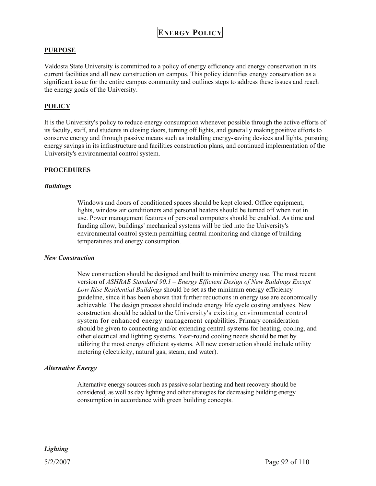# **ENERGY POLICY**

# **PURPOSE**

Valdosta State University is committed to a policy of energy efficiency and energy conservation in its current facilities and all new construction on campus. This policy identifies energy conservation as a significant issue for the entire campus community and outlines steps to address these issues and reach the energy goals of the University.

# **POLICY**

It is the University's policy to reduce energy consumption whenever possible through the active efforts of its faculty, staff, and students in closing doors, turning off lights, and generally making positive efforts to conserve energy and through passive means such as installing energy-saving devices and lights, pursuing energy savings in its infrastructure and facilities construction plans, and continued implementation of the University's environmental control system.

#### **PROCEDURES**

#### *Buildings*

Windows and doors of conditioned spaces should be kept closed. Office equipment, lights, window air conditioners and personal heaters should be turned off when not in use. Power management features of personal computers should be enabled. As time and funding allow, buildings' mechanical systems will be tied into the University's environmental control system permitting central monitoring and change of building temperatures and energy consumption.

#### *New Construction*

New construction should be designed and built to minimize energy use. The most recent version of *ASHRAE Standard 90.1 – Energy Efficient Design of New Buildings Except Low Rise Residential Buildings* should be set as the minimum energy efficiency guideline, since it has been shown that further reductions in energy use are economically achievable. The design process should include energy life cycle costing analyses. New construction should be added to the University's existing environmental control system for enhanced energy management capabilities. Primary consideration should be given to connecting and/or extending central systems for heating, cooling, and other electrical and lighting systems. Year-round cooling needs should be met by utilizing the most energy efficient systems. All new construction should include utility metering (electricity, natural gas, steam, and water).

#### *Alternative Energy*

Alternative energy sources such as passive solar heating and heat recovery should be considered, as well as day lighting and other strategies for decreasing building energy consumption in accordance with green building concepts.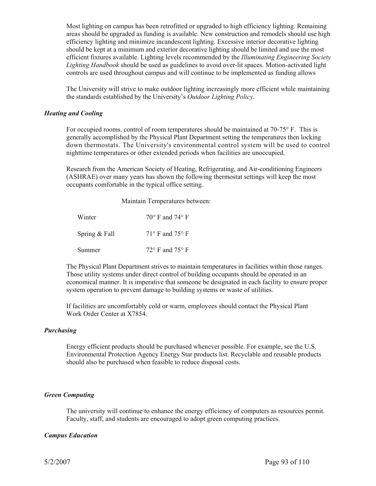Most lighting on campus has been retrofitted or upgraded to high efficiency lighting. Remaining areas should be upgraded as funding is available. New construction and remodels should use high efficiency lighting and minimize incandescent lighting. Excessive interior decorative lighting should be kept at a minimum and exterior decorative lighting should be limited and use the most efficient fixtures available. Lighting levels recommended by the *Illuminating Engineering Society Lighting Handbook* should be used as guidelines to avoid over-lit spaces. Motion-activated light controls are used throughout campus and will continue to be implemented as funding allows

The University will strive to make outdoor lighting increasingly more efficient while maintaining the standards established by the University's *Outdoor Lighting Policy*.

#### *Heating and Cooling*

For occupied rooms, control of room temperatures should be maintained at 70-75° F. This is generally accomplished by the Physical Plant Department setting the temperatures then locking down thermostats. The University's environmental control system will be used to control nighttime temperatures or other extended periods when facilities are unoccupied.

Research from the American Society of Heating, Refrigerating, and Air-conditioning Engineers (ASHRAE) over many years has shown the following thermostat settings will keep the most occupants comfortable in the typical office setting.

Maintain Temperatures between:

| Winter        | $70^{\circ}$ F and $74^{\circ}$ F |
|---------------|-----------------------------------|
| Spring & Fall | $71^{\circ}$ F and $75^{\circ}$ F |
| Summer        | $72^{\circ}$ F and $75^{\circ}$ F |

The Physical Plant Department strives to maintain temperatures in facilities within those ranges. Those utility systems under direct control of building occupants should be operated in an economical manner. It is imperative that someone be designated in each facility to ensure proper system operation to prevent damage to building systems or waste of utilities.

If facilities are uncomfortably cold or warm, employees should contact the Physical Plant Work Order Center at X7854.

#### *Purchasing*

Energy efficient products should be purchased whenever possible. For example, see the U.S. Environmental Protection Agency Energy Star products list. Recyclable and reusable products should also be purchased when feasible to reduce disposal costs.

#### *Green Computing*

The university will continue to enhance the energy efficiency of computers as resources permit. Faculty, staff, and students are encouraged to adopt green computing practices.

# *Campus Education*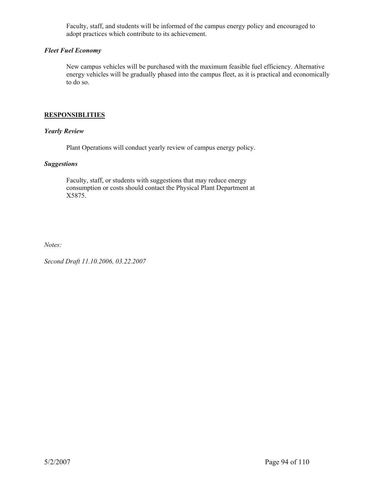Faculty, staff, and students will be informed of the campus energy policy and encouraged to adopt practices which contribute to its achievement.

# *Fleet Fuel Economy*

New campus vehicles will be purchased with the maximum feasible fuel efficiency. Alternative energy vehicles will be gradually phased into the campus fleet, as it is practical and economically to do so.

# **RESPONSIBLITIES**

# *Yearly Review*

Plant Operations will conduct yearly review of campus energy policy.

# *Suggestions*

Faculty, staff, or students with suggestions that may reduce energy consumption or costs should contact the Physical Plant Department at X5875.

*Notes:* 

*Second Draft 11.10.2006, 03.22.2007*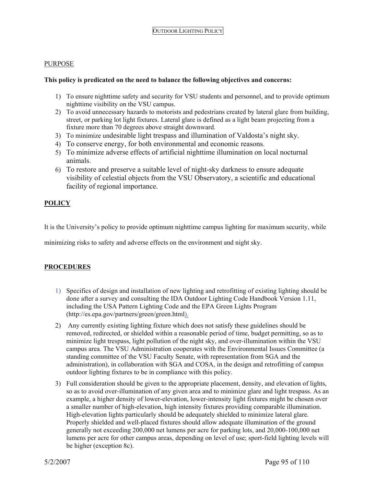# PURPOSE

# **This policy is predicated on the need to balance the following objectives and concerns:**

- 1) To ensure nighttime safety and security for VSU students and personnel, and to provide optimum nighttime visibility on the VSU campus.
- 2) To avoid unnecessary hazards to motorists and pedestrians created by lateral glare from building, street, or parking lot light fixtures. Lateral glare is defined as a light beam projecting from a fixture more than 70 degrees above straight downward.
- 3) To minimize undesirable light trespass and illumination of Valdosta's night sky.
- 4) To conserve energy, for both environmental and economic reasons.
- 5) To minimize adverse effects of artificial nighttime illumination on local nocturnal animals.
- 6) To restore and preserve a suitable level of night-sky darkness to ensure adequate visibility of celestial objects from the VSU Observatory, a scientific and educational facility of regional importance.

# **POLICY**

It is the University's policy to provide optimum nighttime campus lighting for maximum security, while

minimizing risks to safety and adverse effects on the environment and night sky.

# **PROCEDURES**

- 1) Specifics of design and installation of new lighting and retrofitting of existing lighting should be done after a survey and consulting the IDA Outdoor Lighting Code Handbook Version 1.11, including the USA Pattern Lighting Code and the EPA Green Lights Program (http://es.epa.gov/partners/green/green.html).
- 2) Any currently existing lighting fixture which does not satisfy these guidelines should be removed, redirected, or shielded within a reasonable period of time, budget permitting, so as to minimize light trespass, light pollution of the night sky, and over-illumination within the VSU campus area. The VSU Administration cooperates with the Environmental Issues Committee (a standing committee of the VSU Faculty Senate, with representation from SGA and the administration), in collaboration with SGA and COSA, in the design and retrofitting of campus outdoor lighting fixtures to be in compliance with this policy.
- 3) Full consideration should be given to the appropriate placement, density, and elevation of lights, so as to avoid over-illumination of any given area and to minimize glare and light trespass. As an example, a higher density of lower-elevation, lower-intensity light fixtures might be chosen over a smaller number of high-elevation, high intensity fixtures providing comparable illumination. High-elevation lights particularly should be adequately shielded to minimize lateral glare. Properly shielded and well-placed fixtures should allow adequate illumination of the ground generally not exceeding 200,000 net lumens per acre for parking lots, and 20,000-100,000 net lumens per acre for other campus areas, depending on level of use; sport-field lighting levels will be higher (exception 8c).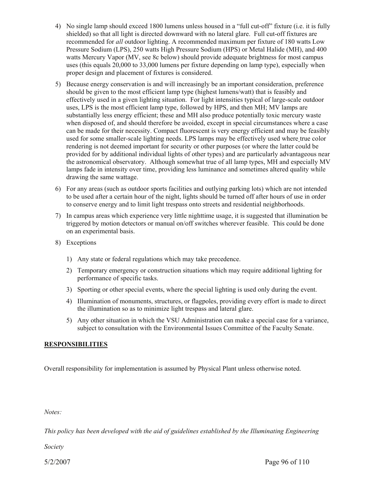- 4) No single lamp should exceed 1800 lumens unless housed in a "full cut-off" fixture (i.e. it is fully shielded) so that all light is directed downward with no lateral glare. Full cut-off fixtures are recommended for *all* outdoor lighting. A recommended maximum per fixture of 180 watts Low Pressure Sodium (LPS), 250 watts High Pressure Sodium (HPS) or Metal Halide (MH), and 400 watts Mercury Vapor (MV, see 8c below) should provide adequate brightness for most campus uses (this equals 20,000 to 33,000 lumens per fixture depending on lamp type), especially when proper design and placement of fixtures is considered.
- 5) Because energy conservation is and will increasingly be an important consideration, preference should be given to the most efficient lamp type (highest lumens/watt) that is feasibly and effectively used in a given lighting situation. For light intensities typical of large-scale outdoor uses, LPS is the most efficient lamp type, followed by HPS, and then MH; MV lamps are substantially less energy efficient; these and MH also produce potentially toxic mercury waste when disposed of, and should therefore be avoided, except in special circumstances where a case can be made for their necessity. Compact fluorescent is very energy efficient and may be feasibly used for some smaller-scale lighting needs. LPS lamps may be effectively used where true color rendering is not deemed important for security or other purposes (or where the latter could be provided for by additional individual lights of other types) and are particularly advantageous near the astronomical observatory. Although somewhat true of all lamp types, MH and especially MV lamps fade in intensity over time, providing less luminance and sometimes altered quality while drawing the same wattage.
- 6) For any areas (such as outdoor sports facilities and outlying parking lots) which are not intended to be used after a certain hour of the night, lights should be turned off after hours of use in order to conserve energy and to limit light trespass onto streets and residential neighborhoods.
- 7) In campus areas which experience very little nighttime usage, it is suggested that illumination be triggered by motion detectors or manual on/off switches wherever feasible. This could be done on an experimental basis.
- 8) Exceptions
	- 1) Any state or federal regulations which may take precedence.
	- 2) Temporary emergency or construction situations which may require additional lighting for performance of specific tasks.
	- 3) Sporting or other special events, where the special lighting is used only during the event.
	- 4) Illumination of monuments, structures, or flagpoles, providing every effort is made to direct the illumination so as to minimize light trespass and lateral glare.
	- 5) Any other situation in which the VSU Administration can make a special case for a variance, subject to consultation with the Environmental Issues Committee of the Faculty Senate.

# **RESPONSIBILITIES**

Overall responsibility for implementation is assumed by Physical Plant unless otherwise noted.

*Notes:* 

*This policy has been developed with the aid of guidelines established by the Illuminating Engineering* 

*Society*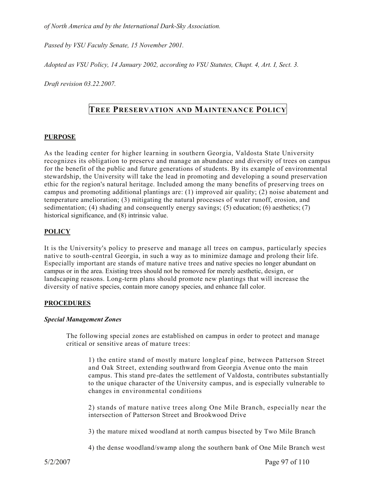*of North America and by the International Dark-Sky Association.* 

*Passed by VSU Faculty Senate, 15 November 2001.* 

*Adopted as VSU Policy, 14 January 2002, according to VSU Statutes, Chapt. 4, Art. I, Sect. 3.* 

*Draft revision 03.22.2007.* 

# **TREE PRESERVATION AND MAINTENANCE POLICY**

# **PURPOSE**

As the leading center for higher learning in southern Georgia, Valdosta State University recognizes its obligation to preserve and manage an abundance and diversity of trees on campus for the benefit of the public and future generations of students. By its example of environmental stewardship, the University will take the lead in promoting and developing a sound preservation ethic for the region's natural heritage. Included among the many benefits of preserving trees on campus and promoting additional plantings are: (1) improved air quality; (2) noise abatement and temperature amelioration; (3) mitigating the natural processes of water runoff, erosion, and sedimentation; (4) shading and consequently energy savings; (5) education; (6) aesthetics; (7) historical significance, and (8) intrinsic value.

# **POLICY**

It is the University's policy to preserve and manage all trees on campus, particularly species native to south-central Georgia, in such a way as to minimize damage and prolong their life. Especially important are stands of mature native trees and native species no longer abundant on campus or in the area. Existing trees should not be removed for merely aesthetic, design, or landscaping reasons. Long-term plans should promote new plantings that will increase the diversity of native species, contain more canopy species, and enhance fall color.

# **PROCEDURES**

# *Special Management Zones*

The following special zones are established on campus in order to protect and manage critical or sensitive areas of mature trees:

1) the entire stand of mostly mature longleaf pine, between Patterson Street and Oak Street, extending southward from Georgia Avenue onto the main campus. This stand pre-dates the settlement of Valdosta, contributes substantially to the unique character of the University campus, and is especially vulnerable to changes in environmental conditions

2) stands of mature native trees along One Mile Branch, especially near the intersection of Patterson Street and Brookwood Drive

3) the mature mixed woodland at north campus bisected by Two Mile Branch

4) the dense woodland/swamp along the southern bank of One Mile Branch west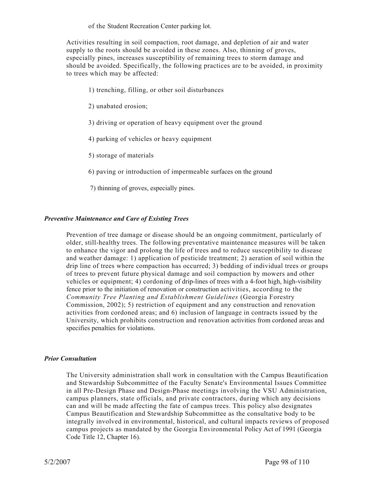of the Student Recreation Center parking lot.

Activities resulting in soil compaction, root damage, and depletion of air and water supply to the roots should be avoided in these zones. Also, thinning of groves, especially pines, increases susceptibility of remaining trees to storm damage and should be avoided. Specifically, the following practices are to be avoided, in proximity to trees which may be affected:

- 1) trenching, filling, or other soil disturbances
- 2) unabated erosion;
- 3) driving or operation of heavy equipment over the ground
- 4) parking of vehicles or heavy equipment
- 5) storage of materials
- 6) paving or introduction of impermeable surfaces on the ground
- 7) thinning of groves, especially pines.

# *Preventive Maintenance and Care of Existing Trees*

Prevention of tree damage or disease should be an ongoing commitment, particularly of older, still-healthy trees. The following preventative maintenance measures will be taken to enhance the vigor and prolong the life of trees and to reduce susceptibility to disease and weather damage: 1) application of pesticide treatment; 2) aeration of soil within the drip line of trees where compaction has occurred; 3) bedding of individual trees or groups of trees to prevent future physical damage and soil compaction by mowers and other vehicles or equipment; 4) cordoning of drip-lines of trees with a 4-foot high, high-visibility fence prior to the initiation of renovation or construction activities, according to the *Community Tree Planting and Establishment Guidelines* (Georgia Forestry Commission, 2002); 5) restriction of equipment and any construction and renovation activities from cordoned areas; and 6) inclusion of language in contracts issued by the University, which prohibits construction and renovation activities from cordoned areas and specifies penalties for violations.

#### *Prior Consultation*

The University administration shall work in consultation with the Campus Beautification and Stewardship Subcommittee of the Faculty Senate's Environmental Issues Committee in all Pre-Design Phase and Design-Phase meetings involving the VSU Administration, campus planners, state officials, and private contractors, during which any decisions can and will be made affecting the fate of campus trees. This policy also designates Campus Beautification and Stewardship Subcommittee as the consultative body to be integrally involved in environmental, historical, and cultural impacts reviews of proposed campus projects as mandated by the Georgia Environmental Policy Act of 1991 (Georgia Code Title 12, Chapter 16).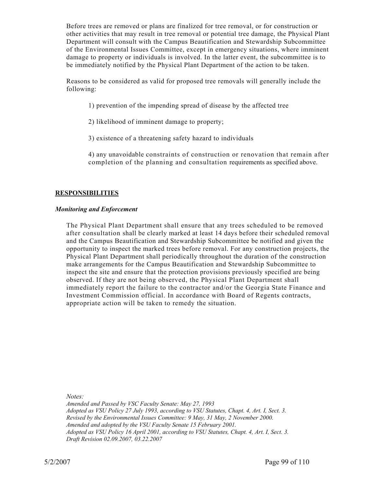Before trees are removed or plans are finalized for tree removal, or for construction or other activities that may result in tree removal or potential tree damage, the Physical Plant Department will consult with the Campus Beautification and Stewardship Subcommittee of the Environmental Issues Committee, except in emergency situations, where imminent damage to property or individuals is involved. In the latter event, the subcommittee is to be immediately notified by the Physical Plant Department of the action to be taken.

Reasons to be considered as valid for proposed tree removals will generally include the following:

- 1) prevention of the impending spread of disease by the affected tree
- 2) likelihood of imminent damage to property;
- 3) existence of a threatening safety hazard to individuals
- 4) any unavoidable constraints of construction or renovation that remain after completion of the planning and consultation requirements as specified above.

# **RESPONSIBILITIES**

# *Monitoring and Enforcement*

The Physical Plant Department shall ensure that any trees scheduled to be removed after consultation shall be clearly marked at least 14 days before their scheduled removal and the Campus Beautification and Stewardship Subcommittee be notified and given the opportunity to inspect the marked trees before removal. For any construction projects, the Physical Plant Department shall periodically throughout the duration of the construction make arrangements for the Campus Beautification and Stewardship Subcommittee to inspect the site and ensure that the protection provisions previously specified are being observed. If they are not being observed, the Physical Plant Department shall immediately report the failure to the contractor and/or the Georgia State Finance and Investment Commission official. In accordance with Board of Regents contracts, appropriate action will be taken to remedy the situation.

*Notes:* 

*Amended and Passed by VSC Faculty Senate: May 27, 1993 Adopted as VSU Policy 27 July 1993, according to VSU Statutes, Chapt. 4, Art. I, Sect. 3. Revised by the Environmental Issues Committee: 9 May, 31 May, 2 November 2000. Amended and adopted by the VSU Faculty Senate 15 February 2001. Adopted as VSU Policy 16 April 2001, according to VSU Statutes, Chapt. 4, Art. I, Sect. 3. Draft Revision 02.09.2007, 03.22.2007*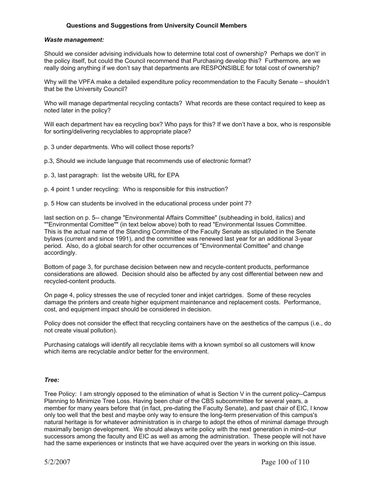### **Questions and Suggestions from University Council Members**

#### *Waste management:*

Should we consider advising individuals how to determine total cost of ownership? Perhaps we don't' in the policy itself, but could the Council recommend that Purchasing develop this? Furthermore, are we really doing anything if we don't say that departments are RESPONSIBLE for total cost of ownership?

Why will the VPFA make a detailed expenditure policy recommendation to the Faculty Senate – shouldn't that be the University Council?

Who will manage departmental recycling contacts? What records are these contact required to keep as noted later in the policy?

Will each department hav ea recycling box? Who pays for this? If we don't have a box, who is responsible for sorting/delivering recyclables to appropriate place?

- p. 3 under departments. Who will collect those reports?
- p.3, Should we include language that recommends use of electronic format?
- p. 3, last paragraph: list the website URL for EPA
- p. 4 point 1 under recycling: Who is responsible for this instruction?
- p. 5 How can students be involved in the educational process under point 7?

last section on p. 5-- change "Environmental Affairs Committee" (subheading in bold, italics) and ""Environmental Comittee"" (in text below above) both to read "Environmental Issues Committee. This is the actual name of the Standing Committee of the Faculty Senate as stipulated in the Senate bylaws (current and since 1991), and the committee was renewed last year for an additional 3-year period. Also, do a global search for other occurrences of "Environmental Comittee" and change accordingly.

Bottom of page 3, for purchase decision between new and recycle-content products, performance considerations are allowed. Decision should also be affected by any cost differential between new and recycled-content products.

On page 4, policy stresses the use of recycled toner and inkjet cartridges. Some of these recycles damage the printers and create higher equipment maintenance and replacement costs. Performance, cost, and equipment impact should be considered in decision.

Policy does not consider the effect that recycling containers have on the aesthetics of the campus (i.e., do not create visual pollution).

Purchasing catalogs will identify all recyclable items with a known symbol so all customers will know which items are recyclable and/or better for the environment.

#### *Tree:*

Tree Policy: I am strongly opposed to the elimination of what is Section V in the current policy--Campus Planning to Minimize Tree Loss. Having been chair of the CBS subcommittee for several years, a member for many years before that (in fact, pre-dating the Faculty Senate), and past chair of EIC, I know only too well that the best and maybe only way to ensure the long-term preservation of this campus's natural heritage is for whatever administration is in charge to adopt the ethos of minimal damage through maximally benign development. We should always write policy with the next generation in mind--our successors among the faculty and EIC as well as among the administration. These people will not have had the same experiences or instincts that we have acquired over the years in working on this issue.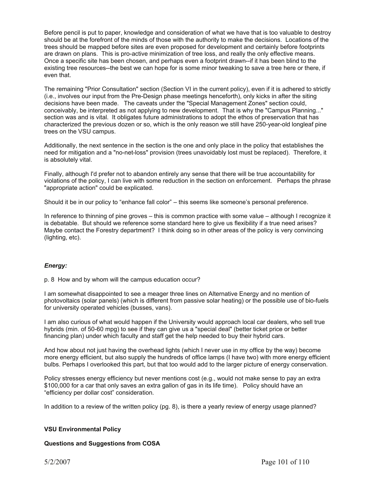Before pencil is put to paper, knowledge and consideration of what we have that is too valuable to destroy should be at the forefront of the minds of those with the authority to make the decisions. Locations of the trees should be mapped before sites are even proposed for development and certainly before footprints are drawn on plans. This is pro-active minimization of tree loss, and really the only effective means. Once a specific site has been chosen, and perhaps even a footprint drawn--if it has been blind to the existing tree resources--the best we can hope for is some minor tweaking to save a tree here or there, if even that.

The remaining "Prior Consultation" section (Section VI in the current policy), even if it is adhered to strictly (i.e., involves our input from the Pre-Design phase meetings henceforth), only kicks in after the siting decisions have been made. The caveats under the "Special Management Zones" section could, conceivably, be interpreted as not applying to new development. That is why the "Campus Planning..." section was and is vital. It obligates future administrations to adopt the ethos of preservation that has characterized the previous dozen or so, which is the only reason we still have 250-year-old longleaf pine trees on the VSU campus.

Additionally, the next sentence in the section is the one and only place in the policy that establishes the need for mitigation and a "no-net-loss" provision (trees unavoidably lost must be replaced). Therefore, it is absolutely vital.

Finally, although I'd prefer not to abandon entirely any sense that there will be true accountability for violations of the policy, I can live with some reduction in the section on enforcement. Perhaps the phrase "appropriate action" could be explicated.

Should it be in our policy to "enhance fall color" – this seems like someone's personal preference.

In reference to thinning of pine groves – this is common practice with some value – although I recognize it is debatable. But should we reference some standard here to give us flexibility if a true need arises? Maybe contact the Forestry department? I think doing so in other areas of the policy is very convincing (lighting, etc).

#### *Energy:*

p. 8 How and by whom will the campus education occur?

I am somewhat disappointed to see a meager three lines on Alternative Energy and no mention of photovoltaics (solar panels) (which is different from passive solar heating) or the possible use of bio-fuels for university operated vehicles (busses, vans).

I am also curious of what would happen if the University would approach local car dealers, who sell true hybrids (min. of 50-60 mpg) to see if they can give us a "special deal" (better ticket price or better financing plan) under which faculty and staff get the help needed to buy their hybrid cars.

And how about not just having the overhead lights (which I never use in my office by the way) become more energy efficient, but also supply the hundreds of office lamps (I have two) with more energy efficient bulbs. Perhaps I overlooked this part, but that too would add to the larger picture of energy conservation.

Policy stresses energy efficiency but never mentions cost (e.g., would not make sense to pay an extra \$100,000 for a car that only saves an extra gallon of gas in its life time). Policy should have an "efficiency per dollar cost" consideration.

In addition to a review of the written policy (pg. 8), is there a yearly review of energy usage planned?

#### **VSU Environmental Policy**

#### **Questions and Suggestions from COSA**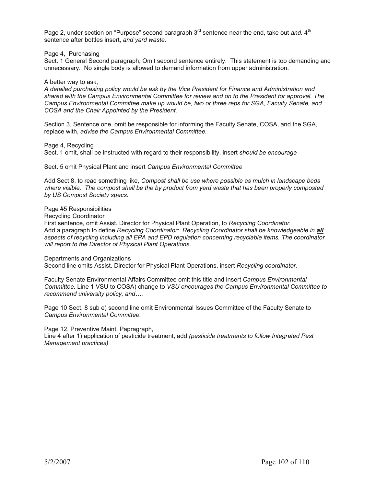Page 2, under section on "Purpose" second paragraph 3<sup>rd</sup> sentence near the end, take out and. 4<sup>th</sup> sentence after bottles insert, *and yard waste.*

Page 4, Purchasing

Sect. 1 General Second paragraph, Omit second sentence entirely. This statement is too demanding and unnecessary. No single body is allowed to demand information from upper administration.

A better way to ask,

*A detailed purchasing policy would be ask by the Vice President for Finance and Administration and shared with the Campus Environmental Committee for review and on to the President for approval. The Campus Environmental Committee make up would be, two or three reps for SGA, Faculty Senate, and COSA and the Chair Appointed by the President.* 

Section 3, Sentence one, omit be responsible for informing the Faculty Senate, COSA, and the SGA, replace with, *advise the Campus Environmental Committee.* 

Page 4, Recycling

Sect. 1 omit, shall be instructed with regard to their responsibility, insert *should be encourage*

Sect. 5 omit Physical Plant and insert *Campus Environmental Committee* 

Add Sect 8, to read something like, *Compost shall be use where possible as mulch in landscape beds where visible. The compost shall be the by product from yard waste that has been properly composted by US Compost Society specs.* 

Page #5 Responsibilities

Recycling Coordinator

First sentence, omit Assist. Director for Physical Plant Operation, to *Recycling Coordinator.* Add a paragraph to define *Recycling Coordinator: Recycling Coordinator shall be knowledgeable in all aspects of recycling including all EPA and EPD regulation concerning recyclable items. The coordinator will report to the Director of Physical Plant Operations.* 

Departments and Organizations

Second line omits Assist. Director for Physical Plant Operations, insert *Recycling coordinator.* 

Faculty Senate Environmental Affairs Committee omit this title and insert *Campus Environmental Committee.* Line 1 VSU to COSA) change to *VSU encourages the Campus Environmental Committee to recommend university policy, and….* 

Page 10 Sect. 8 sub e) second line omit Environmental Issues Committee of the Faculty Senate to *Campus Environmental Committee.* 

Page 12, Preventive Maint. Papragraph,

Line 4 after 1) application of pesticide treatment, add *(pesticide treatments to follow Integrated Pest Management practices)*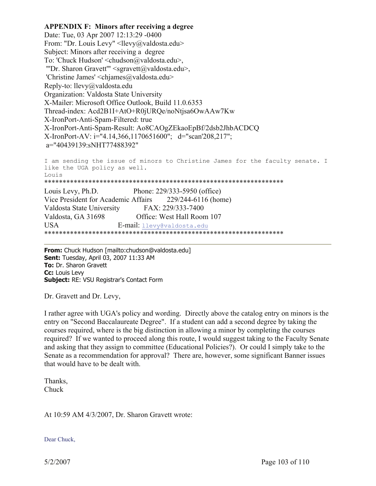**APPENDIX F: Minors after receiving a degree** Date: Tue, 03 Apr 2007 12:13:29 -0400 From: "Dr. Louis Levy" <llevy@valdosta.edu> Subject: Minors after receiving a degree To: 'Chuck Hudson' <chudson@valdosta.edu>, "'Dr. Sharon Gravett'" <sgravett@valdosta.edu>, 'Christine James' <chjames@valdosta.edu> Reply-to: llevy@valdosta.edu Organization: Valdosta State University X-Mailer: Microsoft Office Outlook, Build 11.0.6353 Thread-index: Acd2B1I+AtO+R0jURQe/noNtjsa6OwAAw7Kw X-IronPort-Anti-Spam-Filtered: true X-IronPort-Anti-Spam-Result: Ao8CAOgZEkaoEpBf/2dsb2JhbACDCQ X-IronPort-AV: i="4.14,366,1170651600"; d="scan'208,217"; a="40439139:sNHT77488392" I am sending the issue of minors to Christine James for the faculty senate. I like the UGA policy as well. Louis

\*\*\*\*\*\*\*\*\*\*\*\*\*\*\*\*\*\*\*\*\*\*\*\*\*\*\*\*\*\*\*\*\*\*\*\*\*\*\*\*\*\*\*\*\*\*\*\*\*\*\*\*\*\*\*\*\*\*\*\*\*\*\*\*\* Louis Levy, Ph.D. Phone: 229/333-5950 (office) Vice President for Academic Affairs 229/244-6116 (home) Valdosta State University FAX: 229/333-7400 Valdosta, GA 31698 Office: West Hall Room 107 USA E-mail: llevy@valdosta.edu \*\*\*\*\*\*\*\*\*\*\*\*\*\*\*\*\*\*\*\*\*\*\*\*\*\*\*\*\*\*\*\*\*\*\*\*\*\*\*\*\*\*\*\*\*\*\*\*\*\*\*\*\*\*\*\*\*\*\*\*\*\*\*\*\*

**From:** Chuck Hudson [mailto:chudson@valdosta.edu] **Sent:** Tuesday, April 03, 2007 11:33 AM **To:** Dr. Sharon Gravett **Cc:** Louis Levy **Subject:** RE: VSU Registrar's Contact Form

Dr. Gravett and Dr. Levy,

I rather agree with UGA's policy and wording. Directly above the catalog entry on minors is the entry on "Second Baccalaureate Degree". If a student can add a second degree by taking the courses required, where is the big distinction in allowing a minor by completing the courses required? If we wanted to proceed along this route, I would suggest taking to the Faculty Senate and asking that they assign to committee (Educational Policies?). Or could I simply take to the Senate as a recommendation for approval? There are, however, some significant Banner issues that would have to be dealt with.

Thanks, Chuck

At 10:59 AM 4/3/2007, Dr. Sharon Gravett wrote:

Dear Chuck,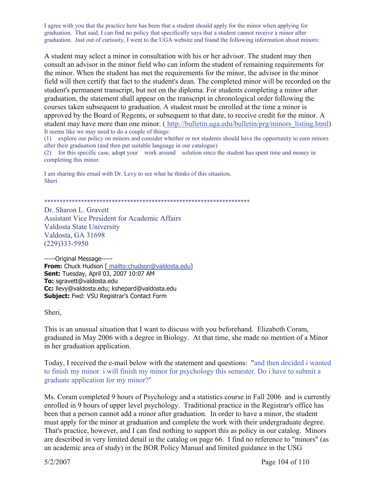I agree with you that the practice here has been that a student should apply for the minor when applying for graduation. That said, I can find no policy that specifically says that a student cannot receive a minor after graduation. Just out of curiosity, I went to the UGA website and found the following information about minors:

A student may select a minor in consultation with his or her advisor. The student may then consult an advisor in the minor field who can inform the student of remaining requirements for the minor. When the student has met the requirements for the minor, the advisor in the minor field will then certify that fact to the student's dean. The completed minor will be recorded on the student's permanent transcript, but not on the diploma. For students completing a minor after graduation, the statement shall appear on the transcript in chronological order following the courses taken subsequent to graduation. A student must be enrolled at the time a minor is approved by the Board of Regents, or subsequent to that date, to receive credit for the minor. A student may have more than one minor. ( http://bulletin.uga.edu/bulletin/prg/minors listing.html) It seems like we may need to do a couple of things:

(1) explore our policy on minors and consider whether or not students should have the opportunity to earn minors after their graduation (and then put suitable language in our catalogue)

(2) for this specific case, adopt your work around solution since the student has spent time and money in completing this minor.

I am sharing this email with Dr. Levy to see what he thinks of this situation, Sheri

\*\*\*\*\*\*\*\*\*\*\*\*\*\*\*\*\*\*\*\*\*\*\*\*\*\*\*\*\*\*\*\*\*\*\*\*\*\*\*\*\*\*\*\*\*\*\*\*\*\*\*\*\*\*\*\*\*\*\*\*\*\*\*\*\*\*\*

Dr. Sharon L. Gravett Assistant Vice President for Academic Affairs Valdosta State University Valdosta, GA 31698 (229)333-5950

-----Original Message----- **From:** Chuck Hudson [ mailto:chudson@valdosta.edu] **Sent:** Tuesday, April 03, 2007 10:07 AM **To:** sgravett@valdosta.edu **Cc:** llevy@valdosta.edu; kshepard@valdosta.edu **Subject:** Fwd: VSU Registrar's Contact Form

Sheri,

This is an unusual situation that I want to discuss with you beforehand. Elizabeth Coram, graduated in May 2006 with a degree in Biology. At that time, she made no mention of a Minor in her graduation application.

Today, I received the e-mail below with the statement and questions: "and then decided i wanted to finish my minor i will finish my minor for psychology this semester. Do i have to submit a graduate application for my minor?"

Ms. Coram completed 9 hours of Psychology and a statistics course in Fall 2006 and is currently enrolled in 9 hours of upper level psychology. Traditional practice in the Registrar's office has been that a person cannot add a minor after graduation. In order to have a minor, the student must apply for the minor at graduation and complete the work with their undergraduate degree. That's practice, however, and I can find nothing to support this as policy in our catalog. Minors are described in very limited detail in the catalog on page 66. I find no reference to "minors" (as an academic area of study) in the BOR Policy Manual and limited guidance in the USG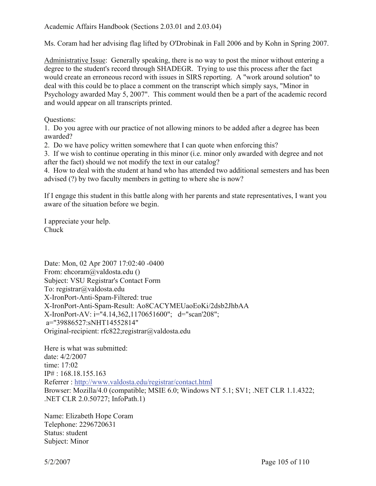Ms. Coram had her advising flag lifted by O'Drobinak in Fall 2006 and by Kohn in Spring 2007.

Administrative Issue: Generally speaking, there is no way to post the minor without entering a degree to the student's record through SHADEGR. Trying to use this process after the fact would create an erroneous record with issues in SIRS reporting. A "work around solution" to deal with this could be to place a comment on the transcript which simply says, "Minor in Psychology awarded May 5, 2007". This comment would then be a part of the academic record and would appear on all transcripts printed.

Questions:

1. Do you agree with our practice of not allowing minors to be added after a degree has been awarded?

2. Do we have policy written somewhere that I can quote when enforcing this?

3. If we wish to continue operating in this minor (i.e. minor only awarded with degree and not after the fact) should we not modify the text in our catalog?

4. How to deal with the student at hand who has attended two additional semesters and has been advised (?) by two faculty members in getting to where she is now?

If I engage this student in this battle along with her parents and state representatives, I want you aware of the situation before we begin.

I appreciate your help. Chuck

Date: Mon, 02 Apr 2007 17:02:40 -0400 From: ehcoram@valdosta.edu () Subject: VSU Registrar's Contact Form To: registrar@valdosta.edu X-IronPort-Anti-Spam-Filtered: true X-IronPort-Anti-Spam-Result: Ao8CACYMEUaoEoKi/2dsb2JhbAA X-IronPort-AV: i="4.14,362,1170651600"; d="scan'208"; a="39886527:sNHT14552814" Original-recipient: rfc822;registrar@valdosta.edu

Here is what was submitted: date: 4/2/2007 time: 17:02 IP# : 168.18.155.163 Referrer : http://www.valdosta.edu/registrar/contact.html Browser: Mozilla/4.0 (compatible; MSIE 6.0; Windows NT 5.1; SV1; .NET CLR 1.1.4322; .NET CLR 2.0.50727; InfoPath.1)

Name: Elizabeth Hope Coram Telephone: 2296720631 Status: student Subject: Minor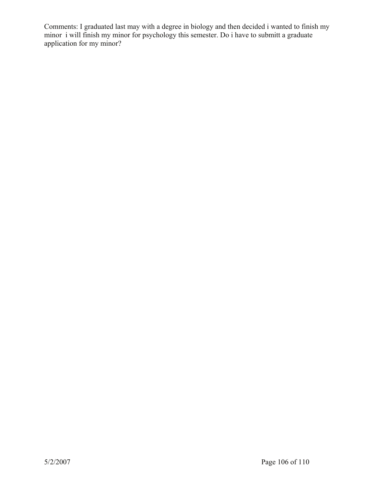Comments: I graduated last may with a degree in biology and then decided i wanted to finish my minor i will finish my minor for psychology this semester. Do i have to submitt a graduate application for my minor?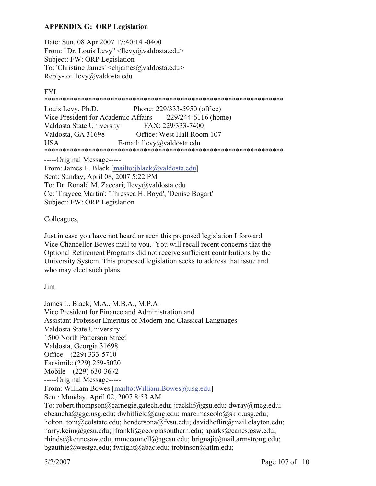# **APPENDIX G: ORP Legislation**

Date: Sun, 08 Apr 2007 17:40:14 -0400 From: "Dr. Louis Levy" <llevy@valdosta.edu> Subject: FW: ORP Legislation To: 'Christine James' <chiames@valdosta.edu> Reply-to: llevy@valdosta.edu

# FYI

\*\*\*\*\*\*\*\*\*\*\*\*\*\*\*\*\*\*\*\*\*\*\*\*\*\*\*\*\*\*\*\*\*\*\*\*\*\*\*\*\*\*\*\*\*\*\*\*\*\*\*\*\*\*\*\*\*\*\*\*\*\*\*\*\*

Louis Levy, Ph.D. Phone: 229/333-5950 (office) Vice President for Academic Affairs 229/244-6116 (home) Valdosta State University FAX: 229/333-7400 Valdosta, GA 31698 Office: West Hall Room 107 USA E-mail: llevy@valdosta.edu \*\*\*\*\*\*\*\*\*\*\*\*\*\*\*\*\*\*\*\*\*\*\*\*\*\*\*\*\*\*\*\*\*\*\*\*\*\*\*\*\*\*\*\*\*\*\*\*\*\*\*\*\*\*\*\*\*\*\*\*\*\*\*\*\*

-----Original Message-----

From: James L. Black [mailto:jblack@valdosta.edu] Sent: Sunday, April 08, 2007 5:22 PM To: Dr. Ronald M. Zaccari; llevy@valdosta.edu Cc: 'Traycee Martin'; 'Thressea H. Boyd'; 'Denise Bogart' Subject: FW: ORP Legislation

Colleagues,

Just in case you have not heard or seen this proposed legislation I forward Vice Chancellor Bowes mail to you. You will recall recent concerns that the Optional Retirement Programs did not receive sufficient contributions by the University System. This proposed legislation seeks to address that issue and who may elect such plans.

Jim

James L. Black, M.A., M.B.A., M.P.A. Vice President for Finance and Administration and Assistant Professor Emeritus of Modern and Classical Languages Valdosta State University 1500 North Patterson Street Valdosta, Georgia 31698 Office (229) 333-5710 Facsimile (229) 259-5020 Mobile (229) 630-3672 -----Original Message----- From: William Bowes [mailto:William.Bowes@usg.edu] Sent: Monday, April 02, 2007 8:53 AM To: robert.thompson@carnegie.gatech.edu; jracklif@gsu.edu; dwray@mcg.edu; ebeaucha@ggc.usg.edu; dwhitfield@aug.edu; marc.mascolo@skio.usg.edu; helton tom@colstate.edu; hendersona@fvsu.edu; davidheflin@mail.clayton.edu; harry.keim@gcsu.edu; jfrankli@georgiasouthern.edu; aparks@canes.gsw.edu; rhinds@kennesaw.edu; mmcconnell@ngcsu.edu; brignaji@mail.armstrong.edu; bgauthie@westga.edu; fwright@abac.edu; trobinson@atlm.edu;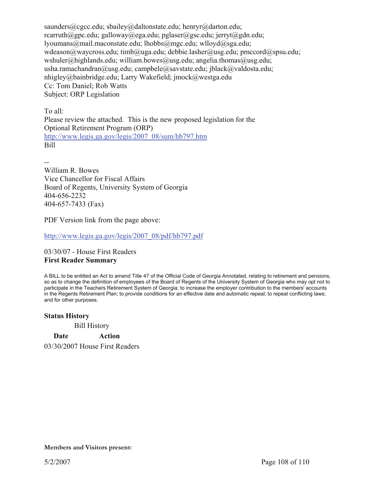saunders@cgcc.edu; sbailey@daltonstate.edu; henryr@darton.edu; rcarruth@gpc.edu; galloway@ega.edu; pglaser@gsc.edu; jerryt@gdn.edu; lyoumans@mail.maconstate.edu; lhobbs@mgc.edu; wlloyd@sga.edu; wdeason@waycross.edu; timb@uga.edu; debbie.lasher@usg.edu; pmccord@spsu.edu; wshuler@highlands.edu; william.bowes@usg.edu; angelia.thomas@usg.edu; usha.ramachandran@usg.edu; campbele@savstate.edu; jblack@valdosta.edu; nhigley@bainbridge.edu; Larry Wakefield; jmock@westga.edu Cc: Tom Daniel; Rob Watts Subject: ORP Legislation

To all: Please review the attached. This is the new proposed legislation for the Optional Retirement Program (ORP) http://www.legis.ga.gov/legis/2007\_08/sum/hb797.htm Bill

-- William R. Bowes Vice Chancellor for Fiscal Affairs Board of Regents, University System of Georgia 404-656-2232 404-657-7433 (Fax)

PDF Version link from the page above:

http://www.legis.ga.gov/legis/2007\_08/pdf/hb797.pdf

03/30/07 - House First Readers **First Reader Summary** 

A BILL to be entitled an Act to amend Title 47 of the Official Code of Georgia Annotated, relating to retirement and pensions, so as to change the definition of employees of the Board of Regents of the University System of Georgia who may opt not to participate in the Teachers Retirement System of Georgia; to increase the employer contribution to the members' accounts in the Regents Retirement Plan; to provide conditions for an effective date and automatic repeal; to repeal conflicting laws; and for other purposes.

# **Status History**

Bill History

**Date Action**  03/30/2007 House First Readers

**Members and Visitors present:**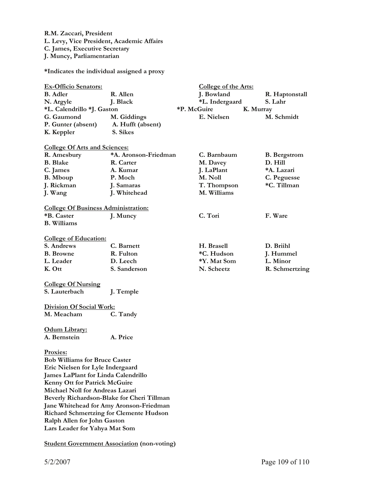**R.M. Zaccari, President L. Levy, Vice President, Academic Affairs C. James, Executive Secretary J. Muncy, Parliamentarian** 

**\*Indicates the individual assigned a proxy** 

| <b>Ex-Officio Senators:</b>                            |                      | <b>College of the Arts:</b> |                     |
|--------------------------------------------------------|----------------------|-----------------------------|---------------------|
| <b>B.</b> Adler                                        | R. Allen             | J. Bowland                  | R. Haptonstall      |
| N. Argyle                                              | J. Black             | *L. Indergaard              | S. Lahr             |
| *P. McGuire<br>*L. Calendrillo *J. Gaston<br>K. Murray |                      |                             |                     |
| G. Gaumond                                             | M. Giddings          | E. Nielsen                  | M. Schmidt          |
| P. Gunter (absent)                                     | A. Hufft (absent)    |                             |                     |
| K. Keppler                                             | S. Sikes             |                             |                     |
| <b>College Of Arts and Sciences:</b>                   |                      |                             |                     |
| R. Amesbury                                            | *A. Aronson-Friedman | C. Barnbaum                 | <b>B.</b> Bergstrom |
| <b>B.</b> Blake                                        | R. Carter            | M. Davey                    | D. Hill             |
| C. James                                               | A. Kumar             | J. LaPlant                  | *A. Lazari          |
| <b>B.</b> Mboup                                        | P. Moch              | M. Noll                     | C. Peguesse         |
| J. Rickman                                             | J. Samaras           | T. Thompson                 | *C. Tillman         |
| J. Wang                                                | J. Whitehead         | M. Williams                 |                     |
|                                                        |                      |                             |                     |
| <b>College Of Business Administration:</b>             |                      |                             |                     |
| *B. Caster                                             | J. Muncy             | C. Tori                     | F. Ware             |
| <b>B.</b> Williams                                     |                      |                             |                     |
| <b>College of Education:</b>                           |                      |                             |                     |
| S. Andrews                                             | C. Barnett           | H. Brasell                  | D. Briihl           |
| <b>B.</b> Browne                                       | R. Fulton            | *C. Hudson                  | J. Hummel           |
| L. Leader                                              | D. Leech             | *Y. Mat Som                 | L. Minor            |
| K. Ott                                                 | S. Sanderson         | N. Scheetz                  | R. Schmertzing      |
| <b>College Of Nursing</b>                              |                      |                             |                     |
| S. Lauterbach                                          | J. Temple            |                             |                     |
|                                                        |                      |                             |                     |
| <b>Division Of Social Work:</b>                        |                      |                             |                     |
| M. Meacham                                             | C. Tandy             |                             |                     |
| Odum Library:                                          |                      |                             |                     |
| A. Bernstein                                           | A. Price             |                             |                     |
|                                                        |                      |                             |                     |
| Proxies:                                               |                      |                             |                     |
| <b>Bob Williams for Bruce Caster</b>                   |                      |                             |                     |
| Eric Nielsen for Lyle Indergaard                       |                      |                             |                     |
| <b>James LaPlant for Linda Calendrillo</b>             |                      |                             |                     |
| Kenny Ott for Patrick McGuire                          |                      |                             |                     |
| Michael Noll for Andreas Lazari                        |                      |                             |                     |
| Beverly Richardson-Blake for Cheri Tillman             |                      |                             |                     |
| Jane Whitehead for Amy Aronson-Friedman                |                      |                             |                     |
| <b>Richard Schmertzing for Clemente Hudson</b>         |                      |                             |                     |
| Ralph Allen for John Gaston                            |                      |                             |                     |
| Lars Leader for Yahya Mat Som                          |                      |                             |                     |

**Student Government Association (non-voting)**